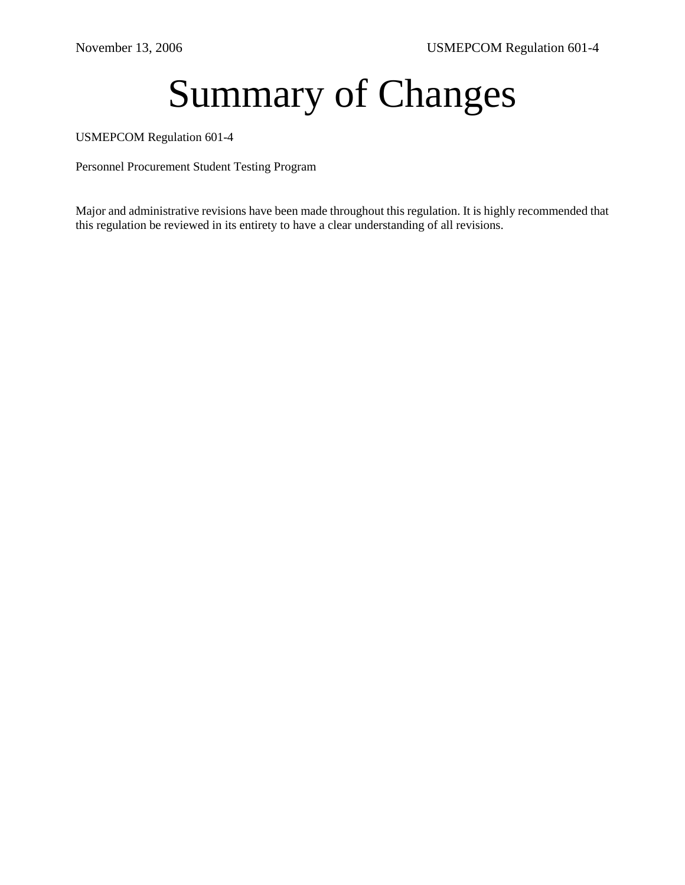# Summary of Changes

USMEPCOM Regulation 601-4

Personnel Procurement Student Testing Program

Major and administrative revisions have been made throughout this regulation. It is highly recommended that this regulation be reviewed in its entirety to have a clear understanding of all revisions.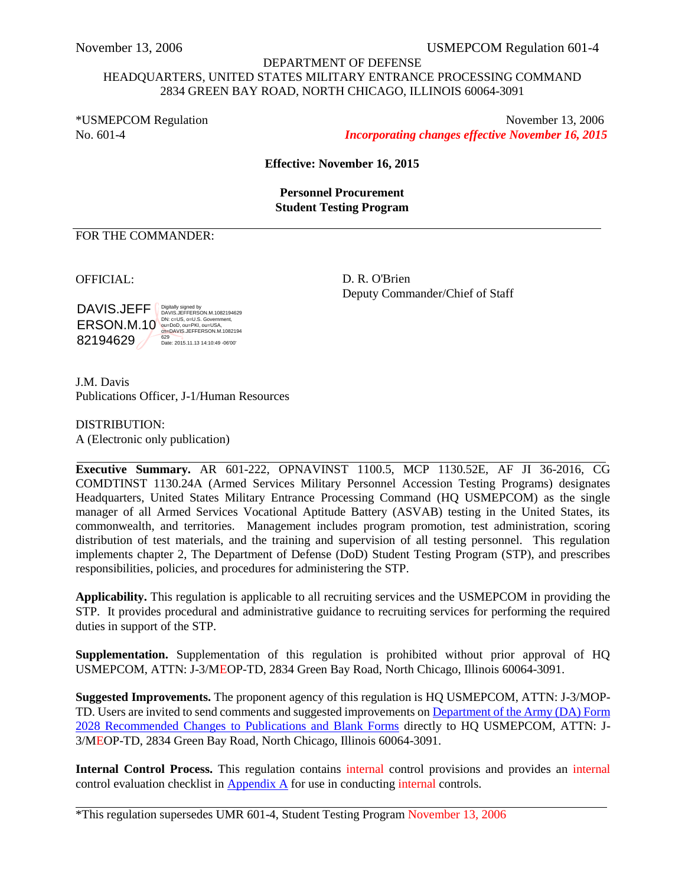## DEPARTMENT OF DEFENSE HEADQUARTERS, UNITED STATES MILITARY ENTRANCE PROCESSING COMMAND 2834 GREEN BAY ROAD, NORTH CHICAGO, ILLINOIS 60064-3091

\*USMEPCOM Regulation November 13, 2006 No. 601-4 *Incorporating changes effective November 16, 2015*

**Effective: November 16, 2015** 

**Personnel Procurement Student Testing Program** 

## FOR THE COMMANDER:

DAVIS.JEFF ( ERSON.M.10<sup>NDN: C=US, O=U.S. Government,</sup><br>
CU-DAVIS.JEFFERSON.M.1082194 82194629 Digitally signed by DAVIS.JEFFERSON.M.1082194629 629 Date: 2015.11.13 14:10:49 -06'00'

OFFICIAL: D. R. O'Brien Deputy Commander/Chief of Staff

J.M. Davis Publications Officer, J-1/Human Resources

DISTRIBUTION: A (Electronic only publication)

<span id="page-1-0"></span>**Executive Summary.** AR 601-222, OPNAVINST 1100.5, MCP 1130.52E, AF JI 36-2016, CG COMDTINST 1130.24A (Armed Services Military Personnel Accession Testing Programs) designates Headquarters, United States Military Entrance Processing Command (HQ USMEPCOM) as the single manager of all Armed Services Vocational Aptitude Battery (ASVAB) testing in the United States, its commonwealth, and territories. Management includes program promotion, test administration, scoring distribution of test materials, and the training and supervision of all testing personnel. This regulation implements chapter 2, The Department of Defense (DoD) Student Testing Program (STP), and prescribes responsibilities, policies, and procedures for administering the STP.

**Applicability.** This regulation is applicable to all recruiting services and the USMEPCOM in providing the STP. It provides procedural and administrative guidance to recruiting services for performing the required duties in support of the STP.

**Supplementation.** Supplementation of this regulation is prohibited without prior approval of HQ USMEPCOM, ATTN: J-3/MEOP-TD, 2834 Green Bay Road, North Chicago, Illinois 60064-3091.

**Suggested Improvements.** The proponent agency of this regulation is HQ USMEPCOM, ATTN: J-3/MOP-TD. Users are invited to send comments and suggested improvements on Department of the Army (DA) Form [2028 Recommended Changes to Publications and Blank Forms](http://www.apd.army.mil/pub/eforms/pdf/A2028.pdf) directly to HQ USMEPCOM, ATTN: J-3/MEOP-TD, 2834 Green Bay Road, North Chicago, Illinois 60064-3091.

**Internal Control Process.** This regulation contains internal control provisions and provides an internal control evaluation checklist in [Appendix A](#page-47-0) for use in conducting internal controls.

\*This regulation supersedes UMR 601-4, Student Testing Program November 13, 2006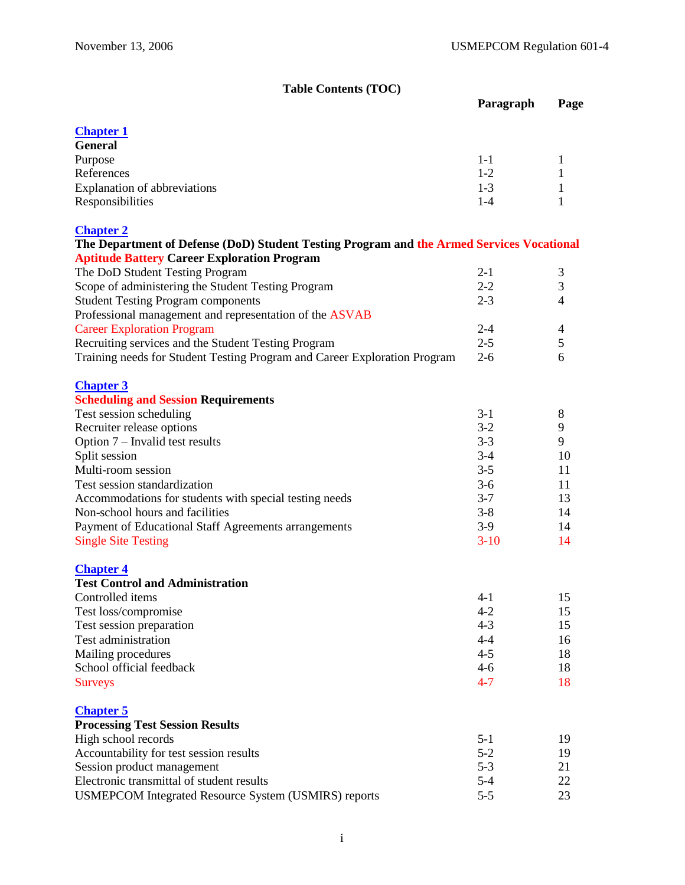# **Table Contents (TOC)**

<span id="page-2-0"></span>

|                                                                                           | Paragraph | Page                     |
|-------------------------------------------------------------------------------------------|-----------|--------------------------|
|                                                                                           |           |                          |
| <b>Chapter 1</b>                                                                          |           |                          |
| <b>General</b>                                                                            |           |                          |
| Purpose                                                                                   | $1-1$     | 1                        |
| References                                                                                | $1-2$     | 1                        |
| <b>Explanation of abbreviations</b>                                                       | $1-3$     | 1                        |
| Responsibilities                                                                          | $1-4$     | 1                        |
| <b>Chapter 2</b>                                                                          |           |                          |
| The Department of Defense (DoD) Student Testing Program and the Armed Services Vocational |           |                          |
| <b>Aptitude Battery Career Exploration Program</b>                                        |           |                          |
| The DoD Student Testing Program                                                           | $2 - 1$   | 3                        |
| Scope of administering the Student Testing Program                                        | $2 - 2$   | 3                        |
| <b>Student Testing Program components</b>                                                 | $2 - 3$   | $\overline{4}$           |
| Professional management and representation of the ASVAB                                   |           |                          |
| <b>Career Exploration Program</b>                                                         | $2 - 4$   | $\overline{\mathcal{A}}$ |
| Recruiting services and the Student Testing Program                                       | $2 - 5$   | 5                        |
| Training needs for Student Testing Program and Career Exploration Program                 | $2 - 6$   | 6                        |
|                                                                                           |           |                          |
| <b>Chapter 3</b>                                                                          |           |                          |
| <b>Scheduling and Session Requirements</b>                                                |           |                          |
| Test session scheduling                                                                   | $3-1$     | 8                        |
| Recruiter release options                                                                 | $3 - 2$   | 9                        |
| Option 7 – Invalid test results                                                           | $3 - 3$   | 9                        |
| Split session                                                                             | $3-4$     | 10                       |
| Multi-room session                                                                        | $3 - 5$   | 11                       |
| Test session standardization                                                              | $3-6$     | 11                       |
| Accommodations for students with special testing needs                                    | $3 - 7$   | 13                       |
| Non-school hours and facilities                                                           | $3 - 8$   | 14                       |
| Payment of Educational Staff Agreements arrangements                                      | $3-9$     | 14                       |
| <b>Single Site Testing</b>                                                                | $3-10$    | 14                       |
| <b>Chapter 4</b>                                                                          |           |                          |
| <b>Test Control and Administration</b>                                                    |           |                          |
| Controlled items                                                                          | $4 - 1$   | 15                       |
| Test loss/compromise                                                                      | $4 - 2$   | 15                       |
| Test session preparation                                                                  | $4 - 3$   | 15                       |
| Test administration                                                                       | $4 - 4$   | 16                       |
| Mailing procedures                                                                        | $4 - 5$   | 18                       |
| School official feedback                                                                  | $4 - 6$   | 18                       |
| <b>Surveys</b>                                                                            | $4 - 7$   | 18                       |
| <b>Chapter 5</b>                                                                          |           |                          |
| <b>Processing Test Session Results</b>                                                    |           |                          |
| High school records                                                                       | $5 - 1$   | 19                       |
| Accountability for test session results                                                   | $5 - 2$   | 19                       |
| Session product management                                                                | $5 - 3$   | 21                       |
| Electronic transmittal of student results                                                 | $5 - 4$   | 22                       |
| USMEPCOM Integrated Resource System (USMIRS) reports                                      | $5 - 5$   | 23                       |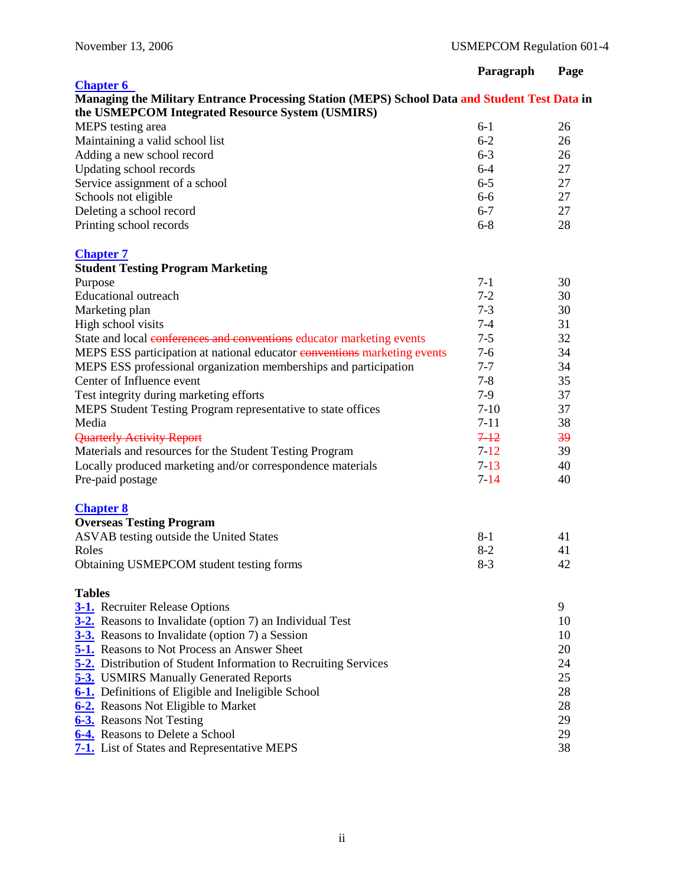|                                                                                               | Paragraph | Page |
|-----------------------------------------------------------------------------------------------|-----------|------|
| <b>Chapter 6</b>                                                                              |           |      |
| Managing the Military Entrance Processing Station (MEPS) School Data and Student Test Data in |           |      |
| the USMEPCOM Integrated Resource System (USMIRS)                                              |           |      |
| MEPS testing area                                                                             | $6-1$     | 26   |
| Maintaining a valid school list                                                               | $6 - 2$   | 26   |
| Adding a new school record                                                                    | $6 - 3$   | 26   |
| Updating school records                                                                       | $6 - 4$   | 27   |
| Service assignment of a school                                                                | $6-5$     | 27   |
| Schools not eligible                                                                          | $6-6$     | 27   |
| Deleting a school record                                                                      | $6 - 7$   | 27   |
| Printing school records                                                                       | $6 - 8$   | 28   |
| <b>Chapter 7</b>                                                                              |           |      |
| <b>Student Testing Program Marketing</b>                                                      |           |      |
| Purpose                                                                                       | $7-1$     | 30   |
| <b>Educational outreach</b>                                                                   | $7 - 2$   | 30   |
| Marketing plan                                                                                | $7 - 3$   | 30   |
| High school visits                                                                            | $7 - 4$   | 31   |
| State and local conferences and conventions educator marketing events                         | $7 - 5$   | 32   |
| MEPS ESS participation at national educator conventions marketing events                      | $7 - 6$   | 34   |
| MEPS ESS professional organization memberships and participation                              | $7 - 7$   | 34   |
| Center of Influence event                                                                     | $7 - 8$   | 35   |
| Test integrity during marketing efforts                                                       | $7-9$     | 37   |
| MEPS Student Testing Program representative to state offices                                  | $7-10$    | 37   |
| Media                                                                                         | $7 - 11$  | 38   |
| <b>Quarterly Activity Report</b>                                                              | $7 - 12$  | 39   |
| Materials and resources for the Student Testing Program                                       | $7 - 12$  | 39   |
| Locally produced marketing and/or correspondence materials                                    | $7 - 13$  | 40   |
| Pre-paid postage                                                                              | $7 - 14$  | 40   |
| <b>Chapter 8</b>                                                                              |           |      |
| <b>Overseas Testing Program</b>                                                               |           |      |
| ASVAB testing outside the United States                                                       | $8 - 1$   | 41   |
| Roles                                                                                         | $8 - 2$   | 41   |
| Obtaining USMEPCOM student testing forms                                                      | $8-3$     | 42   |
| <b>Tables</b>                                                                                 |           |      |
| <b>3-1.</b> Recruiter Release Options                                                         |           | 9    |
| 3-2. Reasons to Invalidate (option 7) an Individual Test                                      |           | 10   |
| 3-3. Reasons to Invalidate (option 7) a Session                                               |           | 10   |
| <b>5-1.</b> Reasons to Not Process an Answer Sheet                                            |           | 20   |
| <b>5-2.</b> Distribution of Student Information to Recruiting Services                        |           | 24   |
| <b>5-3.</b> USMIRS Manually Generated Reports                                                 |           | 25   |
| 6-1. Definitions of Eligible and Ineligible School                                            |           | 28   |
| 6-2. Reasons Not Eligible to Market                                                           |           | 28   |
| 6-3. Reasons Not Testing                                                                      |           | 29   |
| 6-4. Reasons to Delete a School                                                               |           | 29   |
| <b>7-1.</b> List of States and Representative MEPS                                            |           | 38   |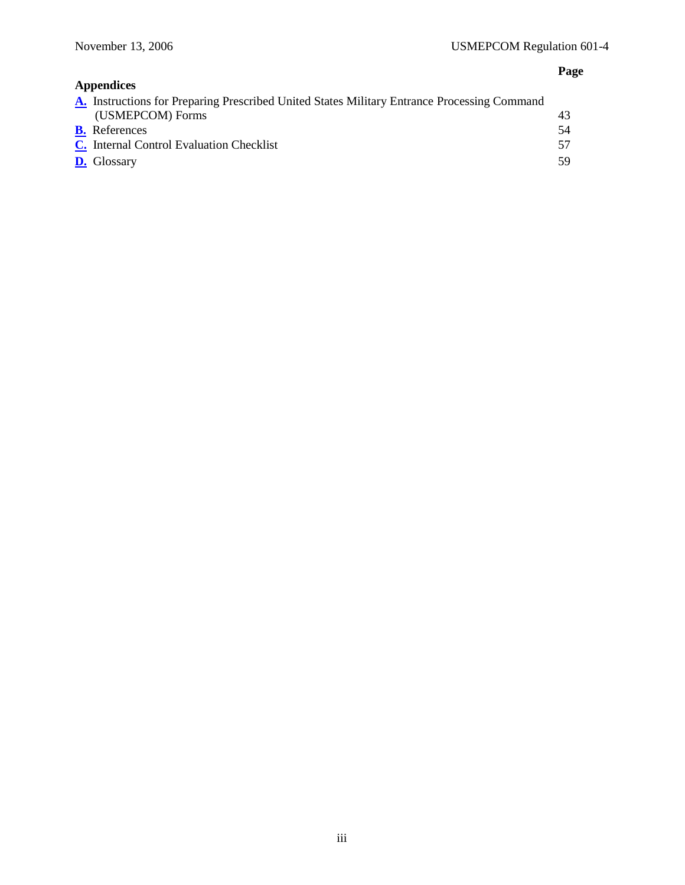# **Page**

| <b>Appendices</b>                                                                                  |     |
|----------------------------------------------------------------------------------------------------|-----|
| <b>A.</b> Instructions for Preparing Prescribed United States Military Entrance Processing Command |     |
| (USMEPCOM) Forms                                                                                   | 43  |
| <b>B.</b> References                                                                               | 54  |
| C. Internal Control Evaluation Checklist                                                           | 57  |
| <b>D.</b> Glossary                                                                                 | 59. |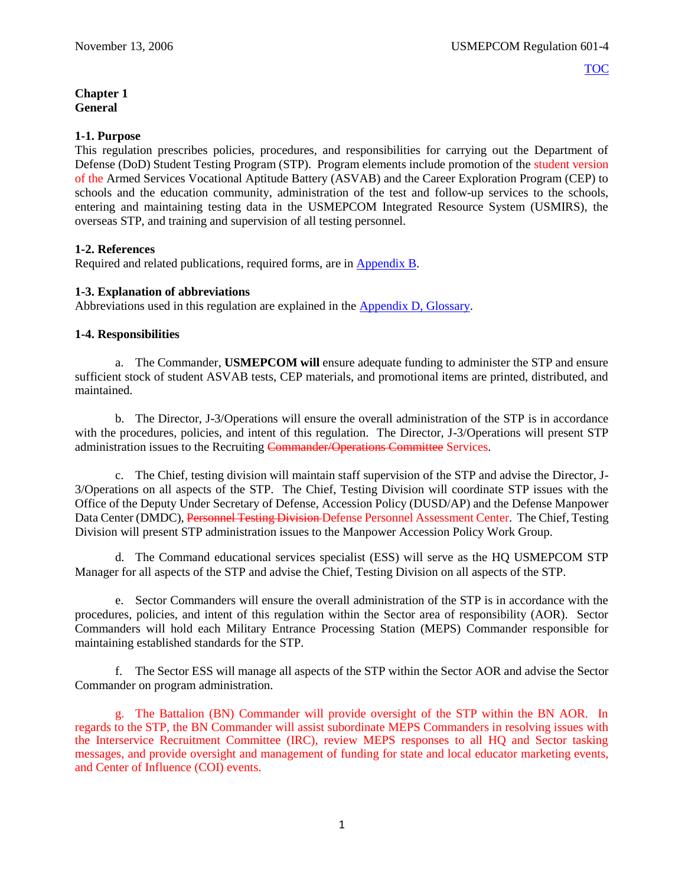## <span id="page-5-0"></span>**Chapter 1 General**

## **1-1. Purpose**

This regulation prescribes policies, procedures, and responsibilities for carrying out the Department of Defense (DoD) Student Testing Program (STP). Program elements include promotion of the student version of the Armed Services Vocational Aptitude Battery (ASVAB) and the Career Exploration Program (CEP) to schools and the education community, administration of the test and follow-up services to the schools, entering and maintaining testing data in the USMEPCOM Integrated Resource System (USMIRS), the overseas STP, and training and supervision of all testing personnel.

## **1-2. References**

Required and related publications, required forms, are i[n Appendix B.](#page-58-0)

## **1-3. Explanation of abbreviations**

Abbreviations used in this regulation are explained in the [Appendix D, Glossary.](#page-63-0)

## **1-4. Responsibilities**

a. The Commander, **USMEPCOM will** ensure adequate funding to administer the STP and ensure sufficient stock of student ASVAB tests, CEP materials, and promotional items are printed, distributed, and maintained.

b. The Director, J-3/Operations will ensure the overall administration of the STP is in accordance with the procedures, policies, and intent of this regulation. The Director, J-3/Operations will present STP administration issues to the Recruiting Commander/Operations Committee Services.

c. The Chief, testing division will maintain staff supervision of the STP and advise the Director, J-3/Operations on all aspects of the STP. The Chief, Testing Division will coordinate STP issues with the Office of the Deputy Under Secretary of Defense, Accession Policy (DUSD/AP) and the Defense Manpower Data Center (DMDC), Personnel Testing Division Defense Personnel Assessment Center. The Chief, Testing Division will present STP administration issues to the Manpower Accession Policy Work Group.

d. The Command educational services specialist (ESS) will serve as the HQ USMEPCOM STP Manager for all aspects of the STP and advise the Chief, Testing Division on all aspects of the STP.

e. Sector Commanders will ensure the overall administration of the STP is in accordance with the procedures, policies, and intent of this regulation within the Sector area of responsibility (AOR). Sector Commanders will hold each Military Entrance Processing Station (MEPS) Commander responsible for maintaining established standards for the STP.

f. The Sector ESS will manage all aspects of the STP within the Sector AOR and advise the Sector Commander on program administration.

g. The Battalion (BN) Commander will provide oversight of the STP within the BN AOR. In regards to the STP, the BN Commander will assist subordinate MEPS Commanders in resolving issues with the Interservice Recruitment Committee (IRC), review MEPS responses to all HQ and Sector tasking messages, and provide oversight and management of funding for state and local educator marketing events, and Center of Influence (COI) events.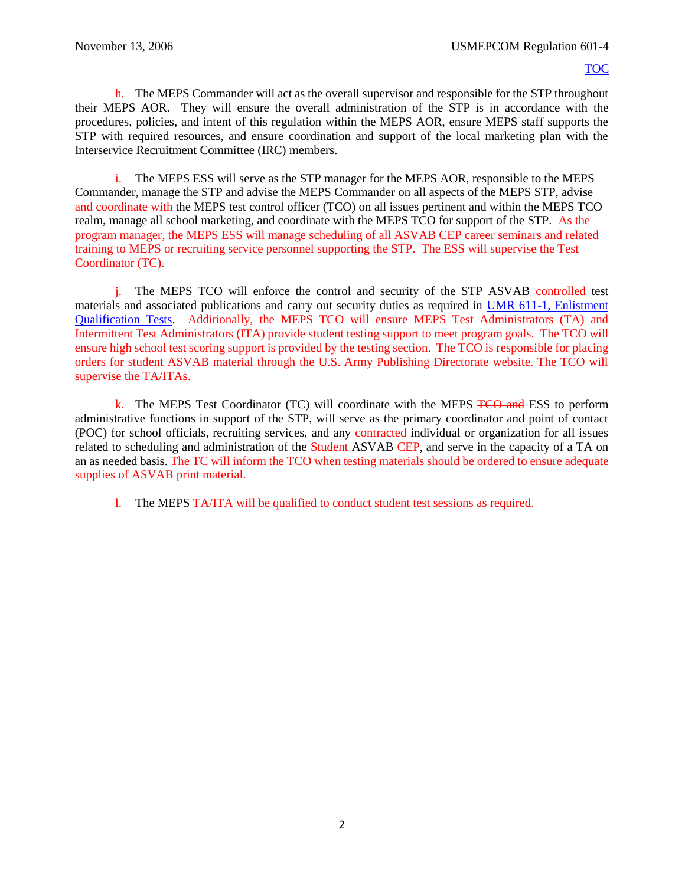h. The MEPS Commander will act as the overall supervisor and responsible for the STP throughout their MEPS AOR. They will ensure the overall administration of the STP is in accordance with the procedures, policies, and intent of this regulation within the MEPS AOR, ensure MEPS staff supports the STP with required resources, and ensure coordination and support of the local marketing plan with the Interservice Recruitment Committee (IRC) members.

i. The MEPS ESS will serve as the STP manager for the MEPS AOR, responsible to the MEPS Commander, manage the STP and advise the MEPS Commander on all aspects of the MEPS STP, advise and coordinate with the MEPS test control officer (TCO) on all issues pertinent and within the MEPS TCO realm, manage all school marketing, and coordinate with the MEPS TCO for support of the STP. As the program manager, the MEPS ESS will manage scheduling of all ASVAB CEP career seminars and related training to MEPS or recruiting service personnel supporting the STP. The ESS will supervise the Test Coordinator (TC).

<span id="page-6-1"></span>j. The MEPS TCO will enforce the control and security of the STP ASVAB controlled test materials and associated publications and carry out security duties as required in [UMR 611-1,](https://spear/Headquarters/J-1%20MEHR/MissionSup/USMEPCOM%20Regulations%20and%20Forms%20Library/UMR%20611-1,%20Enlistment%20Qualification%20Tests/UMR%20611-1,%20Enlistment%20Qualification%20Tests.pdf) Enlistment [Qualification Tests.](https://spear/Headquarters/J-1%20MEHR/MissionSup/USMEPCOM%20Regulations%20and%20Forms%20Library/UMR%20611-1,%20Enlistment%20Qualification%20Tests/UMR%20611-1,%20Enlistment%20Qualification%20Tests.pdf) Additionally, the MEPS TCO will ensure MEPS Test Administrators (TA) and Intermittent Test Administrators (ITA) provide student testing support to meet program goals. The TCO will ensure high school test scoring support is provided by the testing section. The TCO is responsible for placing orders for student ASVAB material through the U.S. Army Publishing Directorate website. The TCO will supervise the TA/ITAs.

k. The MEPS Test Coordinator (TC) will coordinate with the MEPS TCO and ESS to perform administrative functions in support of the STP, will serve as the primary coordinator and point of contact (POC) for school officials, recruiting services, and any contracted individual or organization for all issues related to scheduling and administration of the **Student**-ASVAB CEP, and serve in the capacity of a TA on an as needed basis. The TC will inform the TCO when testing materials should be ordered to ensure adequate supplies of ASVAB print material.

<span id="page-6-0"></span>l. The MEPS TA/ITA will be qualified to conduct student test sessions as required.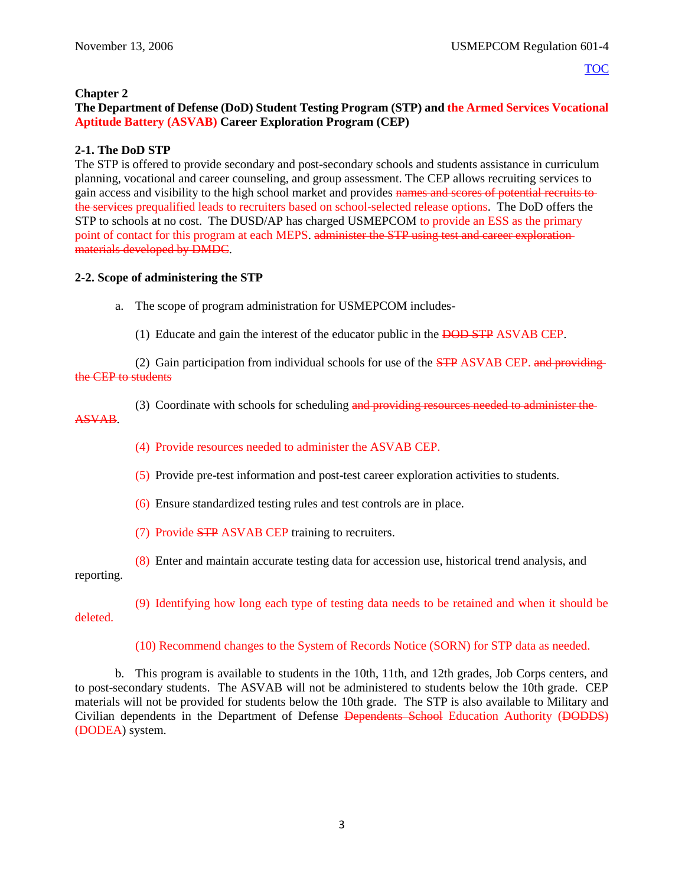#### **Chapter 2**

## **The Department of Defense (DoD) Student Testing Program (STP) and the Armed Services Vocational Aptitude Battery (ASVAB) Career Exploration Program (CEP)**

## **2-1. The DoD STP**

The STP is offered to provide secondary and post-secondary schools and students assistance in curriculum planning, vocational and career counseling, and group assessment. The CEP allows recruiting services to gain access and visibility to the high school market and provides names and scores of potential recruits to the services prequalified leads to recruiters based on school-selected release options. The DoD offers the STP to schools at no cost. The DUSD/AP has charged USMEPCOM to provide an ESS as the primary point of contact for this program at each MEPS. administer the STP using test and career explorationmaterials developed by DMDC.

#### **2-2. Scope of administering the STP**

a. The scope of program administration for USMEPCOM includes-

(1) Educate and gain the interest of the educator public in the DOD STP ASVAB CEP.

(2) Gain participation from individual schools for use of the STP ASVAB CEP. and providing the CEP to students

- (3) Coordinate with schools for scheduling and providing resources needed to administer the ASVAB.
	- (4) Provide resources needed to administer the ASVAB CEP.
	- (5) Provide pre-test information and post-test career exploration activities to students.
	- (6) Ensure standardized testing rules and test controls are in place.
	- (7) Provide STP ASVAB CEP training to recruiters.
	- (8) Enter and maintain accurate testing data for accession use, historical trend analysis, and

reporting.

(9) Identifying how long each type of testing data needs to be retained and when it should be deleted.

(10) Recommend changes to the System of Records Notice (SORN) for STP data as needed.

b. This program is available to students in the 10th, 11th, and 12th grades, Job Corps centers, and to post-secondary students. The ASVAB will not be administered to students below the 10th grade. CEP materials will not be provided for students below the 10th grade. The STP is also available to Military and Civilian dependents in the Department of Defense Dependents School Education Authority (DODDS) (DODEA) system.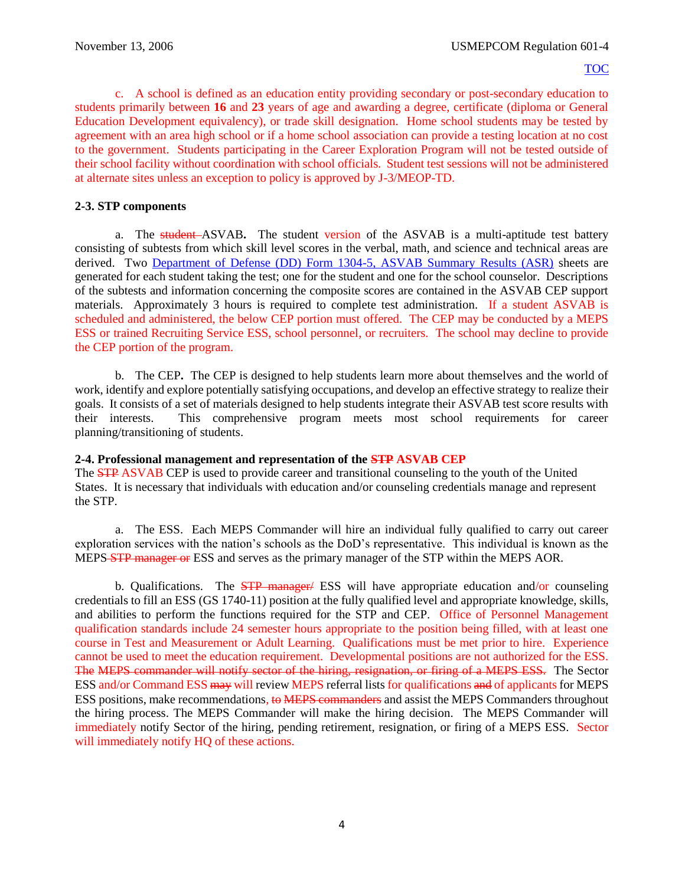c. A school is defined as an education entity providing secondary or post-secondary education to students primarily between **16** and **23** years of age and awarding a degree, certificate (diploma or General Education Development equivalency), or trade skill designation. Home school students may be tested by agreement with an area high school or if a home school association can provide a testing location at no cost to the government. Students participating in the Career Exploration Program will not be tested outside of their school facility without coordination with school officials. Student test sessions will not be administered at alternate sites unless an exception to policy is approved by J-3/MEOP-TD.

## **2-3. STP components**

a. The student ASVAB**.** The student version of the ASVAB is a multi-aptitude test battery consisting of subtests from which skill level scores in the verbal, math, and science and technical areas are derived. Two [Department of Defense \(DD\) Form 1304-5,](http://www.dtic.mil/whs/directives/forms/forminfo/forminfopage2389.html) ASVAB Summary Results (ASR) sheets are generated for each student taking the test; one for the student and one for the school counselor. Descriptions of the subtests and information concerning the composite scores are contained in the ASVAB CEP support materials. Approximately 3 hours is required to complete test administration. If a student ASVAB is scheduled and administered, the below CEP portion must offered. The CEP may be conducted by a MEPS ESS or trained Recruiting Service ESS, school personnel, or recruiters. The school may decline to provide the CEP portion of the program.

b. The CEP**.** The CEP is designed to help students learn more about themselves and the world of work, identify and explore potentially satisfying occupations, and develop an effective strategy to realize their goals. It consists of a set of materials designed to help students integrate their ASVAB test score results with their interests. This comprehensive program meets most school requirements for career planning/transitioning of students.

## **2-4. Professional management and representation of the STP ASVAB CEP**

The STP ASVAB CEP is used to provide career and transitional counseling to the youth of the United States. It is necessary that individuals with education and/or counseling credentials manage and represent the STP.

a. The ESS. Each MEPS Commander will hire an individual fully qualified to carry out career exploration services with the nation's schools as the DoD's representative. This individual is known as the MEPS<del>-STP manager or</del> ESS and serves as the primary manager of the STP within the MEPS AOR.

b. Qualifications. The  $STP$  manager/ ESS will have appropriate education and/or counseling credentials to fill an ESS (GS 1740-11) position at the fully qualified level and appropriate knowledge, skills, and abilities to perform the functions required for the STP and CEP. Office of Personnel Management qualification standards include 24 semester hours appropriate to the position being filled, with at least one course in Test and Measurement or Adult Learning. Qualifications must be met prior to hire. Experience cannot be used to meet the education requirement. Developmental positions are not authorized for the ESS. The MEPS commander will notify sector of the hiring, resignation, or firing of a MEPS ESS. The Sector ESS and/or Command ESS may will review MEPS referral lists for qualifications and of applicants for MEPS ESS positions, make recommendations, to MEPS commanders and assist the MEPS Commanders throughout the hiring process. The MEPS Commander will make the hiring decision. The MEPS Commander will immediately notify Sector of the hiring, pending retirement, resignation, or firing of a MEPS ESS. Sector will immediately notify HQ of these actions.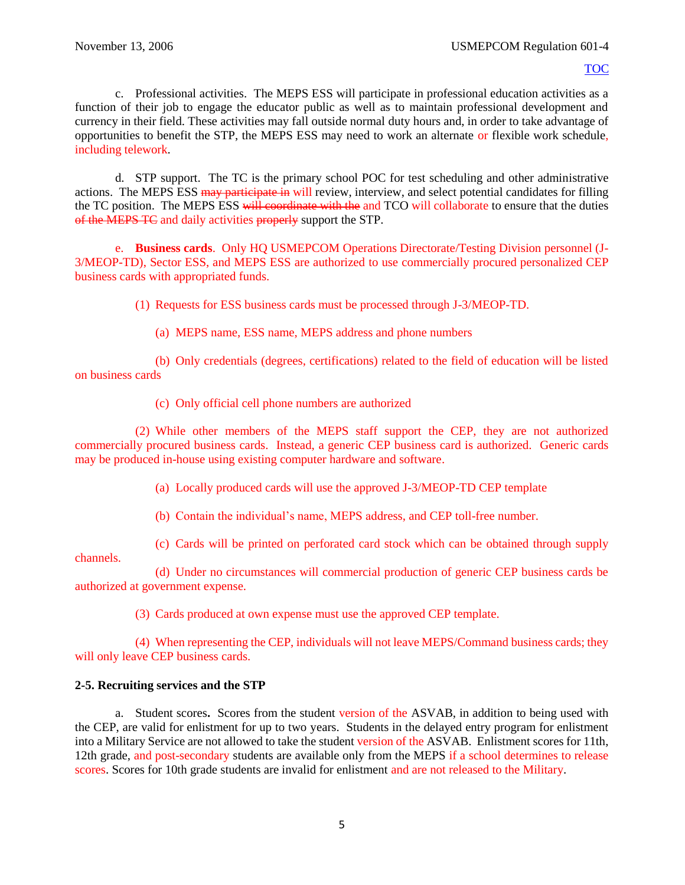c. Professional activities. The MEPS ESS will participate in professional education activities as a function of their job to engage the educator public as well as to maintain professional development and currency in their field. These activities may fall outside normal duty hours and, in order to take advantage of opportunities to benefit the STP, the MEPS ESS may need to work an alternate or flexible work schedule, including telework.

d. STP support.The TC is the primary school POC for test scheduling and other administrative actions. The MEPS ESS may participate in will review, interview, and select potential candidates for filling the TC position. The MEPS ESS will coordinate with the and TCO will collaborate to ensure that the duties of the MEPS TC and daily activities properly support the STP.

e. **Business cards**. Only HQ USMEPCOM Operations Directorate/Testing Division personnel (J-3/MEOP-TD), Sector ESS, and MEPS ESS are authorized to use commercially procured personalized CEP business cards with appropriated funds.

(1) Requests for ESS business cards must be processed through J-3/MEOP-TD.

(a) MEPS name, ESS name, MEPS address and phone numbers

(b) Only credentials (degrees, certifications) related to the field of education will be listed on business cards

(c) Only official cell phone numbers are authorized

(2) While other members of the MEPS staff support the CEP, they are not authorized commercially procured business cards. Instead, a generic CEP business card is authorized. Generic cards may be produced in-house using existing computer hardware and software.

- (a) Locally produced cards will use the approved J-3/MEOP-TD CEP template
- (b) Contain the individual's name, MEPS address, and CEP toll-free number.
- (c) Cards will be printed on perforated card stock which can be obtained through supply

channels.

(d) Under no circumstances will commercial production of generic CEP business cards be authorized at government expense.

(3) Cards produced at own expense must use the approved CEP template.

(4) When representing the CEP, individuals will not leave MEPS/Command business cards; they will only leave CEP business cards.

## **2-5. Recruiting services and the STP**

a. Student scores**.** Scores from the student version of the ASVAB, in addition to being used with the CEP, are valid for enlistment for up to two years. Students in the delayed entry program for enlistment into a Military Service are not allowed to take the student version of the ASVAB. Enlistment scores for 11th, 12th grade, and post-secondary students are available only from the MEPS if a school determines to release scores. Scores for 10th grade students are invalid for enlistment and are not released to the Military.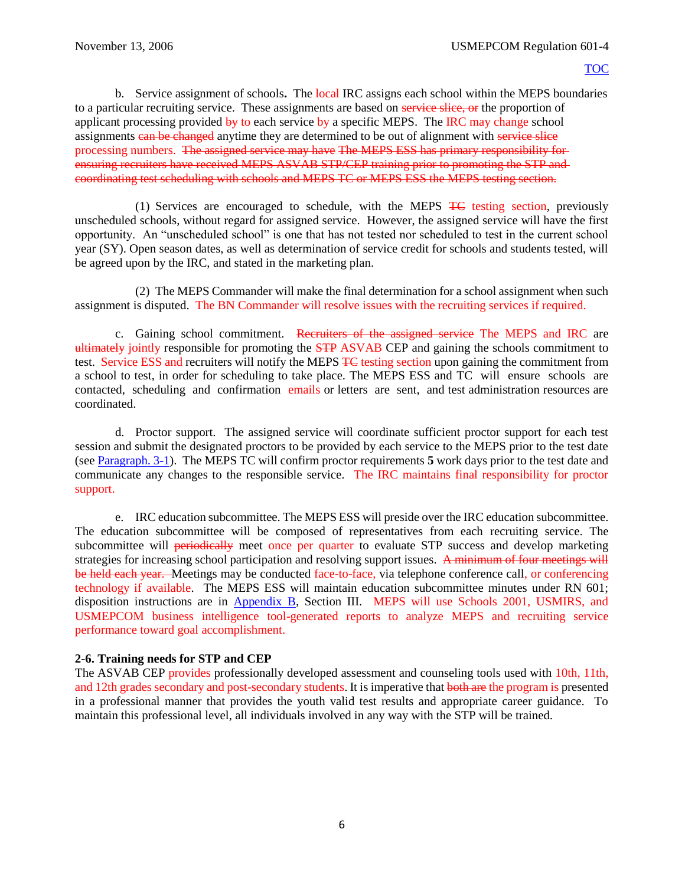<span id="page-10-0"></span>b. Service assignment of schools**.** The local IRC assigns each school within the MEPS boundaries to a particular recruiting service. These assignments are based on service slice, or the proportion of applicant processing provided by to each service by a specific MEPS. The IRC may change school assignments can be changed anytime they are determined to be out of alignment with service slice processing numbers. The assigned service may have The MEPS ESS has primary responsibility for ensuring recruiters have received MEPS ASVAB STP/CEP training prior to promoting the STP and coordinating test scheduling with schools and MEPS TC or MEPS ESS the MEPS testing section.

(1) Services are encouraged to schedule, with the MEPS TC testing section, previously unscheduled schools, without regard for assigned service. However, the assigned service will have the first opportunity. An "unscheduled school" is one that has not tested nor scheduled to test in the current school year (SY). Open season dates, as well as determination of service credit for schools and students tested, will be agreed upon by the IRC, and stated in the marketing plan.

(2) The MEPS Commander will make the final determination for a school assignment when such assignment is disputed. The BN Commander will resolve issues with the recruiting services if required.

c. Gaining school commitment. Recruiters of the assigned service The MEPS and IRC are ultimately jointly responsible for promoting the **STP** ASVAB CEP and gaining the schools commitment to test. Service ESS and recruiters will notify the MEPS TC testing section upon gaining the commitment from a school to test, in order for scheduling to take place. The MEPS ESS and TC will ensure schools are contacted, scheduling and confirmation emails or letters are sent, and test administration resources are coordinated.

d. Proctor support. The assigned service will coordinate sufficient proctor support for each test session and submit the designated proctors to be provided by each service to the MEPS prior to the test date (see [Paragraph. 3-1\)](#page-12-0). The MEPS TC will confirm proctor requirements **5** work days prior to the test date and communicate any changes to the responsible service. The IRC maintains final responsibility for proctor support.

e. IRC education subcommittee. The MEPS ESS will preside over the IRC education subcommittee. The education subcommittee will be composed of representatives from each recruiting service. The subcommittee will periodically meet once per quarter to evaluate STP success and develop marketing strategies for increasing school participation and resolving support issues. A minimum of four meetings will be held each year. Meetings may be conducted face-to-face, via telephone conference call, or conferencing technology if available. The MEPS ESS will maintain education subcommittee minutes under RN 601; disposition instructions are in [Appendix B,](#page-58-0) Section III. MEPS will use Schools 2001, USMIRS, and USMEPCOM business intelligence tool-generated reports to analyze MEPS and recruiting service performance toward goal accomplishment.

## **2-6. Training needs for STP and CEP**

The ASVAB CEP provides professionally developed assessment and counseling tools used with 10th, 11th, and 12th grades secondary and post-secondary students. It is imperative that both are the program is presented in a professional manner that provides the youth valid test results and appropriate career guidance. To maintain this professional level, all individuals involved in any way with the STP will be trained.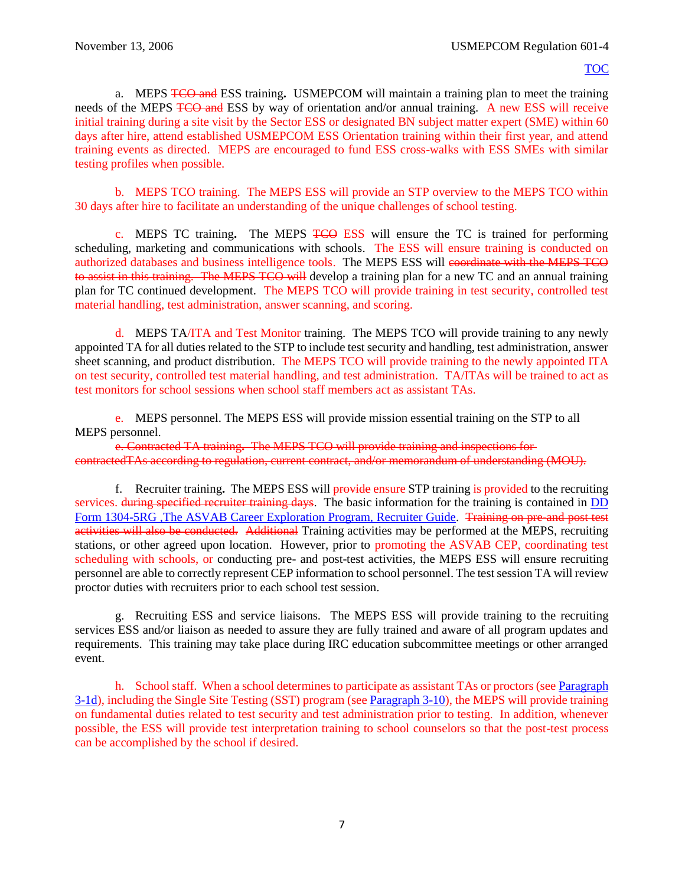a. MEPS TCO and ESS training**.** USMEPCOM will maintain a training plan to meet the training needs of the MEPS TCO and ESS by way of orientation and/or annual training. A new ESS will receive initial training during a site visit by the Sector ESS or designated BN subject matter expert (SME) within 60 days after hire, attend established USMEPCOM ESS Orientation training within their first year, and attend training events as directed. MEPS are encouraged to fund ESS cross-walks with ESS SMEs with similar testing profiles when possible.

b. MEPS TCO training. The MEPS ESS will provide an STP overview to the MEPS TCO within 30 days after hire to facilitate an understanding of the unique challenges of school testing.

c. MEPS TC training**.** The MEPS TCO ESS will ensure the TC is trained for performing scheduling, marketing and communications with schools. The ESS will ensure training is conducted on authorized databases and business intelligence tools. The MEPS ESS will coordinate with the MEPS TCO to assist in this training. The MEPS TCO will develop a training plan for a new TC and an annual training plan for TC continued development. The MEPS TCO will provide training in test security, controlled test material handling, test administration, answer scanning, and scoring.

d. MEPS TA/ITA and Test Monitor training. The MEPS TCO will provide training to any newly appointed TA for all duties related to the STP to include test security and handling, test administration, answer sheet scanning, and product distribution. The MEPS TCO will provide training to the newly appointed ITA on test security, controlled test material handling, and test administration. TA/ITAs will be trained to act as test monitors for school sessions when school staff members act as assistant TAs.

e. MEPS personnel. The MEPS ESS will provide mission essential training on the STP to all MEPS personnel.

e. Contracted TA training**.** The MEPS TCO will provide training and inspections for contractedTAs according to regulation, current contract, and/or memorandum of understanding (MOU).

f. Recruiter training**.** The MEPS ESS will provide ensure STP training is provided to the recruiting services. during specified recruiter training days. The basic information for the training is contained in DD Form 1304-5RG , The ASVAB Career Exploration Program, Recruiter Guide. Training on pre-and post test activities will also be conducted. Additional Training activities may be performed at the MEPS, recruiting stations, or other agreed upon location. However, prior to promoting the ASVAB CEP, coordinating test scheduling with schools, or conducting pre- and post-test activities, the MEPS ESS will ensure recruiting personnel are able to correctly represent CEP information to school personnel. The test session TA will review proctor duties with recruiters prior to each school test session.

g. Recruiting ESS and service liaisons. The MEPS ESS will provide training to the recruiting services ESS and/or liaison as needed to assure they are fully trained and aware of all program updates and requirements. This training may take place during IRC education subcommittee meetings or other arranged event.

<span id="page-11-0"></span>h. School staff. When a school determines to participate as assistant TAs or proctors (se[e Paragraph](#page-12-1) [3-1d\)](#page-12-1), including the Single Site Testing (SST) program (se[e Paragraph](#page-18-0) 3-10), the MEPS will provide training on fundamental duties related to test security and test administration prior to testing. In addition, whenever possible, the ESS will provide test interpretation training to school counselors so that the post-test process can be accomplished by the school if desired.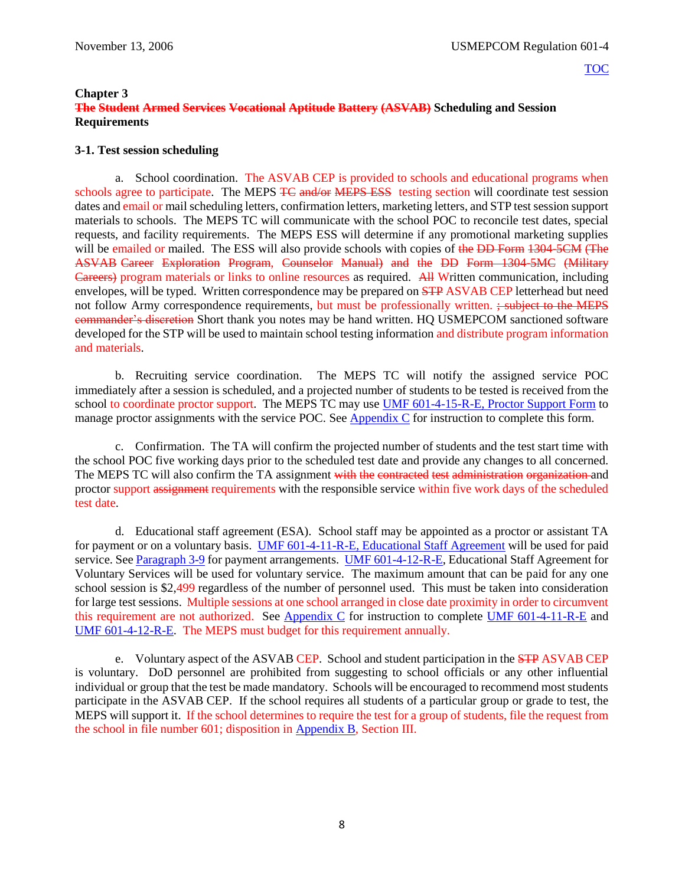## **Chapter 3**

## **The Student Armed Services Vocational Aptitude Battery (ASVAB) Scheduling and Session Requirements**

## <span id="page-12-0"></span>**3-1. Test session scheduling**

a. School coordination. The ASVAB CEP is provided to schools and educational programs when schools agree to participate. The MEPS TC and/or MEPS ESS testing section will coordinate test session dates and email or mail scheduling letters, confirmation letters, marketing letters, and STP test session support materials to schools. The MEPS TC will communicate with the school POC to reconcile test dates, special requests, and facility requirements. The MEPS ESS will determine if any promotional marketing supplies will be emailed or mailed. The ESS will also provide schools with copies of the DD Form 1304-5CM (The ASVAB Career Exploration Program, Counselor Manual) and the DD Form 1304-5MC (Military Careers) program materials or links to online resources as required. All Written communication, including envelopes, will be typed. Written correspondence may be prepared on **STP** ASVAB CEP letterhead but need not follow Army correspondence requirements, but must be professionally written. ; subject to the MEPS commander's discretion Short thank you notes may be hand written. HQ USMEPCOM sanctioned software developed for the STP will be used to maintain school testing information and distribute program information and materials.

b. Recruiting service coordination. The MEPS TC will notify the assigned service POC immediately after a session is scheduled, and a projected number of students to be tested is received from the school to coordinate proctor support. The MEPS TC may use [UMF 601-4-15-R-E, Proctor Support Form](https://spear/Headquarters/J-1%20MEHR/MissionSup/USMEPCOM%20Regulations%20and%20Forms%20Library/UMR%20601-4,%20Student%20Testing%20Program/UMF%20601-4-15-R-E,%20Proctor%20Support%20Form.xfdl) to manage proctor assignments with the service POC. See [Appendix C](#page-61-0) for instruction to complete this form.

c. Confirmation. The TA will confirm the projected number of students and the test start time with the school POC five working days prior to the scheduled test date and provide any changes to all concerned. The MEPS TC will also confirm the TA assignment with the contracted test administration organization and proctor support assignment requirements with the responsible service within five work days of the scheduled test date.

<span id="page-12-1"></span>d. Educational staff agreement (ESA). School staff may be appointed as a proctor or assistant TA for payment or on a voluntary basis. [UMF 601-4-11-R-E, Educational Staff Agreement](https://spear/Headquarters/J-1%20MEHR/MissionSup/USMEPCOM%20Regulations%20and%20Forms%20Library/UMR%20601-4,%20Student%20Testing%20Program/UMF%20601-4-11-R-E,%20Educational%20Staff%20Agreement.pdf) will be used for paid service. Se[e Paragraph 3-9](#page-18-1) for payment arrangements. [UMF 601-4-12-R-E,](https://spear/Headquarters/J-1%20MEHR/MissionSup/USMEPCOM%20Regulations%20and%20Forms%20Library/UMR%20601-4,%20Student%20Testing%20Program/UMF%20601-4-12-R-E,%20Educational%20Staff%20Agreement%20for%20Voluntary%20Services.pdf) Educational Staff Agreement for Voluntary Services will be used for voluntary service. The maximum amount that can be paid for any one school session is \$2,499 regardless of the number of personnel used. This must be taken into consideration for large test sessions. Multiple sessions at one school arranged in close date proximity in order to circumvent this requirement are not authorized. See [Appendix C](#page-61-0) for instruction to complete [UMF 601-4-11-R-E](https://spear/Headquarters/J-1%20MEHR/MissionSup/USMEPCOM%20Regulations%20and%20Forms%20Library/UMR%20601-4,%20Student%20Testing%20Program/UMF%20601-4-11-R-E,%20Educational%20Staff%20Agreement.pdf) and [UMF 601-4-12-R-E.](https://spear/Headquarters/J-1%20MEHR/MissionSup/USMEPCOM%20Regulations%20and%20Forms%20Library/UMR%20601-4,%20Student%20Testing%20Program/UMF%20601-4-12-R-E,%20Educational%20Staff%20Agreement%20for%20Voluntary%20Services.pdf) The MEPS must budget for this requirement annually.

e. Voluntary aspect of the ASVAB CEP. School and student participation in the STP ASVAB CEP is voluntary. DoD personnel are prohibited from suggesting to school officials or any other influential individual or group that the test be made mandatory. Schools will be encouraged to recommend most students participate in the ASVAB CEP. If the school requires all students of a particular group or grade to test, the MEPS will support it. If the school determines to require the test for a group of students, file the request from the school in file number 601; disposition in [Appendix B](#page-47-0), Section III.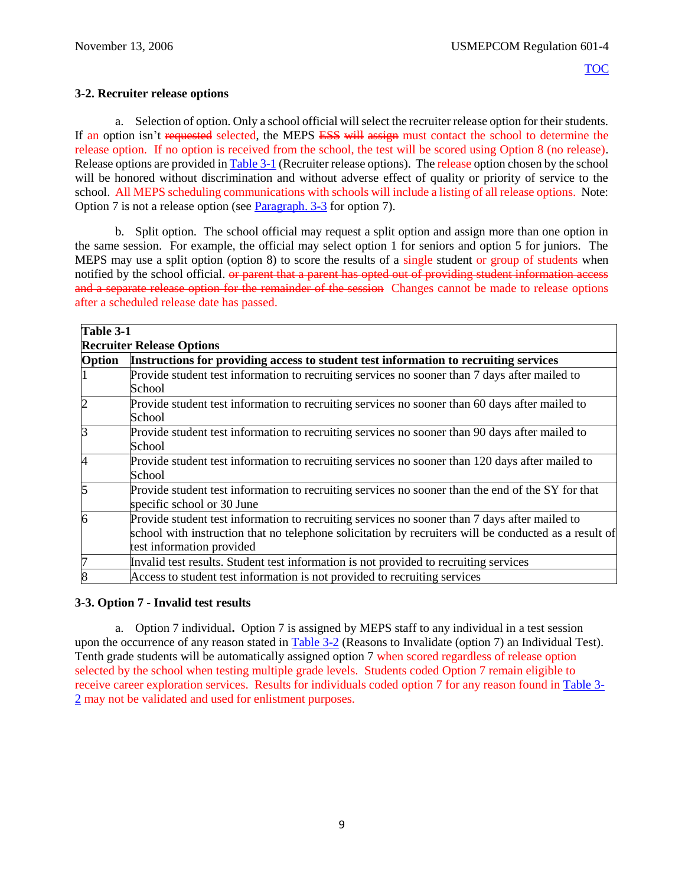## **3-2. Recruiter release options**

a. Selection of option. Only a school official will select the recruiter release option for their students. If an option isn't requested selected, the MEPS ESS will assign must contact the school to determine the release option. If no option is received from the school, the test will be scored using Option 8 (no release). Release options are provided i[n Table 3-1](#page-13-0) (Recruiter release options). The release option chosen by the school will be honored without discrimination and without adverse effect of quality or priority of service to the school. All MEPS scheduling communications with schools will include a listing of all release options. Note: Option 7 is not a release option (see [Paragraph. 3-3](#page-13-1) for option 7).

b. Split option. The school official may request a split option and assign more than one option in the same session. For example, the official may select option 1 for seniors and option 5 for juniors. The MEPS may use a split option (option 8) to score the results of a single student or group of students when notified by the school official. <del>or parent that a parent has opted out of providing student information access</del> and a separate release option for the remainder of the session Changes cannot be made to release options after a scheduled release date has passed.

<span id="page-13-0"></span>

|                                  | Table 3-1                                                                                                                                                                                                                           |  |
|----------------------------------|-------------------------------------------------------------------------------------------------------------------------------------------------------------------------------------------------------------------------------------|--|
| <b>Recruiter Release Options</b> |                                                                                                                                                                                                                                     |  |
| Option                           | Instructions for providing access to student test information to recruiting services                                                                                                                                                |  |
|                                  | Provide student test information to recruiting services no sooner than 7 days after mailed to<br>School                                                                                                                             |  |
| $\overline{c}$                   | Provide student test information to recruiting services no sooner than 60 days after mailed to<br>School                                                                                                                            |  |
| $\overline{3}$                   | Provide student test information to recruiting services no sooner than 90 days after mailed to<br>School                                                                                                                            |  |
| $\overline{4}$                   | Provide student test information to recruiting services no sooner than 120 days after mailed to<br>School                                                                                                                           |  |
| 5                                | Provide student test information to recruiting services no sooner than the end of the SY for that<br>specific school or 30 June                                                                                                     |  |
| 6                                | Provide student test information to recruiting services no sooner than 7 days after mailed to<br>school with instruction that no telephone solicitation by recruiters will be conducted as a result of<br>test information provided |  |
| 7                                | Invalid test results. Student test information is not provided to recruiting services                                                                                                                                               |  |
|                                  | Access to student test information is not provided to recruiting services                                                                                                                                                           |  |

## <span id="page-13-1"></span>**3-3. Option 7 - Invalid test results**

a. Option 7 individual**.** Option 7 is assigned by MEPS staff to any individual in a test session upon the occurrence of any reason stated in [Table 3-2](#page-14-0) (Reasons to Invalidate (option 7) an Individual Test). Tenth grade students will be automatically assigned option 7 when scored regardless of release option selected by the school when testing multiple grade levels. Students coded Option 7 remain eligible to receive career exploration services. Results for individuals coded option 7 for any reason found in [Table 3-](#page-14-0) [2](#page-14-0) may not be validated and used for enlistment purposes.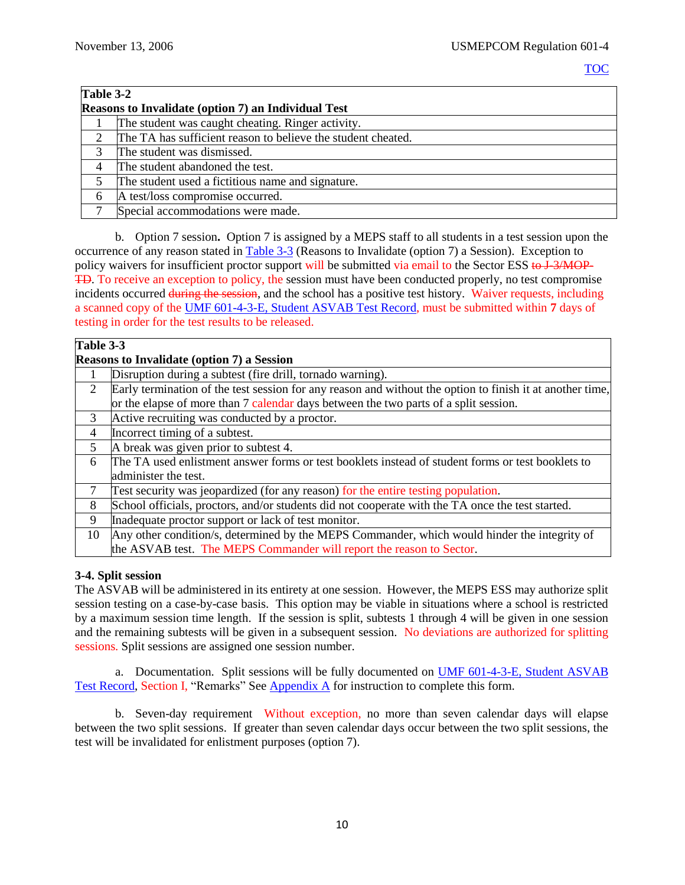<span id="page-14-0"></span>

| Table 3-2 |                                                              |  |  |
|-----------|--------------------------------------------------------------|--|--|
|           | <b>Reasons to Invalidate (option 7) an Individual Test</b>   |  |  |
|           | The student was caught cheating. Ringer activity.            |  |  |
|           | The TA has sufficient reason to believe the student cheated. |  |  |
|           | The student was dismissed.                                   |  |  |
|           | The student abandoned the test.                              |  |  |
|           | The student used a fictitious name and signature.            |  |  |
|           | A test/loss compromise occurred.                             |  |  |
|           | Special accommodations were made.                            |  |  |

<span id="page-14-2"></span>b. Option 7 session**.** Option 7 is assigned by a MEPS staff to all students in a test session upon the occurrence of any reason stated i[n Table 3-3](#page-14-1) (Reasons to Invalidate (option 7) a Session). Exception to policy waivers for insufficient proctor support will be submitted via email to the Sector ESS to J-3/MOP-TD. To receive an exception to policy, the session must have been conducted properly, no test compromise incidents occurred during the session, and the school has a positive test history. Waiver requests, including a scanned copy of the [UMF 601-4-3-E, Student ASVAB Test Record,](https://spear/Headquarters/J-1%20MEHR/MissionSup/USMEPCOM%20Regulations%20and%20Forms%20Library/UMR%20601-4,%20Student%20Testing%20Program/UMF%20601-4-3-E,%20Student%20ASVAB%20Test%20Record.xfdl) must be submitted within **7** days of testing in order for the test results to be released.

<span id="page-14-1"></span>

| Table 3-3      |                                                                                                           |  |  |  |
|----------------|-----------------------------------------------------------------------------------------------------------|--|--|--|
|                | <b>Reasons to Invalidate (option 7) a Session</b>                                                         |  |  |  |
|                | Disruption during a subtest (fire drill, tornado warning).                                                |  |  |  |
| $\overline{2}$ | Early termination of the test session for any reason and without the option to finish it at another time, |  |  |  |
|                | or the elapse of more than 7 calendar days between the two parts of a split session.                      |  |  |  |
| 3              | Active recruiting was conducted by a proctor.                                                             |  |  |  |
| 4              | Incorrect timing of a subtest.                                                                            |  |  |  |
| 5              | A break was given prior to subtest 4.                                                                     |  |  |  |
| 6              | The TA used enlistment answer forms or test booklets instead of student forms or test booklets to         |  |  |  |
|                | administer the test.                                                                                      |  |  |  |
|                | Test security was jeopardized (for any reason) for the entire testing population.                         |  |  |  |
| 8              | School officials, proctors, and/or students did not cooperate with the TA once the test started.          |  |  |  |
| 9              | Inadequate proctor support or lack of test monitor.                                                       |  |  |  |
| 10             | Any other condition/s, determined by the MEPS Commander, which would hinder the integrity of              |  |  |  |
|                | the ASVAB test. The MEPS Commander will report the reason to Sector.                                      |  |  |  |

## **3-4. Split session**

The ASVAB will be administered in its entirety at one session. However, the MEPS ESS may authorize split session testing on a case-by-case basis. This option may be viable in situations where a school is restricted by a maximum session time length. If the session is split, subtests 1 through 4 will be given in one session and the remaining subtests will be given in a subsequent session. No deviations are authorized for splitting sessions. Split sessions are assigned one session number.

a. Documentation. Split sessions will be fully documented on [UMF 601-4-3-E, Student ASVAB](https://spear/Headquarters/J-1%20MEHR/MissionSup/USMEPCOM%20Regulations%20and%20Forms%20Library/UMR%20601-4,%20Student%20Testing%20Program/UMF%20601-4-3-E,%20Student%20ASVAB%20Test%20Record.xfdl)  [Test Record,](https://spear/Headquarters/J-1%20MEHR/MissionSup/USMEPCOM%20Regulations%20and%20Forms%20Library/UMR%20601-4,%20Student%20Testing%20Program/UMF%20601-4-3-E,%20Student%20ASVAB%20Test%20Record.xfdl) Section I, "Remarks" See [Appendix A](#page-61-0) for instruction to complete this form.

b. Seven-day requirement Without exception, no more than seven calendar days will elapse between the two split sessions. If greater than seven calendar days occur between the two split sessions, the test will be invalidated for enlistment purposes (option 7).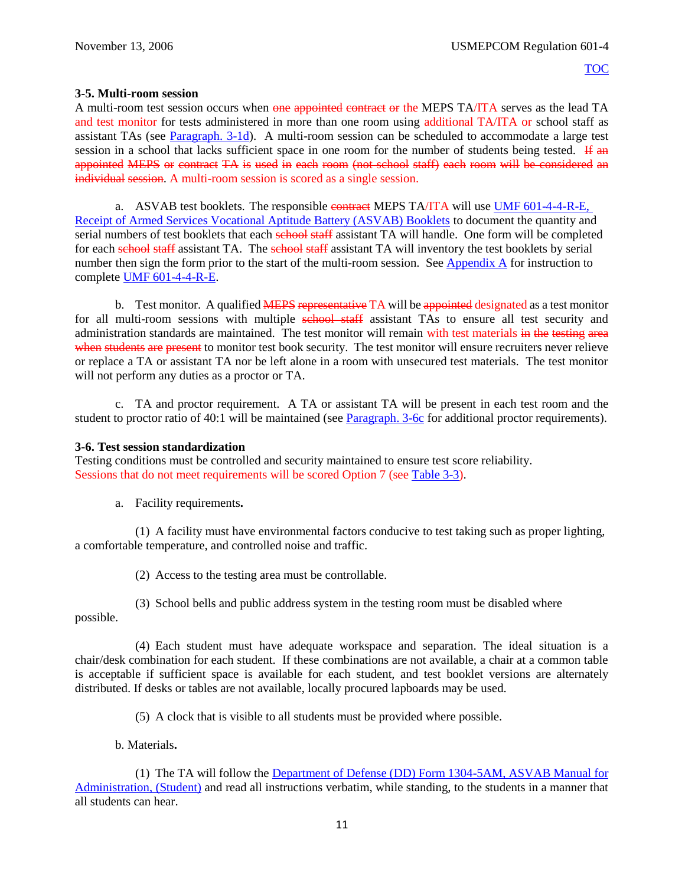## **3-5. Multi-room session**

A multi-room test session occurs when one appointed contract or the MEPS TA/ITA serves as the lead TA and test monitor for tests administered in more than one room using additional TA/ITA or school staff as assistant TAs (see [Paragraph. 3-1d\)](#page-12-1). A multi-room session can be scheduled to accommodate a large test session in a school that lacks sufficient space in one room for the number of students being tested. If  $\mathbf{a}$ appointed MEPS or contract TA is used in each room (not school staff) each room will be considered an individual session. A multi-room session is scored as a single session.

a. ASVAB test booklets. The responsible contract MEPS TA/ITA will use UMF 601-4-4-R-E, [Receipt of Armed Services Vocational Aptitude Battery \(ASVAB\) Booklets](https://spear/Headquarters/J-1%20MEHR/MissionSup/USMEPCOM%20Regulations%20and%20Forms%20Library/UMR%20601-4,%20Student%20Testing%20Program/UMF%20601-4-4-R-E,%20Receipt%20of%20Armed%20Services%20Vocational%20Aptitude%20Battery%20(ASVAB)%20Booklets.xfdl) to document the quantity and serial numbers of test booklets that each school staff assistant TA will handle. One form will be completed for each school staff assistant TA. The school staff assistant TA will inventory the test booklets by serial number then sign the form prior to the start of the multi-room session. See [Appendix A](#page-61-0) for instruction to complete [UMF 601-4-4-R-E.](https://spear/Headquarters/J-1%20MEHR/MissionSup/USMEPCOM%20Regulations%20and%20Forms%20Library/UMR%20601-4,%20Student%20Testing%20Program/UMF%20601-4-4-R-E,%20Receipt%20of%20Armed%20Services%20Vocational%20Aptitude%20Battery%20(ASVAB)%20Booklets.xfdl)

b. Test monitor. A qualified **MEPS representative** TA will be appointed designated as a test monitor for all multi-room sessions with multiple school staff assistant TAs to ensure all test security and administration standards are maintained. The test monitor will remain with test materials in the testing area when students are present to monitor test book security. The test monitor will ensure recruiters never relieve or replace a TA or assistant TA nor be left alone in a room with unsecured test materials. The test monitor will not perform any duties as a proctor or TA.

c. TA and proctor requirement.A TA or assistant TA will be present in each test room and the student to proctor ratio of 40:1 will be maintained (see [Paragraph. 3-6c](#page-16-0) for additional proctor requirements).

## **3-6. Test session standardization**

Testing conditions must be controlled and security maintained to ensure test score reliability. Sessions that do not meet requirements will be scored Option 7 (see [Table 3-3\)](#page-14-1).

a. Facility requirements**.**

(1) A facility must have environmental factors conducive to test taking such as proper lighting, a comfortable temperature, and controlled noise and traffic.

(2) Access to the testing area must be controllable.

(3) School bells and public address system in the testing room must be disabled where possible.

(4) Each student must have adequate workspace and separation. The ideal situation is a chair/desk combination for each student. If these combinations are not available, a chair at a common table is acceptable if sufficient space is available for each student, and test booklet versions are alternately distributed. If desks or tables are not available, locally procured lapboards may be used.

(5) A clock that is visible to all students must be provided where possible.

b. Materials**.**

(1) The TA will follow the [Department of Defense \(DD\)](http://www.dtic.mil/whs/directives/forms/forminfo/forminfopage3231.html) Form 1304-5AM, ASVAB Manual for [Administration, \(Student\)](http://www.dtic.mil/whs/directives/forms/forminfo/forminfopage3231.html) and read all instructions verbatim, while standing, to the students in a manner that all students can hear.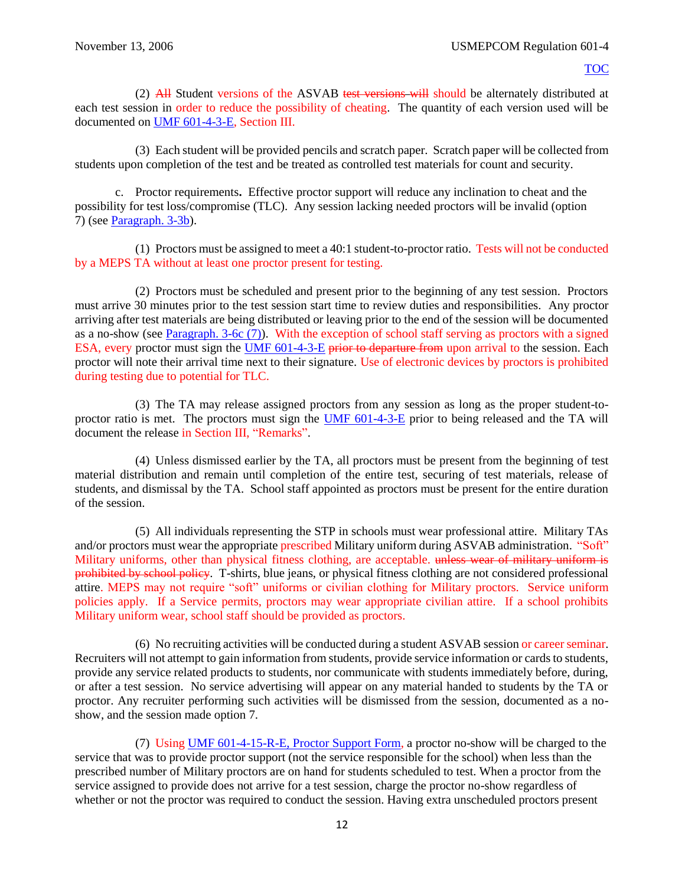(2) All Student versions of the ASVAB test versions will should be alternately distributed at each test session in order to reduce the possibility of cheating. The quantity of each version used will be documented on [UMF 601-4-3-E,](https://spear/Headquarters/J-1%20MEHR/MissionSup/USMEPCOM%20Regulations%20and%20Forms%20Library/UMR%20601-4,%20Student%20Testing%20Program/UMF%20601-4-3-E,%20Student%20ASVAB%20Test%20Record.xfdl) Section III.

(3) Each student will be provided pencils and scratch paper. Scratch paper will be collected from students upon completion of the test and be treated as controlled test materials for count and security.

<span id="page-16-0"></span>c. Proctor requirements**.** Effective proctor support will reduce any inclination to cheat and the possibility for test loss/compromise (TLC). Any session lacking needed proctors will be invalid (option 7) (see [Paragraph. 3-3b\)](#page-14-2).

(1) Proctors must be assigned to meet a 40:1 student-to-proctor ratio. Tests will not be conducted by a MEPS TA without at least one proctor present for testing.

(2) Proctors must be scheduled and present prior to the beginning of any test session. Proctors must arrive 30 minutes prior to the test session start time to review duties and responsibilities. Any proctor arriving after test materials are being distributed or leaving prior to the end of the session will be documented as a no-show (see [Paragraph. 3-6c \(7\)\)](#page-16-0). With the exception of school staff serving as proctors with a signed ESA, every proctor must sign the [UMF 601-4-3-E](https://spear/Headquarters/J-1%20MEHR/MissionSup/USMEPCOM%20Regulations%20and%20Forms%20Library/UMR%20601-4,%20Student%20Testing%20Program/UMF%20601-4-3-E,%20Student%20ASVAB%20Test%20Record.xfdl) prior to departure from upon arrival to the session. Each proctor will note their arrival time next to their signature. Use of electronic devices by proctors is prohibited during testing due to potential for TLC.

(3) The TA may release assigned proctors from any session as long as the proper student-to-proctor ratio is met. The proctors must sign the [UMF 601-4-3-E](https://spear/Headquarters/J-1%20MEHR/MissionSup/USMEPCOM%20Regulations%20and%20Forms%20Library/UMR%20601-4,%20Student%20Testing%20Program/UMF%20601-4-3-E,%20Student%20ASVAB%20Test%20Record.xfdl) prior to being released and the TA will document the release in Section III, "Remarks".

(4) Unless dismissed earlier by the TA, all proctors must be present from the beginning of test material distribution and remain until completion of the entire test, securing of test materials, release of students, and dismissal by the TA. School staff appointed as proctors must be present for the entire duration of the session.

(5) All individuals representing the STP in schools must wear professional attire. Military TAs and/or proctors must wear the appropriate prescribed Military uniform during ASVAB administration. "Soft" Military uniforms, other than physical fitness clothing, are acceptable. unless wear of military uniform is prohibited by school policy. T-shirts, blue jeans, or physical fitness clothing are not considered professional attire. MEPS may not require "soft" uniforms or civilian clothing for Military proctors. Service uniform policies apply. If a Service permits, proctors may wear appropriate civilian attire. If a school prohibits Military uniform wear, school staff should be provided as proctors.

(6) No recruiting activities will be conducted during a student ASVAB session or career seminar. Recruiters will not attempt to gain information from students, provide service information or cards to students, provide any service related products to students, nor communicate with students immediately before, during, or after a test session. No service advertising will appear on any material handed to students by the TA or proctor. Any recruiter performing such activities will be dismissed from the session, documented as a noshow, and the session made option 7.

(7) Using [UMF 601-4-15-R-E, Proctor Support Form,](https://spear/Headquarters/J-1%20MEHR/MissionSup/USMEPCOM%20Regulations%20and%20Forms%20Library/UMR%20601-4,%20Student%20Testing%20Program/UMF%20601-4-15-R-E,%20Proctor%20Support%20Form.xfdl) a proctor no-show will be charged to the service that was to provide proctor support (not the service responsible for the school) when less than the prescribed number of Military proctors are on hand for students scheduled to test. When a proctor from the service assigned to provide does not arrive for a test session, charge the proctor no-show regardless of whether or not the proctor was required to conduct the session. Having extra unscheduled proctors present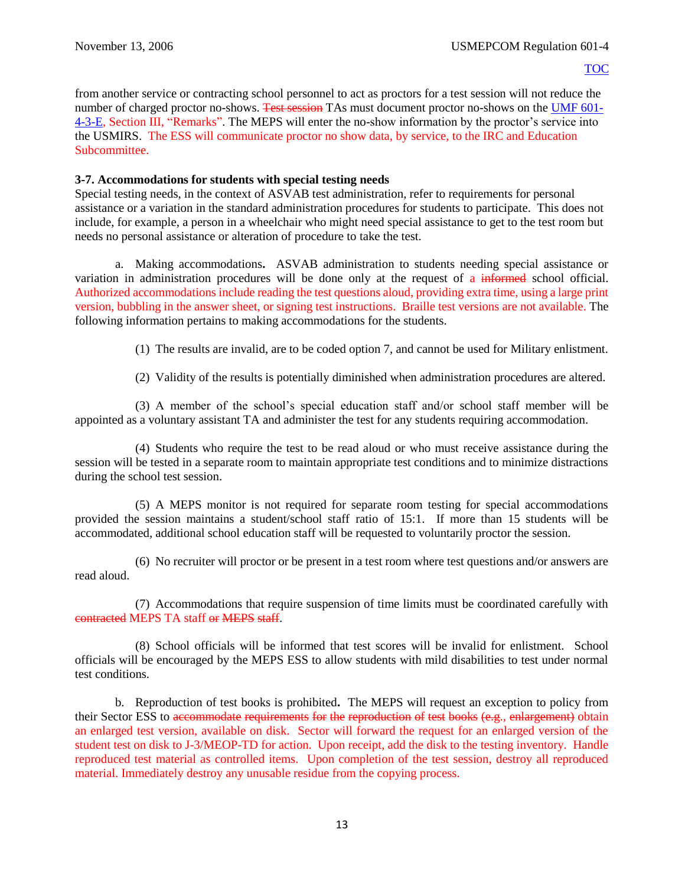from another service or contracting school personnel to act as proctors for a test session will not reduce the number of charged proctor no-shows. Test session TAs must document proctor no-shows on th[e UMF 601-](https://spear/Headquarters/J-1%20MEHR/MissionSup/USMEPCOM%20Regulations%20and%20Forms%20Library/UMR%20601-4,%20Student%20Testing%20Program/UMF%20601-4-3-E,%20Student%20ASVAB%20Test%20Record.xfdl) [4-3-E,](https://spear/Headquarters/J-1%20MEHR/MissionSup/USMEPCOM%20Regulations%20and%20Forms%20Library/UMR%20601-4,%20Student%20Testing%20Program/UMF%20601-4-3-E,%20Student%20ASVAB%20Test%20Record.xfdl) Section III, "Remarks". The MEPS will enter the no-show information by the proctor's service into the USMIRS. The ESS will communicate proctor no show data, by service, to the IRC and Education Subcommittee.

#### **3-7. Accommodations for students with special testing needs**

Special testing needs, in the context of ASVAB test administration, refer to requirements for personal assistance or a variation in the standard administration procedures for students to participate. This does not include, for example, a person in a wheelchair who might need special assistance to get to the test room but needs no personal assistance or alteration of procedure to take the test.

a. Making accommodations**.** ASVAB administration to students needing special assistance or variation in administration procedures will be done only at the request of a informed school official. Authorized accommodations include reading the test questions aloud, providing extra time, using a large print version, bubbling in the answer sheet, or signing test instructions. Braille test versions are not available. The following information pertains to making accommodations for the students.

(1) The results are invalid, are to be coded option 7, and cannot be used for Military enlistment.

(2) Validity of the results is potentially diminished when administration procedures are altered.

(3) A member of the school's special education staff and/or school staff member will be appointed as a voluntary assistant TA and administer the test for any students requiring accommodation.

<span id="page-17-0"></span>(4) Students who require the test to be read aloud or who must receive assistance during the session will be tested in a separate room to maintain appropriate test conditions and to minimize distractions during the school test session.

(5) A MEPS monitor is not required for separate room testing for special accommodations provided the session maintains a student/school staff ratio of 15:1. If more than 15 students will be accommodated, additional school education staff will be requested to voluntarily proctor the session.

(6) No recruiter will proctor or be present in a test room where test questions and/or answers are read aloud.

(7) Accommodations that require suspension of time limits must be coordinated carefully with contracted MEPS TA staff or MEPS staff.

(8) School officials will be informed that test scores will be invalid for enlistment. School officials will be encouraged by the MEPS ESS to allow students with mild disabilities to test under normal test conditions.

b. Reproduction of test books is prohibited**.** The MEPS will request an exception to policy from their Sector ESS to accommodate requirements for the reproduction of test books (e.g., enlargement) obtain an enlarged test version, available on disk. Sector will forward the request for an enlarged version of the student test on disk to J-3/MEOP-TD for action. Upon receipt, add the disk to the testing inventory. Handle reproduced test material as controlled items. Upon completion of the test session, destroy all reproduced material. Immediately destroy any unusable residue from the copying process.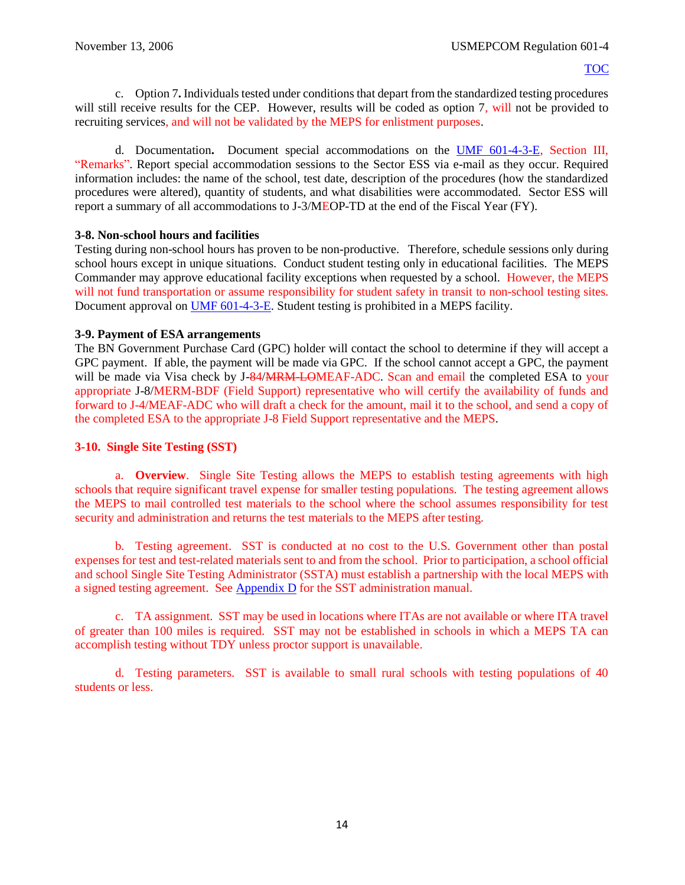c. Option 7**.** Individuals tested under conditions that depart from the standardized testing procedures will still receive results for the CEP. However, results will be coded as option 7, will not be provided to recruiting services, and will not be validated by the MEPS for enlistment purposes.

d. Documentation**.** Document special accommodations on the [UMF 601-4-3-E,](https://spear/Headquarters/J-1%20MEHR/MissionSup/USMEPCOM%20Regulations%20and%20Forms%20Library/UMR%20601-4,%20Student%20Testing%20Program/UMF%20601-4-3-E,%20Student%20ASVAB%20Test%20Record.xfdl) Section III, "Remarks". Report special accommodation sessions to the Sector ESS via e-mail as they occur. Required information includes: the name of the school, test date, description of the procedures (how the standardized procedures were altered), quantity of students, and what disabilities were accommodated. Sector ESS will report a summary of all accommodations to J-3/MEOP-TD at the end of the Fiscal Year (FY).

## **3-8. Non-school hours and facilities**

Testing during non-school hours has proven to be non-productive. Therefore, schedule sessions only during school hours except in unique situations. Conduct student testing only in educational facilities. The MEPS Commander may approve educational facility exceptions when requested by a school. However, the MEPS will not fund transportation or assume responsibility for student safety in transit to non-school testing sites. Document approval on [UMF 601-4-3-E.](https://spear/Headquarters/J-1%20MEHR/MissionSup/USMEPCOM%20Regulations%20and%20Forms%20Library/UMR%20601-4,%20Student%20Testing%20Program/UMF%20601-4-3-E,%20Student%20ASVAB%20Test%20Record.xfdl) Student testing is prohibited in a MEPS facility.

## <span id="page-18-1"></span>**3-9. Payment of ESA arrangements**

The BN Government Purchase Card (GPC) holder will contact the school to determine if they will accept a GPC payment. If able, the payment will be made via GPC. If the school cannot accept a GPC, the payment will be made via Visa check by J-84/MRM-LOMEAF-ADC. Scan and email the completed ESA to your appropriate J-8/MERM-BDF (Field Support) representative who will certify the availability of funds and forward to J-4/MEAF-ADC who will draft a check for the amount, mail it to the school, and send a copy of the completed ESA to the appropriate J-8 Field Support representative and the MEPS.

## <span id="page-18-0"></span>**3-10. Single Site Testing (SST)**

a. **Overview**. Single Site Testing allows the MEPS to establish testing agreements with high schools that require significant travel expense for smaller testing populations. The testing agreement allows the MEPS to mail controlled test materials to the school where the school assumes responsibility for test security and administration and returns the test materials to the MEPS after testing.

b. Testing agreement. SST is conducted at no cost to the U.S. Government other than postal expenses for test and test-related materials sent to and from the school. Prior to participation, a school official and school Single Site Testing Administrator (SSTA) must establish a partnership with the local MEPS with a signed testing agreement. See [Appendix D](#page-63-0) for the SST administration manual.

c. TA assignment. SST may be used in locations where ITAs are not available or where ITA travel of greater than 100 miles is required. SST may not be established in schools in which a MEPS TA can accomplish testing without TDY unless proctor support is unavailable.

d. Testing parameters. SST is available to small rural schools with testing populations of 40 students or less.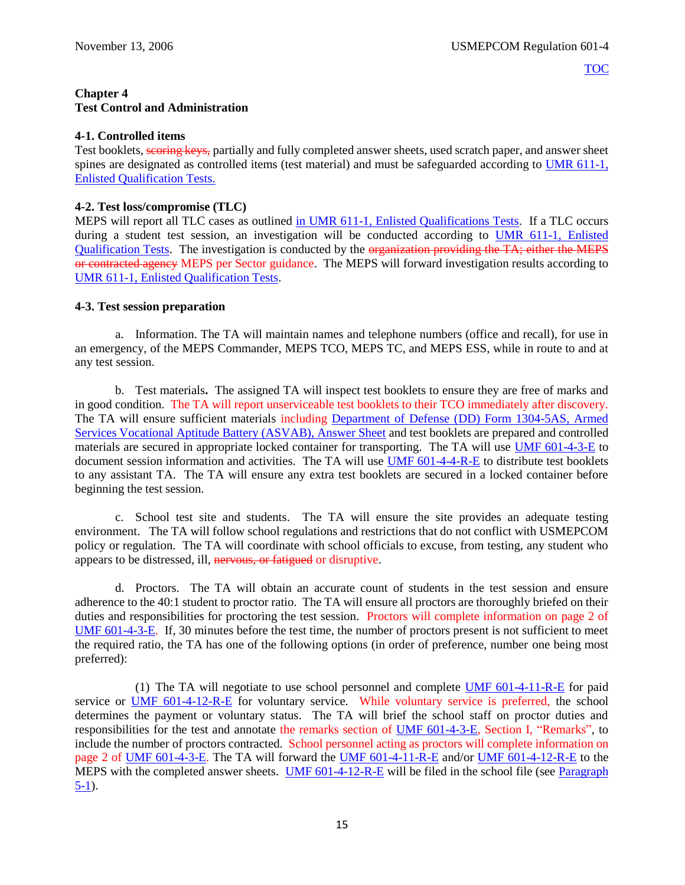## <span id="page-19-0"></span>**Chapter 4 Test Control and Administration**

## **4-1. Controlled items**

Test booklets, scoring keys, partially and fully completed answer sheets, used scratch paper, and answer sheet spines are designated as controlled items (test material) and must be safeguarded according to [UMR 611-1,](file://///mepcom-a7-00/directorates/MHR/MHR-MS/MEHR-MSS/Publications%20in%20Editing/Publications/611-1,%20Enlistment%20Qualification%20Tests/UMR%20611-1%20Enlistment%20Qualification%20Tests.pdf)  [Enlisted Qualification Tests.](file://///mepcom-a7-00/directorates/MHR/MHR-MS/MEHR-MSS/Publications%20in%20Editing/Publications/611-1,%20Enlistment%20Qualification%20Tests/UMR%20611-1%20Enlistment%20Qualification%20Tests.pdf)

## **4-2. Test loss/compromise (TLC)**

MEPS will report all TLC cases as outlined [in UMR 611-1, Enlisted Qualifications Tests.](file://///mepcom-a7-00/directorates/MHR/MHR-MS/MEHR-MSS/Publications%20in%20Editing/Publications/611-1,%20Enlistment%20Qualification%20Tests/UMR%20611-1%20Enlistment%20Qualification%20Tests.pdf) If a TLC occurs during a student test session, an investigation will be conducted according to UMR 611-1, Enlisted [Qualification Tests.](file://///mepcom-a7-00/directorates/MHR/MHR-MS/MEHR-MSS/Publications%20in%20Editing/Publications/611-1,%20Enlistment%20Qualification%20Tests/UMR%20611-1%20Enlistment%20Qualification%20Tests.pdf) The investigation is conducted by the organization providing the TA; either the MEPS or contracted agency MEPS per Sector guidance. The MEPS will forward investigation results according to [UMR 611-1, Enlisted Qualification Tests.](file://///mepcom-a7-00/directorates/MHR/MHR-MS/MEHR-MSS/Publications%20in%20Editing/Publications/611-1,%20Enlistment%20Qualification%20Tests/UMR%20611-1%20Enlistment%20Qualification%20Tests.pdf)

## **4-3. Test session preparation**

a. Information. The TA will maintain names and telephone numbers (office and recall), for use in an emergency, of the MEPS Commander, MEPS TCO, MEPS TC, and MEPS ESS, while in route to and at any test session.

b. Test materials**.** The assigned TA will inspect test booklets to ensure they are free of marks and in good condition. The TA will report unserviceable test booklets to their TCO immediately after discovery. The TA will ensure sufficient materials including [Department of Defense \(DD\)](http://www.dtic.mil/whs/directives/forms/forminfo/forminfopage3224.html) Form 1304-5AS, Armed [Services Vocational Aptitude Battery \(ASVAB\), Answer Sheet](http://www.dtic.mil/whs/directives/forms/forminfo/forminfopage3224.html) and test booklets are prepared and controlled materials are secured in appropriate locked container for transporting. The TA will use [UMF 601-4-3-E](https://spear/Headquarters/J-1%20MEHR/MissionSup/USMEPCOM%20Regulations%20and%20Forms%20Library/UMR%20601-4,%20Student%20Testing%20Program/UMF%20601-4-3-E,%20Student%20ASVAB%20Test%20Record.xfdl) to document session information and activities. The TA will use **UMF 601-4-4-R-E** to distribute test booklets to any assistant TA. The TA will ensure any extra test booklets are secured in a locked container before beginning the test session.

c. School test site and students. The TA will ensure the site provides an adequate testing environment. The TA will follow school regulations and restrictions that do not conflict with USMEPCOM policy or regulation. The TA will coordinate with school officials to excuse, from testing, any student who appears to be distressed, ill, nervous, or fatigued or disruptive.

d. Proctors. The TA will obtain an accurate count of students in the test session and ensure adherence to the 40:1 student to proctor ratio. The TA will ensure all proctors are thoroughly briefed on their duties and responsibilities for proctoring the test session. Proctors will complete information on page 2 of [UMF 601-4-3-E.](https://spear/Headquarters/J-1%20MEHR/MissionSup/USMEPCOM%20Regulations%20and%20Forms%20Library/UMR%20601-4,%20Student%20Testing%20Program/UMF%20601-4-3-E,%20Student%20ASVAB%20Test%20Record.xfdl) If, 30 minutes before the test time, the number of proctors present is not sufficient to meet the required ratio, the TA has one of the following options (in order of preference, number one being most preferred):

(1) The TA will negotiate to use school personnel and complete [UMF 601-4-11-R-E](https://spear/Headquarters/J-1%20MEHR/MissionSup/USMEPCOM%20Regulations%20and%20Forms%20Library/UMR%20601-4,%20Student%20Testing%20Program/UMF%20601-4-11-R-E,%20Educational%20Staff%20Agreement.pdf) for paid service or [UMF 601-4-12-R-E](https://spear/Headquarters/J-1%20MEHR/MissionSup/USMEPCOM%20Regulations%20and%20Forms%20Library/UMR%20601-4,%20Student%20Testing%20Program/UMF%20601-4-12-R-E,%20Educational%20Staff%20Agreement%20for%20Voluntary%20Services.pdf) for voluntary service. While voluntary service is preferred, the school determines the payment or voluntary status. The TA will brief the school staff on proctor duties and responsibilities for the test and annotate the remarks section of [UMF 601-4-3-E,](https://spear/Headquarters/J-1%20MEHR/MissionSup/USMEPCOM%20Regulations%20and%20Forms%20Library/UMR%20601-4,%20Student%20Testing%20Program/UMF%20601-4-3-E,%20Student%20ASVAB%20Test%20Record.xfdl) Section I, "Remarks", to include the number of proctors contracted. School personnel acting as proctors will complete information on page 2 of [UMF 601-4-3-E.](https://spear/Headquarters/J-1%20MEHR/MissionSup/USMEPCOM%20Regulations%20and%20Forms%20Library/UMR%20601-4,%20Student%20Testing%20Program/UMF%20601-4-3-E,%20Student%20ASVAB%20Test%20Record.xfdl) The TA will forward the [UMF 601-4-11-R-E](https://spear/Headquarters/J-1%20MEHR/MissionSup/USMEPCOM%20Regulations%20and%20Forms%20Library/UMR%20601-4,%20Student%20Testing%20Program/UMF%20601-4-11-R-E,%20Educational%20Staff%20Agreement.pdf) and/or [UMF 601-4-12-R-E](https://spear/Headquarters/J-1%20MEHR/MissionSup/USMEPCOM%20Regulations%20and%20Forms%20Library/UMR%20601-4,%20Student%20Testing%20Program/UMF%20601-4-12-R-E,%20Educational%20Staff%20Agreement%20for%20Voluntary%20Services.pdf) to the MEPS with the completed answer sheets. [UMF 601-4-12-R-E](https://spear/Headquarters/J-1%20MEHR/MissionSup/USMEPCOM%20Regulations%20and%20Forms%20Library/UMR%20601-4,%20Student%20Testing%20Program/UMF%20601-4-12-R-E,%20Educational%20Staff%20Agreement%20for%20Voluntary%20Services.pdf) will be filed in the school file (see [Paragraph](#page-23-0) [5-1\)](#page-23-0).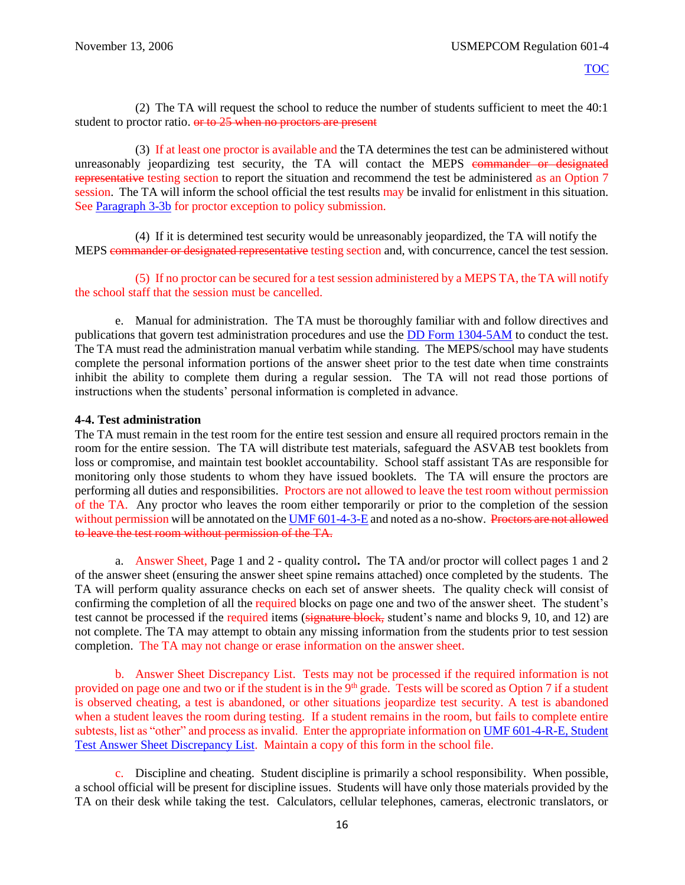(2) The TA will request the school to reduce the number of students sufficient to meet the 40:1 student to proctor ratio. or to 25 when no proctors are present

(3) If at least one proctor is available and the TA determines the test can be administered without unreasonably jeopardizing test security, the TA will contact the MEPS commander or designated representative testing section to report the situation and recommend the test be administered as an Option 7 session. The TA will inform the school official the test results may be invalid for enlistment in this situation. See [Paragraph 3-3b](#page-14-2) for proctor exception to policy submission.

(4) If it is determined test security would be unreasonably jeopardized, the TA will notify the MEPS commander or designated representative testing section and, with concurrence, cancel the test session.

(5) If no proctor can be secured for a test session administered by a MEPS TA, the TA will notify the school staff that the session must be cancelled.

e. Manual for administration. The TA must be thoroughly familiar with and follow directives and publications that govern test administration procedures and use the [DD Form 1304-5AM](http://www.dtic.mil/whs/directives/forms/forminfo/forminfopage3231.html) to conduct the test. The TA must read the administration manual verbatim while standing. The MEPS/school may have students complete the personal information portions of the answer sheet prior to the test date when time constraints inhibit the ability to complete them during a regular session. The TA will not read those portions of instructions when the students' personal information is completed in advance.

#### **4-4. Test administration**

The TA must remain in the test room for the entire test session and ensure all required proctors remain in the room for the entire session. The TA will distribute test materials, safeguard the ASVAB test booklets from loss or compromise, and maintain test booklet accountability. School staff assistant TAs are responsible for monitoring only those students to whom they have issued booklets. The TA will ensure the proctors are performing all duties and responsibilities. Proctors are not allowed to leave the test room without permission of the TA. Any proctor who leaves the room either temporarily or prior to the completion of the session without permission will be annotated on th[e UMF 601-4-3-E](https://spear/Headquarters/J-1%20MEHR/MissionSup/USMEPCOM%20Regulations%20and%20Forms%20Library/UMR%20601-4,%20Student%20Testing%20Program/UMF%20601-4-3-E,%20Student%20ASVAB%20Test%20Record.xfdl) and noted as a no-show. Proctors are not allowed to leave the test room without permission of the TA.

a. Answer Sheet, Page 1 and 2 - quality control**.** The TA and/or proctor will collect pages 1 and 2 of the answer sheet (ensuring the answer sheet spine remains attached) once completed by the students. The TA will perform quality assurance checks on each set of answer sheets. The quality check will consist of confirming the completion of all the required blocks on page one and two of the answer sheet. The student's test cannot be processed if the required items (signature block, student's name and blocks 9, 10, and 12) are not complete. The TA may attempt to obtain any missing information from the students prior to test session completion. The TA may not change or erase information on the answer sheet.

b. Answer Sheet Discrepancy List. Tests may not be processed if the required information is not provided on page one and two or if the student is in the 9<sup>th</sup> grade. Tests will be scored as Option 7 if a student is observed cheating, a test is abandoned, or other situations jeopardize test security. A test is abandoned when a student leaves the room during testing. If a student remains in the room, but fails to complete entire subtests, list as "other" and process as invalid. Enter the appropriate information on [UMF 601-4-R-E, Student](https://spear/Headquarters/J-1%20MEHR/MissionSup/USMEPCOM%20Regulations%20and%20Forms%20Library/UMR%20601-4,%20Student%20Testing%20Program/UMF%20601-4-R-E,%20Student%20Test%20Answer%20Sheet%20Discrepancy%20List.pdf)  [Test Answer Sheet Discrepancy List.](https://spear/Headquarters/J-1%20MEHR/MissionSup/USMEPCOM%20Regulations%20and%20Forms%20Library/UMR%20601-4,%20Student%20Testing%20Program/UMF%20601-4-R-E,%20Student%20Test%20Answer%20Sheet%20Discrepancy%20List.pdf) Maintain a copy of this form in the school file.

c. Discipline and cheating.Student discipline is primarily a school responsibility. When possible, a school official will be present for discipline issues. Students will have only those materials provided by the TA on their desk while taking the test. Calculators, cellular telephones, cameras, electronic translators, or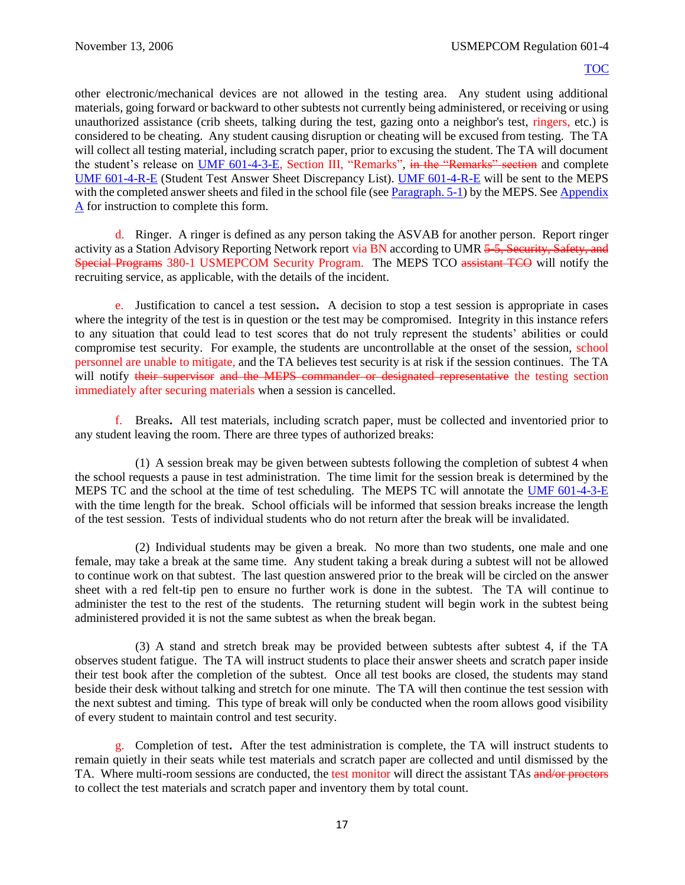other electronic/mechanical devices are not allowed in the testing area. Any student using additional materials, going forward or backward to other subtests not currently being administered, or receiving or using unauthorized assistance (crib sheets, talking during the test, gazing onto a neighbor's test, ringers, etc.) is considered to be cheating. Any student causing disruption or cheating will be excused from testing. The TA will collect all testing material, including scratch paper, prior to excusing the student. The TA will document the student's release on [UMF 601-4-3-E,](https://spear/Headquarters/J-1%20MEHR/MissionSup/USMEPCOM%20Regulations%20and%20Forms%20Library/UMR%20601-4,%20Student%20Testing%20Program/UMF%20601-4-3-E,%20Student%20ASVAB%20Test%20Record.xfdl) Section III, "Remarks", in the "Remarks" section and complete [UMF 601-4-R-E](https://spear/Headquarters/J-1%20MEHR/MissionSup/USMEPCOM%20Regulations%20and%20Forms%20Library/UMR%20601-4,%20Student%20Testing%20Program/UMF%20601-4-R-E,%20Student%20Test%20Answer%20Sheet%20Discrepancy%20List.pdf) (Student Test Answer Sheet Discrepancy List). [UMF 601-4-R-E](https://spear/Headquarters/J-1%20MEHR/MissionSup/USMEPCOM%20Regulations%20and%20Forms%20Library/UMR%20601-4,%20Student%20Testing%20Program/UMF%20601-4-R-E,%20Student%20Test%20Answer%20Sheet%20Discrepancy%20List.pdf) will be sent to the MEPS with the completed answer sheets and filed in the school file (see [Paragraph. 5-1\)](#page-23-0) by the MEPS. See Appendix A for instruction to complete this form.

<span id="page-21-1"></span>d. Ringer. A ringer is defined as any person taking the ASVAB for another person. Report ringer activity as a Station Advisory Reporting Network report via BN according to UMR 5-5, Security, Safety, and Special Programs 380-1 USMEPCOM Security Program. The MEPS TCO assistant TCO will notify the recruiting service, as applicable, with the details of the incident.

e. Justification to cancel a test session**.** A decision to stop a test session is appropriate in cases where the integrity of the test is in question or the test may be compromised. Integrity in this instance refers to any situation that could lead to test scores that do not truly represent the students' abilities or could compromise test security. For example, the students are uncontrollable at the onset of the session, school personnel are unable to mitigate, and the TA believes test security is at risk if the session continues. The TA will notify their supervisor and the MEPS commander or designated representative the testing section immediately after securing materials when a session is cancelled.

f. Breaks**.** All test materials, including scratch paper, must be collected and inventoried prior to any student leaving the room. There are three types of authorized breaks:

(1) A session break may be given between subtests following the completion of subtest 4 when the school requests a pause in test administration. The time limit for the session break is determined by the MEPS TC and the school at the time of test scheduling. The MEPS TC will annotate the [UMF 601-4-3-E](https://spear/Headquarters/J-1%20MEHR/MissionSup/USMEPCOM%20Regulations%20and%20Forms%20Library/UMR%20601-4,%20Student%20Testing%20Program/UMF%20601-4-3-E,%20Student%20ASVAB%20Test%20Record.xfdl) with the time length for the break. School officials will be informed that session breaks increase the length of the test session. Tests of individual students who do not return after the break will be invalidated.

(2) Individual students may be given a break. No more than two students, one male and one female, may take a break at the same time. Any student taking a break during a subtest will not be allowed to continue work on that subtest. The last question answered prior to the break will be circled on the answer sheet with a red felt-tip pen to ensure no further work is done in the subtest. The TA will continue to administer the test to the rest of the students. The returning student will begin work in the subtest being administered provided it is not the same subtest as when the break began.

<span id="page-21-0"></span>(3) A stand and stretch break may be provided between subtests after subtest 4, if the TA observes student fatigue. The TA will instruct students to place their answer sheets and scratch paper inside their test book after the completion of the subtest. Once all test books are closed, the students may stand beside their desk without talking and stretch for one minute. The TA will then continue the test session with the next subtest and timing. This type of break will only be conducted when the room allows good visibility of every student to maintain control and test security.

g. Completion of test**.** After the test administration is complete, the TA will instruct students to remain quietly in their seats while test materials and scratch paper are collected and until dismissed by the TA. Where multi-room sessions are conducted, the test monitor will direct the assistant TAs and/or proctors to collect the test materials and scratch paper and inventory them by total count.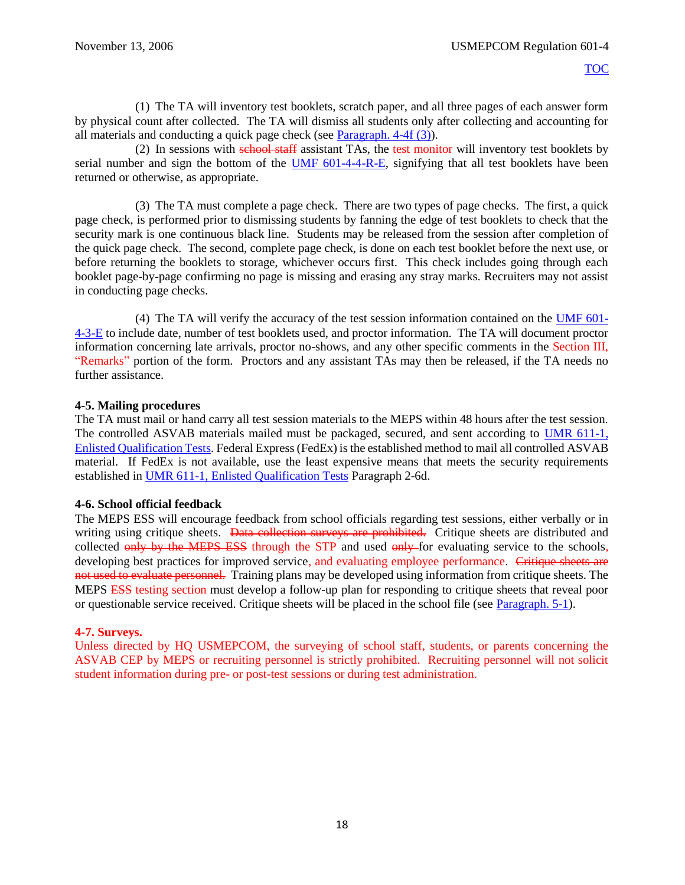(1) The TA will inventory test booklets, scratch paper, and all three pages of each answer form by physical count after collected. The TA will dismiss all students only after collecting and accounting for all materials and conducting a quick page check (see [Paragraph. 4-4f \(3\)\)](#page-21-0).

(2) In sessions with school staff assistant TAs, the test monitor will inventory test booklets by serial number and sign the bottom of the [UMF 601-4-4-R-E,](https://spear/Headquarters/J-1%20MEHR/MissionSup/USMEPCOM%20Regulations%20and%20Forms%20Library/UMR%20601-4,%20Student%20Testing%20Program/UMF%20601-4-4-R-E,%20Receipt%20of%20Armed%20Services%20Vocational%20Aptitude%20Battery%20(ASVAB)%20Booklets.xfdl) signifying that all test booklets have been returned or otherwise, as appropriate.

(3) The TA must complete a page check. There are two types of page checks. The first, a quick page check, is performed prior to dismissing students by fanning the edge of test booklets to check that the security mark is one continuous black line. Students may be released from the session after completion of the quick page check. The second, complete page check, is done on each test booklet before the next use, or before returning the booklets to storage, whichever occurs first. This check includes going through each booklet page-by-page confirming no page is missing and erasing any stray marks. Recruiters may not assist in conducting page checks.

(4) The TA will verify the accuracy of the test session information contained on the [UMF 601-](https://spear/Headquarters/J-1%20MEHR/MissionSup/USMEPCOM%20Regulations%20and%20Forms%20Library/UMR%20601-4,%20Student%20Testing%20Program/UMF%20601-4-3-E,%20Student%20ASVAB%20Test%20Record.xfdl) [4-3-E](https://spear/Headquarters/J-1%20MEHR/MissionSup/USMEPCOM%20Regulations%20and%20Forms%20Library/UMR%20601-4,%20Student%20Testing%20Program/UMF%20601-4-3-E,%20Student%20ASVAB%20Test%20Record.xfdl) to include date, number of test booklets used, and proctor information. The TA will document proctor information concerning late arrivals, proctor no-shows, and any other specific comments in the Section III, "Remarks" portion of the form. Proctors and any assistant TAs may then be released, if the TA needs no further assistance.

## **4-5. Mailing procedures**

The TA must mail or hand carry all test session materials to the MEPS within 48 hours after the test session. The controlled ASVAB materials mailed must be packaged, secured, and sent according to [UMR 611-1,](file://///mepcom-a7-00/directorates/MHR/MHR-MS/MEHR-MSS/Publications%20in%20Editing/Publications/611-1,%20Enlistment%20Qualification%20Tests/UMR%20611-1%20Enlistment%20Qualification%20Tests.pdf)  [Enlisted Qualification Tests.](file://///mepcom-a7-00/directorates/MHR/MHR-MS/MEHR-MSS/Publications%20in%20Editing/Publications/611-1,%20Enlistment%20Qualification%20Tests/UMR%20611-1%20Enlistment%20Qualification%20Tests.pdf) Federal Express (FedEx) isthe established method to mail all controlled ASVAB material. If FedEx is not available, use the least expensive means that meets the security requirements established in UMR 611-1, [Enlisted Qualification Tests](file://///mepcom-a7-00/directorates/MHR/MHR-MS/MEHR-MSS/Publications%20in%20Editing/Publications/611-1,%20Enlistment%20Qualification%20Tests/UMR%20611-1%20Enlistment%20Qualification%20Tests.pdf) Paragraph 2-6d.

## **4-6. School official feedback**

The MEPS ESS will encourage feedback from school officials regarding test sessions, either verbally or in writing using critique sheets. Data collection surveys are prohibited. Critique sheets are distributed and collected only by the MEPS ESS through the STP and used only for evaluating service to the schools, developing best practices for improved service, and evaluating employee performance. Critique sheets are not used to evaluate personnel. Training plans may be developed using information from critique sheets. The MEPS ESS testing section must develop a follow-up plan for responding to critique sheets that reveal poor or questionable service received. Critique sheets will be placed in the school file (see [Paragraph. 5-1\)](#page-23-0).

## **4-7. Surveys.**

<span id="page-22-0"></span>Unless directed by HQ USMEPCOM, the surveying of school staff, students, or parents concerning the ASVAB CEP by MEPS or recruiting personnel is strictly prohibited. Recruiting personnel will not solicit student information during pre- or post-test sessions or during test administration.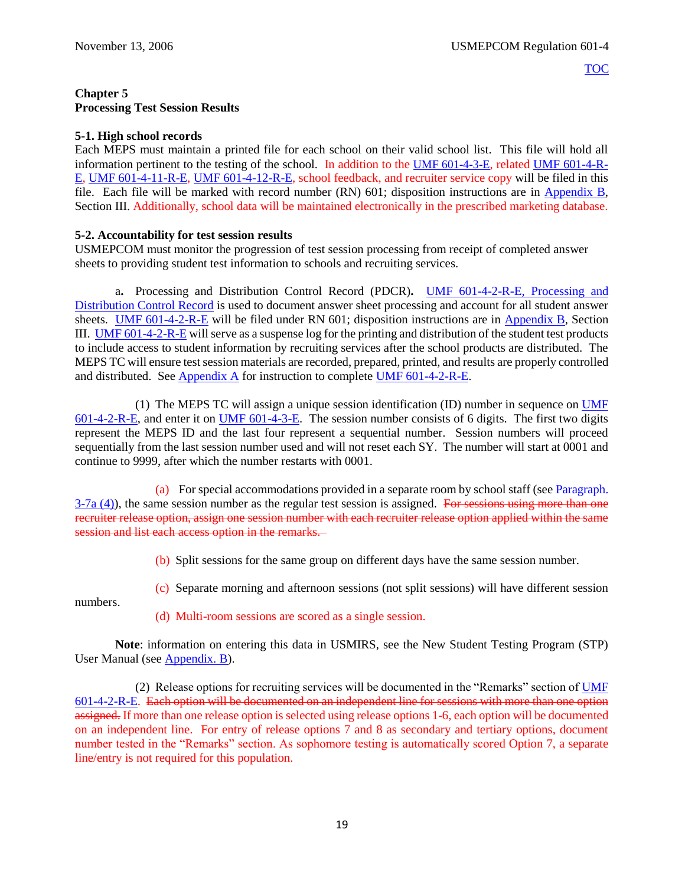## **Chapter 5 Processing Test Session Results**

## <span id="page-23-0"></span>**5-1. High school records**

Each MEPS must maintain a printed file for each school on their valid school list. This file will hold all information pertinent to the testing of the school. In addition to the [UMF 601-4-3-E](https://spear/Headquarters/J-1%20MEHR/MissionSup/USMEPCOM%20Regulations%20and%20Forms%20Library/UMR%20601-4,%20Student%20Testing%20Program/UMF%20601-4-3-E,%20Student%20ASVAB%20Test%20Record.xfdl), related [UMF 601-4-R-](https://spear/Headquarters/J-1%20MEHR/MissionSup/USMEPCOM%20Regulations%20and%20Forms%20Library/UMR%20601-4,%20Student%20Testing%20Program/UMF%20601-4-R-E,%20Student%20Test%20Answer%20Sheet%20Discrepancy%20List.pdf)[E,](https://spear/Headquarters/J-1%20MEHR/MissionSup/USMEPCOM%20Regulations%20and%20Forms%20Library/UMR%20601-4,%20Student%20Testing%20Program/UMF%20601-4-R-E,%20Student%20Test%20Answer%20Sheet%20Discrepancy%20List.pdf) [UMF 601-4-11-R-E,](https://spear/Headquarters/J-1%20MEHR/MissionSup/USMEPCOM%20Regulations%20and%20Forms%20Library/UMR%20601-4,%20Student%20Testing%20Program/UMF%20601-4-11-R-E,%20Educational%20Staff%20Agreement.pdf) [UMF 601-4-12-R-E,](https://spear/Headquarters/J-1%20MEHR/MissionSup/USMEPCOM%20Regulations%20and%20Forms%20Library/UMR%20601-4,%20Student%20Testing%20Program/UMF%20601-4-12-R-E,%20Educational%20Staff%20Agreement%20for%20Voluntary%20Services.pdf) school feedback, and recruiter service copy will be filed in this file. Each file will be marked with record number (RN) 601; disposition instructions are in [Appendix B](#page-47-0), Section III. Additionally, school data will be maintained electronically in the prescribed marketing database.

## **5-2. Accountability for test session results**

USMEPCOM must monitor the progression of test session processing from receipt of completed answer sheets to providing student test information to schools and recruiting services.

a**.** Processing and Distribution Control Record (PDCR)**.** [UMF 601-4-2-R-E, Processing and](https://spear/Headquarters/J-1%20MEHR/MissionSup/USMEPCOM%20Regulations%20and%20Forms%20Library/UMR%20601-4,%20Student%20Testing%20Program/UMF%20601-4-2-R-E,%20Processing%20and%20Distribution%20Control%20Record.xfdl)  [Distribution Control Record](https://spear/Headquarters/J-1%20MEHR/MissionSup/USMEPCOM%20Regulations%20and%20Forms%20Library/UMR%20601-4,%20Student%20Testing%20Program/UMF%20601-4-2-R-E,%20Processing%20and%20Distribution%20Control%20Record.xfdl) is used to document answer sheet processing and account for all student answer sheets. [UMF 601-4-2-R-E](https://spear/Headquarters/J-1%20MEHR/MissionSup/USMEPCOM%20Regulations%20and%20Forms%20Library/UMR%20601-4,%20Student%20Testing%20Program/UMF%20601-4-2-R-E,%20Processing%20and%20Distribution%20Control%20Record.xfdl) will be filed under RN 601; disposition instructions are in [Appendix B](#page-47-0), Section III. [UMF 601-4-2-R-E](https://spear/Headquarters/J-1%20MEHR/MissionSup/USMEPCOM%20Regulations%20and%20Forms%20Library/UMR%20601-4,%20Student%20Testing%20Program/UMF%20601-4-2-R-E,%20Processing%20and%20Distribution%20Control%20Record.xfdl) will serve as a suspense log for the printing and distribution of the student test products to include access to student information by recruiting services after the school products are distributed. The MEPS TC will ensure test session materials are recorded, prepared, printed, and results are properly controlled and distributed. See [Appendix A](#page-61-0) for instruction to complete [UMF 601-4-2-R-E.](https://spear/Headquarters/J-1%20MEHR/MissionSup/USMEPCOM%20Regulations%20and%20Forms%20Library/UMR%20601-4,%20Student%20Testing%20Program/UMF%20601-4-2-R-E,%20Processing%20and%20Distribution%20Control%20Record.xfdl)

<span id="page-23-1"></span>(1) The MEPS TC will assign a unique session identification (ID) number in sequence on [UMF](https://spear/Headquarters/J-1%20MEHR/MissionSup/USMEPCOM%20Regulations%20and%20Forms%20Library/UMR%20601-4,%20Student%20Testing%20Program/UMF%20601-4-2-R-E,%20Processing%20and%20Distribution%20Control%20Record.xfdl)  [601-4-2-R-E,](https://spear/Headquarters/J-1%20MEHR/MissionSup/USMEPCOM%20Regulations%20and%20Forms%20Library/UMR%20601-4,%20Student%20Testing%20Program/UMF%20601-4-2-R-E,%20Processing%20and%20Distribution%20Control%20Record.xfdl) and enter it on [UMF 601-4-3-E.](https://spear/Headquarters/J-1%20MEHR/MissionSup/USMEPCOM%20Regulations%20and%20Forms%20Library/UMR%20601-4,%20Student%20Testing%20Program/UMF%20601-4-3-E,%20Student%20ASVAB%20Test%20Record.xfdl) The session number consists of 6 digits. The first two digits represent the MEPS ID and the last four represent a sequential number. Session numbers will proceed sequentially from the last session number used and will not reset each SY. The number will start at 0001 and continue to 9999, after which the number restarts with 0001.

(a) For special accommodations provided in a separate room by school staff (se[e Paragraph.](#page-17-0)   $3-7a$  (4)), the same session number as the regular test session is assigned. For sessions using more than one recruiter release option, assign one session number with each recruiter release option applied within the same session and list each access option in the remarks.

(b) Split sessions for the same group on different days have the same session number.

(c) Separate morning and afternoon sessions (not split sessions) will have different session

numbers.

(d) Multi-room sessions are scored as a single session.

**Note**: information on entering this data in USMIRS, see the New Student Testing Program (STP) User Manual (see [Appendix. B](#page-47-0)).

(2) Release options for recruiting services will be documented in the "Remarks" section of [UMF](https://spear/Headquarters/J-1%20MEHR/MissionSup/USMEPCOM%20Regulations%20and%20Forms%20Library/UMR%20601-4,%20Student%20Testing%20Program/UMF%20601-4-2-R-E,%20Processing%20and%20Distribution%20Control%20Record.xfdl)  [601-4-2-R-E.](https://spear/Headquarters/J-1%20MEHR/MissionSup/USMEPCOM%20Regulations%20and%20Forms%20Library/UMR%20601-4,%20Student%20Testing%20Program/UMF%20601-4-2-R-E,%20Processing%20and%20Distribution%20Control%20Record.xfdl) Each option will be documented on an independent line for sessions with more than one option assigned. If more than one release option is selected using release options 1-6, each option will be documented on an independent line. For entry of release options 7 and 8 as secondary and tertiary options, document number tested in the "Remarks" section. As sophomore testing is automatically scored Option 7, a separate line/entry is not required for this population.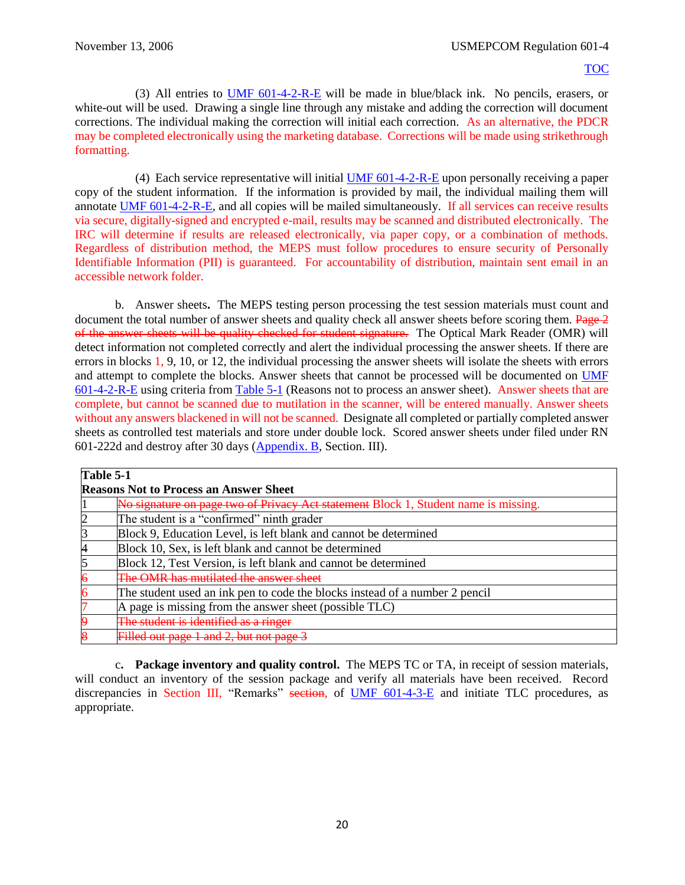(3) All entries to [UMF 601-4-2-R-E](https://spear/Headquarters/J-1%20MEHR/MissionSup/USMEPCOM%20Regulations%20and%20Forms%20Library/UMR%20601-4,%20Student%20Testing%20Program/UMF%20601-4-2-R-E,%20Processing%20and%20Distribution%20Control%20Record.xfdl) will be made in blue/black ink. No pencils, erasers, or white-out will be used. Drawing a single line through any mistake and adding the correction will document corrections. The individual making the correction will initial each correction. As an alternative, the PDCR may be completed electronically using the marketing database. Corrections will be made using strikethrough formatting.

(4) Each service representative will initial [UMF 601-4-2-R-E](https://spear/Headquarters/J-1%20MEHR/MissionSup/USMEPCOM%20Regulations%20and%20Forms%20Library/UMR%20601-4,%20Student%20Testing%20Program/UMF%20601-4-2-R-E,%20Processing%20and%20Distribution%20Control%20Record.xfdl) upon personally receiving a paper copy of the student information. If the information is provided by mail, the individual mailing them will annotate [UMF 601-4-2-R-E,](https://spear/Headquarters/J-1%20MEHR/MissionSup/USMEPCOM%20Regulations%20and%20Forms%20Library/UMR%20601-4,%20Student%20Testing%20Program/UMF%20601-4-2-R-E,%20Processing%20and%20Distribution%20Control%20Record.xfdl) and all copies will be mailed simultaneously. If all services can receive results via secure, digitally-signed and encrypted e-mail, results may be scanned and distributed electronically. The IRC will determine if results are released electronically, via paper copy, or a combination of methods. Regardless of distribution method, the MEPS must follow procedures to ensure security of Personally Identifiable Information (PII) is guaranteed. For accountability of distribution, maintain sent email in an accessible network folder.

<span id="page-24-1"></span>b. Answer sheets**.** The MEPS testing person processing the test session materials must count and document the total number of answer sheets and quality check all answer sheets before scoring them. Page 2 of the answer sheets will be quality checked for student signature. The Optical Mark Reader (OMR) will detect information not completed correctly and alert the individual processing the answer sheets. If there are errors in blocks 1, 9, 10, or 12, the individual processing the answer sheets will isolate the sheets with errors and attempt to complete the blocks. Answer sheets that cannot be processed will be documented on [UMF](https://spear/Headquarters/J-1%20MEHR/MissionSup/USMEPCOM%20Regulations%20and%20Forms%20Library/UMR%20601-4,%20Student%20Testing%20Program/UMF%20601-4-2-R-E,%20Processing%20and%20Distribution%20Control%20Record.xfdl)  [601-4-2-R-E](https://spear/Headquarters/J-1%20MEHR/MissionSup/USMEPCOM%20Regulations%20and%20Forms%20Library/UMR%20601-4,%20Student%20Testing%20Program/UMF%20601-4-2-R-E,%20Processing%20and%20Distribution%20Control%20Record.xfdl) using criteria fro[m Table 5-1](#page-24-0) (Reasons not to process an answer sheet). Answer sheets that are complete, but cannot be scanned due to mutilation in the scanner, will be entered manually. Answer sheets without any answers blackened in will not be scanned. Designate all completed or partially completed answer sheets as controlled test materials and store under double lock. Scored answer sheets under filed under RN 601-222d and destroy after 30 days [\(Appendix. B](#page-47-0), Section. III).

<span id="page-24-0"></span>

| Table 5-1                                                                           |  |  |
|-------------------------------------------------------------------------------------|--|--|
| <b>Reasons Not to Process an Answer Sheet</b>                                       |  |  |
| No signature on page two of Privacy Act statement Block 1, Student name is missing. |  |  |
| The student is a "confirmed" ninth grader                                           |  |  |
| Block 9, Education Level, is left blank and cannot be determined                    |  |  |
| Block 10, Sex, is left blank and cannot be determined                               |  |  |
| Block 12, Test Version, is left blank and cannot be determined                      |  |  |
| <b>OMR</b> has mutilated the answer s                                               |  |  |
| The student used an ink pen to code the blocks instead of a number 2 pencil         |  |  |
| A page is missing from the answer sheet (possible TLC)                              |  |  |
| The student is identified as a ringer                                               |  |  |
| Filled out page 1 and 2, but not page                                               |  |  |

c**. Package inventory and quality control.** The MEPS TC or TA, in receipt of session materials, will conduct an inventory of the session package and verify all materials have been received. Record discrepancies in Section III, "Remarks" section, of [UMF 601-4-3-E](https://spear/Headquarters/J-1%20MEHR/MissionSup/USMEPCOM%20Regulations%20and%20Forms%20Library/UMR%20601-4,%20Student%20Testing%20Program/UMF%20601-4-3-E,%20Student%20ASVAB%20Test%20Record.xfdl) and initiate TLC procedures, as appropriate.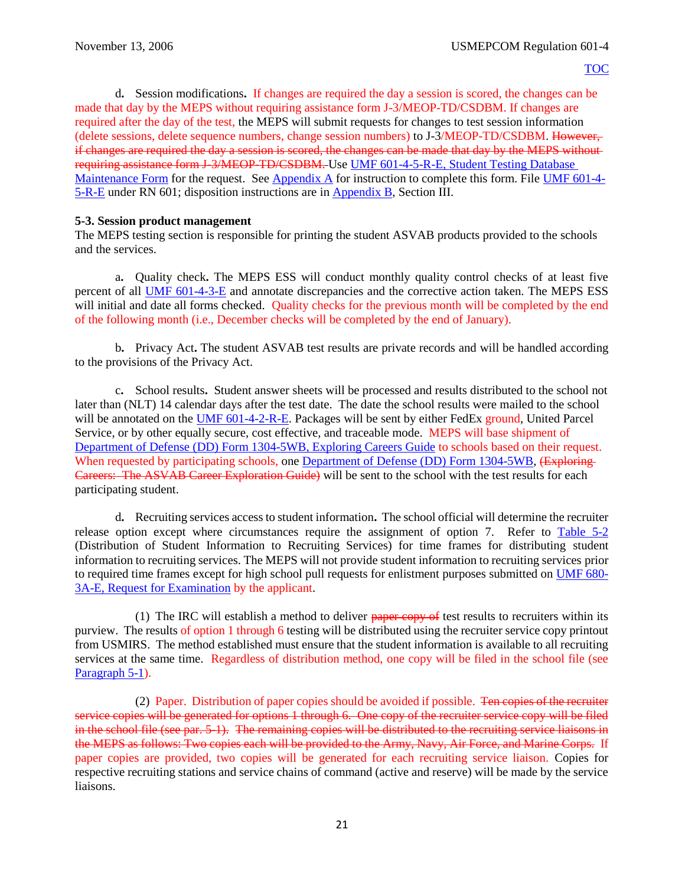d**.** Session modifications**.** If changes are required the day a session is scored, the changes can be made that day by the MEPS without requiring assistance form J-3/MEOP-TD/CSDBM. If changes are required after the day of the test, the MEPS will submit requests for changes to test session information (delete sessions, delete sequence numbers, change session numbers) to J-3/MEOP-TD/CSDBM. However, if changes are required the day a session is scored, the changes can be made that day by the MEPS without requiring assistance form J-3/MEOP-TD/CSDBM. Use [UMF 601-4-5-R-E, Student Testing Database](https://spear/Headquarters/J-1%20MEHR/MissionSup/USMEPCOM%20Regulations%20and%20Forms%20Library/UMR%20601-4,%20Student%20Testing%20Program/UMF%20601-4-5-R-E,%20Student%20Testing%20Database%20Maintenance%20Form.pdf)  [Maintenance Form](https://spear/Headquarters/J-1%20MEHR/MissionSup/USMEPCOM%20Regulations%20and%20Forms%20Library/UMR%20601-4,%20Student%20Testing%20Program/UMF%20601-4-5-R-E,%20Student%20Testing%20Database%20Maintenance%20Form.pdf) for the request. See [Appendix A](#page-61-0) for instruction to complete this form. File [UMF 601-4-](https://spear/Headquarters/J-1%20MEHR/MissionSup/USMEPCOM%20Regulations%20and%20Forms%20Library/UMR%20601-4,%20Student%20Testing%20Program/UMF%20601-4-5-R-E,%20Student%20Testing%20Database%20Maintenance%20Form.pdf) [5-R-E](https://spear/Headquarters/J-1%20MEHR/MissionSup/USMEPCOM%20Regulations%20and%20Forms%20Library/UMR%20601-4,%20Student%20Testing%20Program/UMF%20601-4-5-R-E,%20Student%20Testing%20Database%20Maintenance%20Form.pdf) under RN 601; disposition instructions are in [Appendix B](#page-47-0), Section III.

## **5-3. Session product management**

The MEPS testing section is responsible for printing the student ASVAB products provided to the schools and the services.

a**.** Quality check**.** The MEPS ESS will conduct monthly quality control checks of at least five percent of all [UMF 601-4-3-E](https://spear/Headquarters/J-1%20MEHR/MissionSup/USMEPCOM%20Regulations%20and%20Forms%20Library/UMR%20601-4,%20Student%20Testing%20Program/UMF%20601-4-3-E,%20Student%20ASVAB%20Test%20Record.xfdl) and annotate discrepancies and the corrective action taken. The MEPS ESS will initial and date all forms checked. Quality checks for the previous month will be completed by the end of the following month (i.e., December checks will be completed by the end of January).

b**.** Privacy Act**.** The student ASVAB test results are private records and will be handled according to the provisions of the Privacy Act.

c**.** School results**.** Student answer sheets will be processed and results distributed to the school not later than (NLT) 14 calendar days after the test date. The date the school results were mailed to the school will be annotated on the [UMF 601-4-2-R-E.](https://spear/Headquarters/J-1%20MEHR/MissionSup/USMEPCOM%20Regulations%20and%20Forms%20Library/UMR%20601-4,%20Student%20Testing%20Program/UMF%20601-4-2-R-E,%20Processing%20and%20Distribution%20Control%20Record.xfdl) Packages will be sent by either FedEx ground, United Parcel Service, or by other equally secure, cost effective, and traceable mode. MEPS will base shipment of [Department of Defense \(DD\)](http://www.dtic.mil/whs/directives/forms/forminfo/forminfopage3229.html) Form 1304-5WB, Exploring Careers Guide to schools based on their request. When requested by participating schools, one [Department of Defense \(DD\)](http://www.dtic.mil/whs/directives/forms/forminfo/forminfopage3229.html) Form 1304-5WB, (Exploring-Careers: The ASVAB Career Exploration Guide) will be sent to the school with the test results for each participating student.

<span id="page-25-0"></span>d**.** Recruiting services access to student information**.** The school official will determine the recruiter release option except where circumstances require the assignment of option 7. Refer to [Table](#page-28-0) 5-2 (Distribution of Student Information to Recruiting Services) for time frames for distributing student information to recruiting services. The MEPS will not provide student information to recruiting services prior to required time frames except for high school pull requests for enlistment purposes submitted on [UMF 680-](https://spear/Headquarters/J-1%20MEHR/MissionSup/USMEPCOM%20Regulations%20and%20Forms%20Library/UMR%20680-3,%20United%20States%20Military%20Entrance%20Processing%20Command%20Integrated%20Resource%20System%20(USMIRS)/UMF%20680-3A-E.pdf) 3A-E, [Request for Examination](https://spear/Headquarters/J-1%20MEHR/MissionSup/USMEPCOM%20Regulations%20and%20Forms%20Library/UMR%20680-3,%20United%20States%20Military%20Entrance%20Processing%20Command%20Integrated%20Resource%20System%20(USMIRS)/UMF%20680-3A-E.pdf) by the applicant.

(1) The IRC will establish a method to deliver  $_{\text{paper copy of}}$  test results to recruiters within its purview. The results of option 1 through 6 testing will be distributed using the recruiter service copy printout from USMIRS. The method established must ensure that the student information is available to all recruiting services at the same time. Regardless of distribution method, one copy will be filed in the school file (see [Paragraph](#page-23-0) 5-1).

(2) Paper. Distribution of paper copies should be avoided if possible. Ten copies of the recruiter service copies will be generated for options 1 through 6. One copy of the recruiter service copy will be filed in the school file (see par. 5-1). The remaining copies will be distributed to the recruiting service liaisons in the MEPS as follows: Two copies each will be provided to the Army, Navy, Air Force, and Marine Corps. If paper copies are provided, two copies will be generated for each recruiting service liaison. Copies for respective recruiting stations and service chains of command (active and reserve) will be made by the service liaisons.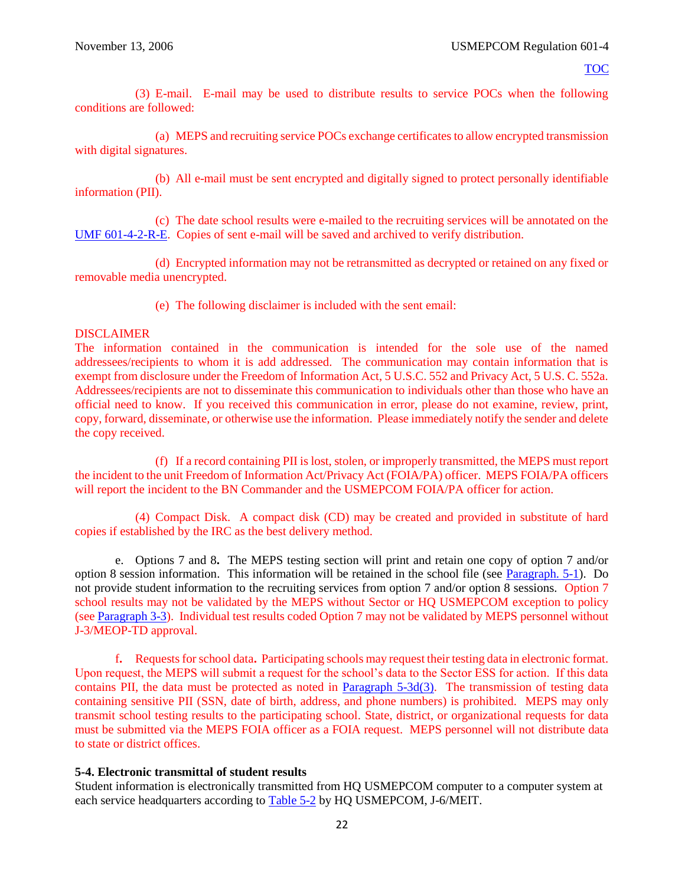<span id="page-26-0"></span>(3) E-mail. E-mail may be used to distribute results to service POCs when the following conditions are followed:

(a) MEPS and recruiting service POCs exchange certificates to allow encrypted transmission with digital signatures.

(b) All e-mail must be sent encrypted and digitally signed to protect personally identifiable information (PII).

(c) The date school results were e-mailed to the recruiting services will be annotated on the [UMF 601-4-2-R-E.](https://spear/Headquarters/J-1%20MEHR/MissionSup/USMEPCOM%20Regulations%20and%20Forms%20Library/UMR%20601-4,%20Student%20Testing%20Program/UMF%20601-4-2-R-E,%20Processing%20and%20Distribution%20Control%20Record.xfdl) Copies of sent e-mail will be saved and archived to verify distribution.

(d) Encrypted information may not be retransmitted as decrypted or retained on any fixed or removable media unencrypted.

(e) The following disclaimer is included with the sent email:

## DISCLAIMER

The information contained in the communication is intended for the sole use of the named addressees/recipients to whom it is add addressed. The communication may contain information that is exempt from disclosure under the Freedom of Information Act, 5 U.S.C. 552 and Privacy Act, 5 U.S. C. 552a. Addressees/recipients are not to disseminate this communication to individuals other than those who have an official need to know. If you received this communication in error, please do not examine, review, print, copy, forward, disseminate, or otherwise use the information. Please immediately notify the sender and delete the copy received.

(f) If a record containing PII is lost, stolen, or improperly transmitted, the MEPS must report the incident to the unit Freedom of Information Act/Privacy Act (FOIA/PA) officer. MEPS FOIA/PA officers will report the incident to the BN Commander and the USMEPCOM FOIA/PA officer for action.

(4) Compact Disk. A compact disk (CD) may be created and provided in substitute of hard copies if established by the IRC as the best delivery method.

e. Options 7 and 8**.** The MEPS testing section will print and retain one copy of option 7 and/or option 8 session information. This information will be retained in the school file (see [Paragraph. 5-1\)](#page-23-0). Do not provide student information to the recruiting services from option 7 and/or option 8 sessions. Option 7 school results may not be validated by the MEPS without Sector or HQ USMEPCOM exception to policy (see [Paragraph](#page-13-1) 3-3). Individual test results coded Option 7 may not be validated by MEPS personnel without J-3/MEOP-TD approval.

f**.** Requests for school data**.** Participating schools may request their testing data in electronic format. Upon request, the MEPS will submit a request for the school's data to the Sector ESS for action. If this data contains PII, the data must be protected as noted in [Paragraph 5-3d\(3\).](#page-26-0) The transmission of testing data containing sensitive PII (SSN, date of birth, address, and phone numbers) is prohibited. MEPS may only transmit school testing results to the participating school. State, district, or organizational requests for data must be submitted via the MEPS FOIA officer as a FOIA request. MEPS personnel will not distribute data to state or district offices.

## **5-4. Electronic transmittal of student results**

Student information is electronically transmitted from HQ USMEPCOM computer to a computer system at each service headquarters according to [Table 5-2](#page-28-0) by HQ USMEPCOM, J-6/MEIT.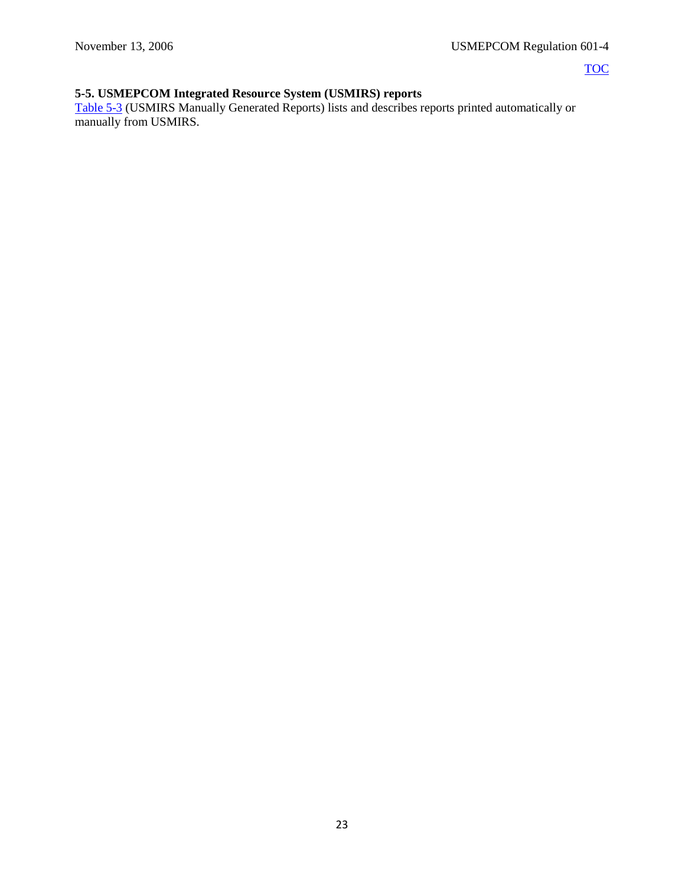# **5-5. USMEPCOM Integrated Resource System (USMIRS) reports**

[Table 5-3](#page-28-1) (USMIRS Manually Generated Reports) lists and describes reports printed automatically or manually from USMIRS.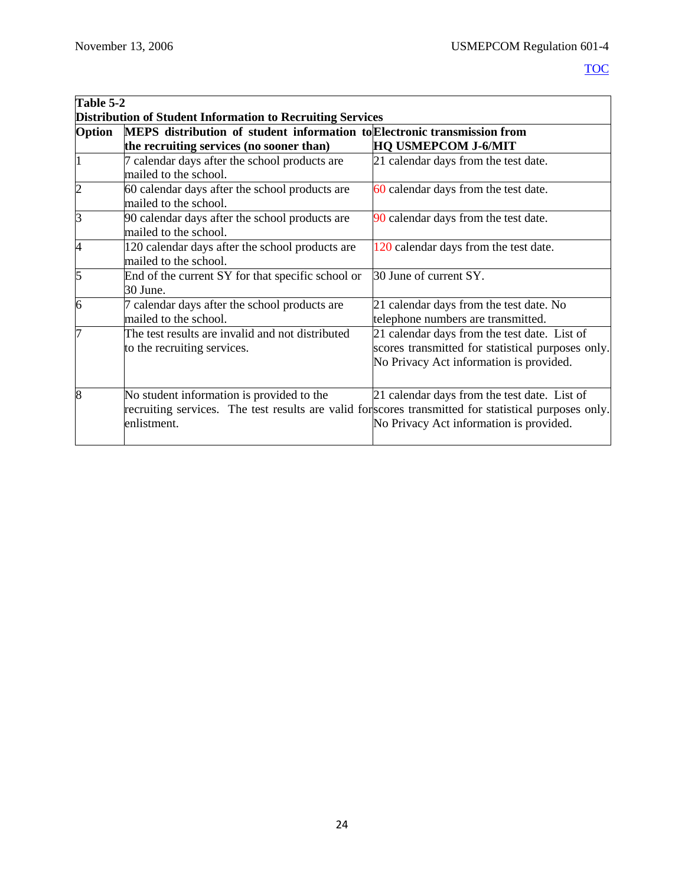<span id="page-28-1"></span><span id="page-28-0"></span>

|                                                                   | Table 5-2                                                                                             |                                                   |  |
|-------------------------------------------------------------------|-------------------------------------------------------------------------------------------------------|---------------------------------------------------|--|
| <b>Distribution of Student Information to Recruiting Services</b> |                                                                                                       |                                                   |  |
| <b>Option</b>                                                     | MEPS distribution of student information to Electronic transmission from                              |                                                   |  |
|                                                                   | the recruiting services (no sooner than)                                                              | <b>HQ USMEPCOM J-6/MIT</b>                        |  |
| $\mathbf{1}$                                                      | 7 calendar days after the school products are                                                         | 21 calendar days from the test date.              |  |
|                                                                   | mailed to the school.                                                                                 |                                                   |  |
| $\overline{2}$                                                    | 60 calendar days after the school products are                                                        | 60 calendar days from the test date.              |  |
|                                                                   | mailed to the school.                                                                                 |                                                   |  |
| 3                                                                 | 90 calendar days after the school products are                                                        | 90 calendar days from the test date.              |  |
|                                                                   | mailed to the school.                                                                                 |                                                   |  |
| 4                                                                 | 120 calendar days after the school products are                                                       | 120 calendar days from the test date.             |  |
|                                                                   | mailed to the school.                                                                                 |                                                   |  |
| 5                                                                 | End of the current SY for that specific school or                                                     | 30 June of current SY.                            |  |
|                                                                   | 30 June.                                                                                              |                                                   |  |
| 6                                                                 | 7 calendar days after the school products are                                                         | 21 calendar days from the test date. No           |  |
|                                                                   | mailed to the school.                                                                                 | telephone numbers are transmitted.                |  |
| 7                                                                 | The test results are invalid and not distributed                                                      | 21 calendar days from the test date. List of      |  |
|                                                                   | to the recruiting services.                                                                           | scores transmitted for statistical purposes only. |  |
|                                                                   |                                                                                                       | No Privacy Act information is provided.           |  |
|                                                                   |                                                                                                       |                                                   |  |
| 8                                                                 | No student information is provided to the                                                             | 21 calendar days from the test date. List of      |  |
|                                                                   | recruiting services. The test results are valid for scores transmitted for statistical purposes only. |                                                   |  |
|                                                                   | enlistment.                                                                                           | No Privacy Act information is provided.           |  |
|                                                                   |                                                                                                       |                                                   |  |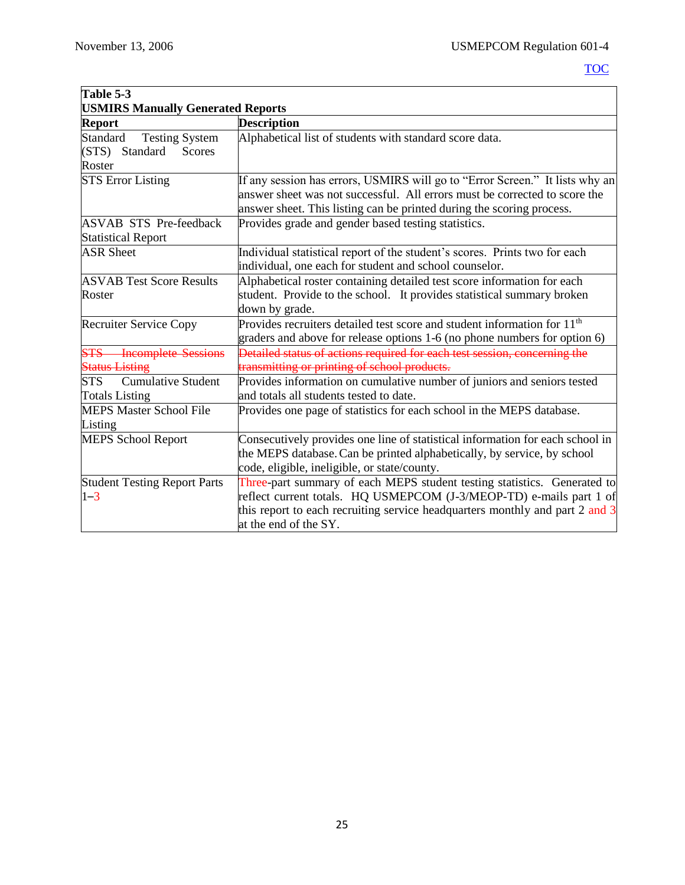| Table 5-3                                                                      |                                                                                                                                                                                                                                                          |  |
|--------------------------------------------------------------------------------|----------------------------------------------------------------------------------------------------------------------------------------------------------------------------------------------------------------------------------------------------------|--|
| <b>USMIRS Manually Generated Reports</b>                                       |                                                                                                                                                                                                                                                          |  |
| <b>Report</b>                                                                  | <b>Description</b>                                                                                                                                                                                                                                       |  |
| Standard<br><b>Testing System</b><br>(STS) Standard<br><b>Scores</b><br>Roster | Alphabetical list of students with standard score data.                                                                                                                                                                                                  |  |
| <b>STS Error Listing</b>                                                       | If any session has errors, USMIRS will go to "Error Screen." It lists why an<br>answer sheet was not successful. All errors must be corrected to score the<br>answer sheet. This listing can be printed during the scoring process.                      |  |
| <b>ASVAB STS Pre-feedback</b><br><b>Statistical Report</b>                     | Provides grade and gender based testing statistics.                                                                                                                                                                                                      |  |
| <b>ASR Sheet</b>                                                               | Individual statistical report of the student's scores. Prints two for each<br>individual, one each for student and school counselor.                                                                                                                     |  |
| <b>ASVAB Test Score Results</b><br>Roster                                      | Alphabetical roster containing detailed test score information for each<br>student. Provide to the school. It provides statistical summary broken<br>down by grade.                                                                                      |  |
| <b>Recruiter Service Copy</b>                                                  | Provides recruiters detailed test score and student information for 11 <sup>th</sup><br>graders and above for release options 1-6 (no phone numbers for option 6)                                                                                        |  |
| <b>STS</b> Incomplete Sessions<br><b>Status Listing</b>                        | Detailed status of actions required for each test session, concerning the<br>transmitting or printing of school products.                                                                                                                                |  |
| <b>STS</b><br><b>Cumulative Student</b><br><b>Totals Listing</b>               | Provides information on cumulative number of juniors and seniors tested<br>and totals all students tested to date.                                                                                                                                       |  |
| <b>MEPS Master School File</b><br>Listing                                      | Provides one page of statistics for each school in the MEPS database.                                                                                                                                                                                    |  |
| <b>MEPS School Report</b>                                                      | Consecutively provides one line of statistical information for each school in<br>the MEPS database. Can be printed alphabetically, by service, by school<br>code, eligible, ineligible, or state/county.                                                 |  |
| <b>Student Testing Report Parts</b><br>$1 - 3$                                 | Three-part summary of each MEPS student testing statistics. Generated to<br>reflect current totals. HQ USMEPCOM (J-3/MEOP-TD) e-mails part 1 of<br>this report to each recruiting service headquarters monthly and part 2 and 3<br>at the end of the SY. |  |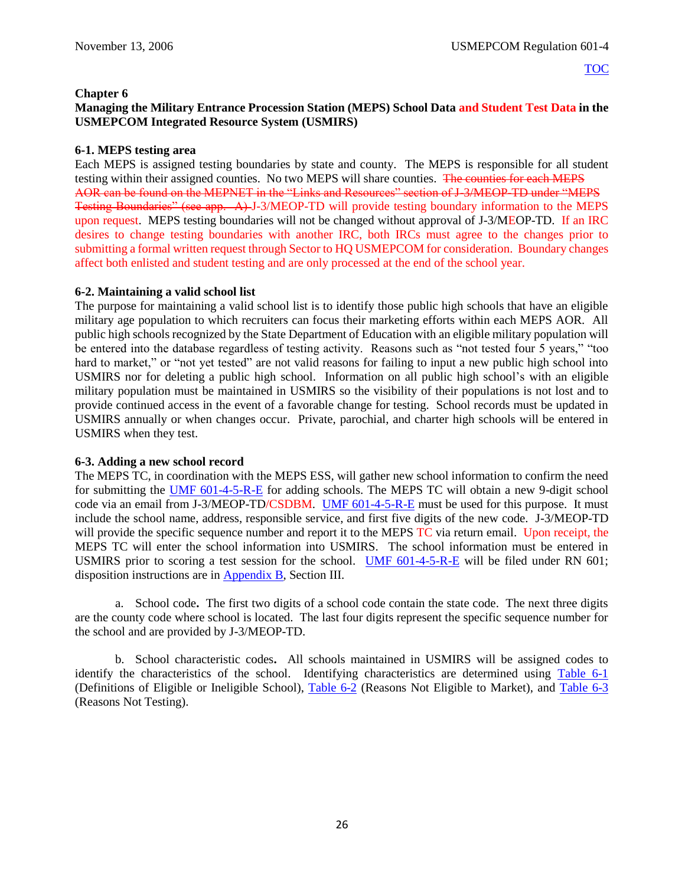## <span id="page-30-0"></span>**Chapter 6**

## **Managing the Military Entrance Procession Station (MEPS) School Data and Student Test Data in the USMEPCOM Integrated Resource System (USMIRS)**

## **6-1. MEPS testing area**

Each MEPS is assigned testing boundaries by state and county. The MEPS is responsible for all student testing within their assigned counties. No two MEPS will share counties. The counties for each MEPS AOR can be found on the MEPNET in the "Links and Resources" section of J-3/MEOP-TD under "MEPS Testing Boundaries" (see app. A) J-3/MEOP-TD will provide testing boundary information to the MEPS upon request. MEPS testing boundaries will not be changed without approval of J-3/MEOP-TD. If an IRC desires to change testing boundaries with another IRC, both IRCs must agree to the changes prior to submitting a formal written request through Sector to HQ USMEPCOM for consideration. Boundary changes affect both enlisted and student testing and are only processed at the end of the school year.

## **6-2. Maintaining a valid school list**

The purpose for maintaining a valid school list is to identify those public high schools that have an eligible military age population to which recruiters can focus their marketing efforts within each MEPS AOR. All public high schools recognized by the State Department of Education with an eligible military population will be entered into the database regardless of testing activity. Reasons such as "not tested four 5 years," "too hard to market," or "not yet tested" are not valid reasons for failing to input a new public high school into USMIRS nor for deleting a public high school. Information on all public high school's with an eligible military population must be maintained in USMIRS so the visibility of their populations is not lost and to provide continued access in the event of a favorable change for testing. School records must be updated in USMIRS annually or when changes occur. Private, parochial, and charter high schools will be entered in USMIRS when they test.

## **6-3. Adding a new school record**

The MEPS TC, in coordination with the MEPS ESS, will gather new school information to confirm the need for submitting the [UMF 601-4-5-R-E](https://spear/Headquarters/J-1%20MEHR/MissionSup/USMEPCOM%20Regulations%20and%20Forms%20Library/UMR%20601-4,%20Student%20Testing%20Program/UMF%20601-4-5-R-E,%20Student%20Testing%20Database%20Maintenance%20Form.pdf) for adding schools. The MEPS TC will obtain a new 9-digit school code via an email from J-3/MEOP-TD/CSDBM. [UMF 601-4-5-R-E](https://spear/Headquarters/J-1%20MEHR/MissionSup/USMEPCOM%20Regulations%20and%20Forms%20Library/UMR%20601-4,%20Student%20Testing%20Program/UMF%20601-4-5-R-E,%20Student%20Testing%20Database%20Maintenance%20Form.pdf) must be used for this purpose. It must include the school name, address, responsible service, and first five digits of the new code. J-3/MEOP-TD will provide the specific sequence number and report it to the MEPS TC via return email. Upon receipt, the MEPS TC will enter the school information into USMIRS. The school information must be entered in USMIRS prior to scoring a test session for the school. [UMF 601-4-5-R-E](https://spear/Headquarters/J-1%20MEHR/MissionSup/USMEPCOM%20Regulations%20and%20Forms%20Library/UMR%20601-4,%20Student%20Testing%20Program/UMF%20601-4-5-R-E,%20Student%20Testing%20Database%20Maintenance%20Form.pdf) will be filed under RN 601; disposition instructions are in [Appendix B](#page-47-0), Section III.

a. School code**.** The first two digits of a school code contain the state code. The next three digits are the county code where school is located. The last four digits represent the specific sequence number for the school and are provided by J-3/MEOP-TD.

b. School characteristic codes**.** All schools maintained in USMIRS will be assigned codes to identify the characteristics of the school. Identifying characteristics are determined using [Table 6-1](#page-32-0) (Definitions of Eligible or Ineligible School), [Table 6-2](#page-32-1) (Reasons Not Eligible to Market), and [Table 6-3](#page-33-0) (Reasons Not Testing).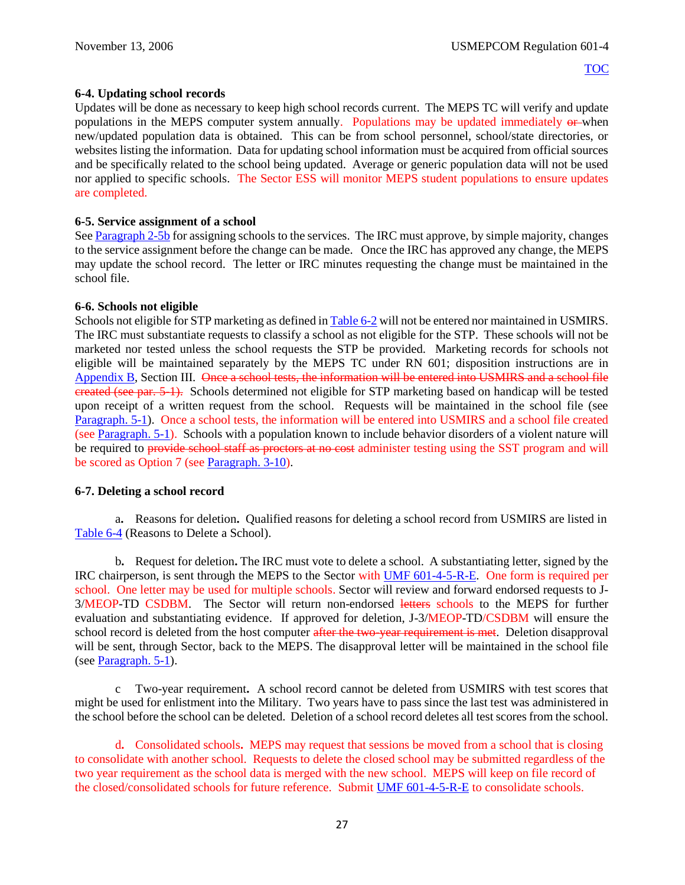## **6-4. Updating school records**

Updates will be done as necessary to keep high school records current. The MEPS TC will verify and update populations in the MEPS computer system annually. Populations may be updated immediately or when new/updated population data is obtained. This can be from school personnel, school/state directories, or websites listing the information. Data for updating school information must be acquired from official sources and be specifically related to the school being updated. Average or generic population data will not be used nor applied to specific schools. The Sector ESS will monitor MEPS student populations to ensure updates are completed.

## **6-5. Service assignment of a school**

See [Paragraph 2-5b](#page-10-0) for assigning schools to the services. The IRC must approve, by simple majority, changes to the service assignment before the change can be made. Once the IRC has approved any change, the MEPS may update the school record. The letter or IRC minutes requesting the change must be maintained in the school file.

## **6-6. Schools not eligible**

Schools not eligible for STP marketing as defined i[n Table 6-2](#page-32-1) will not be entered nor maintained in USMIRS. The IRC must substantiate requests to classify a school as not eligible for the STP. These schools will not be marketed nor tested unless the school requests the STP be provided. Marketing records for schools not eligible will be maintained separately by the MEPS TC under RN 601; disposition instructions are in [Appendix B](#page-47-0), Section III. <del>Once a school tests, the information will be entered into USMIRS and a school file</del> created (see par. 5-1). Schools determined not eligible for STP marketing based on handicap will be tested upon receipt of a written request from the school. Requests will be maintained in the school file (see [Paragraph. 5-1\)](#page-23-0). Once a school tests, the information will be entered into USMIRS and a school file created (see [Paragraph. 5-1\)](#page-23-0). Schools with a population known to include behavior disorders of a violent nature will be required to provide school staff as proctors at no cost administer testing using the SST program and will be scored as Option 7 (see [Paragraph. 3-10\)](#page-18-0).

## **6-7. Deleting a school record**

a**.** Reasons for deletion**.** Qualified reasons for deleting a school record from USMIRS are listed in [Table 6-4](#page-33-0) (Reasons to Delete a School).

b**.** Request for deletion**.** The IRC must vote to delete a school. A substantiating letter, signed by the IRC chairperson, is sent through the MEPS to the Sector with [UMF 601-4-5-R-E.](https://spear/Headquarters/J-1%20MEHR/MissionSup/USMEPCOM%20Regulations%20and%20Forms%20Library/UMR%20601-4,%20Student%20Testing%20Program/UMF%20601-4-5-R-E,%20Student%20Testing%20Database%20Maintenance%20Form.pdf) One form is required per school. One letter may be used for multiple schools. Sector will review and forward endorsed requests to J-3/MEOP-TD CSDBM. The Sector will return non-endorsed letters schools to the MEPS for further evaluation and substantiating evidence. If approved for deletion, J-3/MEOP-TD/CSDBM will ensure the school record is deleted from the host computer after the two-year requirement is met. Deletion disapproval will be sent, through Sector, back to the MEPS. The disapproval letter will be maintained in the school file (see [Paragraph. 5-1\)](#page-23-0).

c Two-year requirement**.** A school record cannot be deleted from USMIRS with test scores that might be used for enlistment into the Military. Two years have to pass since the last test was administered in the school before the school can be deleted. Deletion of a school record deletes all test scores from the school.

d**.** Consolidated schools**.** MEPS may request that sessions be moved from a school that is closing to consolidate with another school. Requests to delete the closed school may be submitted regardless of the two year requirement as the school data is merged with the new school. MEPS will keep on file record of the closed/consolidated schools for future reference. Submit [UMF 601-4-5-R-E](https://spear/Headquarters/J-1%20MEHR/MissionSup/USMEPCOM%20Regulations%20and%20Forms%20Library/UMR%20601-4,%20Student%20Testing%20Program/UMF%20601-4-5-R-E,%20Student%20Testing%20Database%20Maintenance%20Form.pdf) to consolidate schools.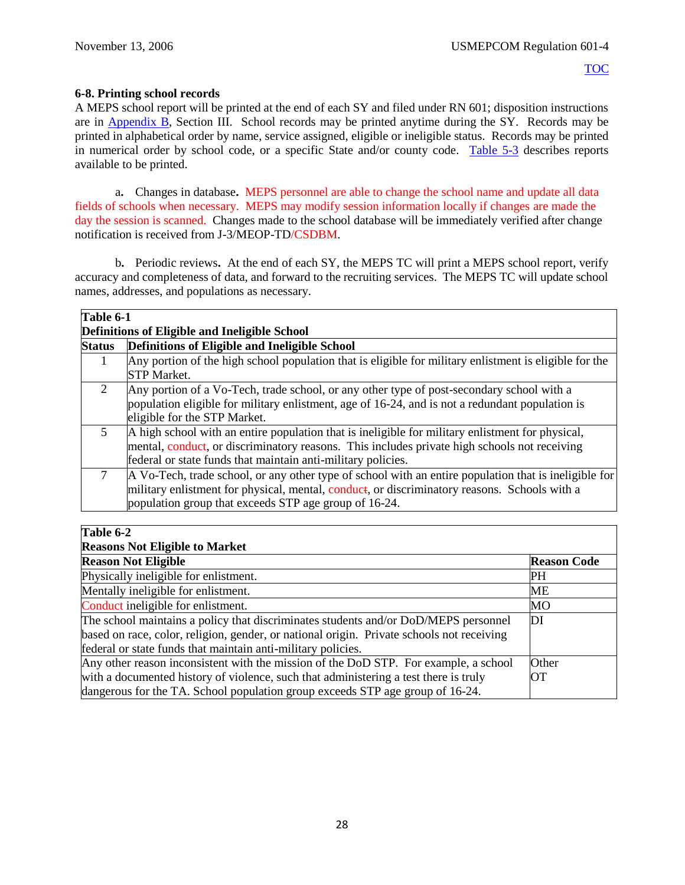## **6-8. Printing school records**

A MEPS school report will be printed at the end of each SY and filed under RN 601; disposition instructions are in [Appendix B](#page-47-0), Section III. School records may be printed anytime during the SY. Records may be printed in alphabetical order by name, service assigned, eligible or ineligible status. Records may be printed in numerical order by school code, or a specific State and/or county code. [Table](#page-28-1) 5-3 describes reports available to be printed.

a**.** Changes in database**.** MEPS personnel are able to change the school name and update all data fields of schools when necessary. MEPS may modify session information locally if changes are made the day the session is scanned. Changes made to the school database will be immediately verified after change notification is received from J-3/MEOP-TD/CSDBM.

b**.** Periodic reviews**.** At the end of each SY, the MEPS TC will print a MEPS school report, verify accuracy and completeness of data, and forward to the recruiting services. The MEPS TC will update school names, addresses, and populations as necessary.

<span id="page-32-0"></span>

| Table 6-1     |                                                                                                                                                                                                                                                                  |  |  |
|---------------|------------------------------------------------------------------------------------------------------------------------------------------------------------------------------------------------------------------------------------------------------------------|--|--|
|               | Definitions of Eligible and Ineligible School                                                                                                                                                                                                                    |  |  |
| <b>Status</b> | Definitions of Eligible and Ineligible School                                                                                                                                                                                                                    |  |  |
| 1             | Any portion of the high school population that is eligible for military enlistment is eligible for the<br><b>STP Market.</b>                                                                                                                                     |  |  |
| 2             | Any portion of a Vo-Tech, trade school, or any other type of post-secondary school with a<br>population eligible for military enlistment, age of 16-24, and is not a redundant population is<br>eligible for the STP Market.                                     |  |  |
| 5             | A high school with an entire population that is ineligible for military enlistment for physical,<br>mental, conduct, or discriminatory reasons. This includes private high schools not receiving<br>federal or state funds that maintain anti-military policies. |  |  |
|               | A Vo-Tech, trade school, or any other type of school with an entire population that is ineligible for<br>military enlistment for physical, mental, conduct, or discriminatory reasons. Schools with a<br>population group that exceeds STP age group of 16-24.   |  |  |

## <span id="page-32-1"></span>**Table 6-2**

## **Reasons Not Eligible to Market**

| Extend only 1 Tot Enterprise to Man Int                                                   |                    |  |
|-------------------------------------------------------------------------------------------|--------------------|--|
| <b>Reason Not Eligible</b>                                                                | <b>Reason Code</b> |  |
| Physically ineligible for enlistment.                                                     | PН                 |  |
| Mentally ineligible for enlistment.                                                       | MЕ                 |  |
| Conduct ineligible for enlistment.                                                        | МO                 |  |
| The school maintains a policy that discriminates students and/or DoD/MEPS personnel       | DI                 |  |
| based on race, color, religion, gender, or national origin. Private schools not receiving |                    |  |
| federal or state funds that maintain anti-military policies.                              |                    |  |
| Any other reason inconsistent with the mission of the DoD STP. For example, a school      | Other              |  |
| with a documented history of violence, such that administering a test there is truly      | <b>OT</b>          |  |
| dangerous for the TA. School population group exceeds STP age group of 16-24.             |                    |  |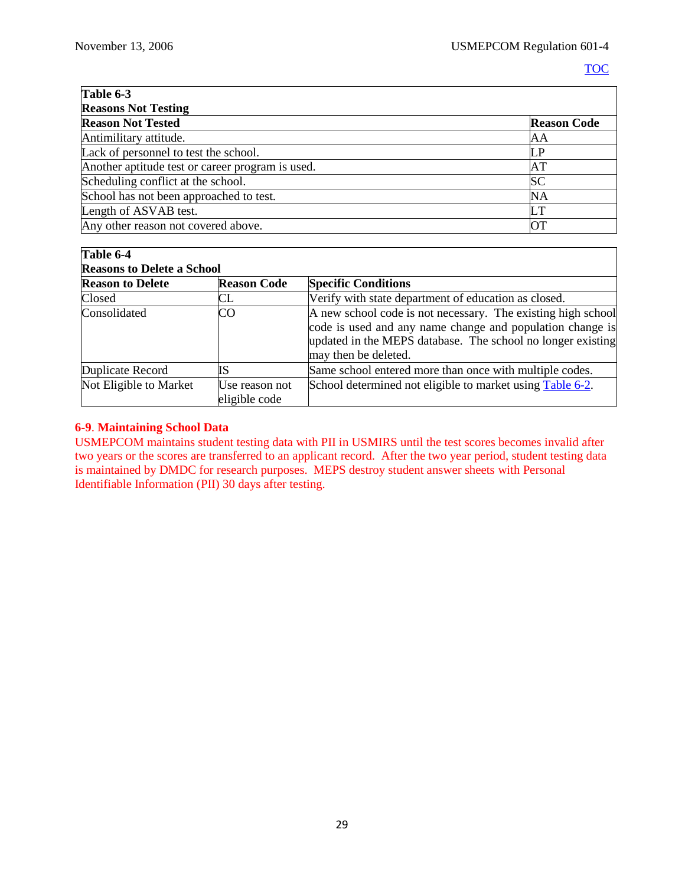<span id="page-33-0"></span>

| Table 6-3<br><b>Reasons Not Testing</b>          |           |  |
|--------------------------------------------------|-----------|--|
|                                                  |           |  |
| Antimilitary attitude.                           | AΑ        |  |
| Lack of personnel to test the school.            | I P       |  |
| Another aptitude test or career program is used. | AT        |  |
| Scheduling conflict at the school.               | SC        |  |
| School has not been approached to test.          | <b>NA</b> |  |
| Length of ASVAB test.                            | LT        |  |
| Any other reason not covered above.              | ЮT        |  |

| Table 6-4                         |                                 |                                                                                                                                                                                                                  |  |  |
|-----------------------------------|---------------------------------|------------------------------------------------------------------------------------------------------------------------------------------------------------------------------------------------------------------|--|--|
| <b>Reasons to Delete a School</b> |                                 |                                                                                                                                                                                                                  |  |  |
| <b>Reason to Delete</b>           | <b>Reason Code</b>              | <b>Specific Conditions</b>                                                                                                                                                                                       |  |  |
| Closed                            | CL                              | Verify with state department of education as closed.                                                                                                                                                             |  |  |
| Consolidated                      | <b>CO</b>                       | A new school code is not necessary. The existing high school<br>code is used and any name change and population change is<br>updated in the MEPS database. The school no longer existing<br>may then be deleted. |  |  |
| Duplicate Record                  | IS                              | Same school entered more than once with multiple codes.                                                                                                                                                          |  |  |
| Not Eligible to Market            | Use reason not<br>eligible code | School determined not eligible to market using Table 6-2.                                                                                                                                                        |  |  |

## **6-9**. **Maintaining School Data**

USMEPCOM maintains student testing data with PII in USMIRS until the test scores becomes invalid after two years or the scores are transferred to an applicant record. After the two year period, student testing data is maintained by DMDC for research purposes. MEPS destroy student answer sheets with Personal Identifiable Information (PII) 30 days after testing.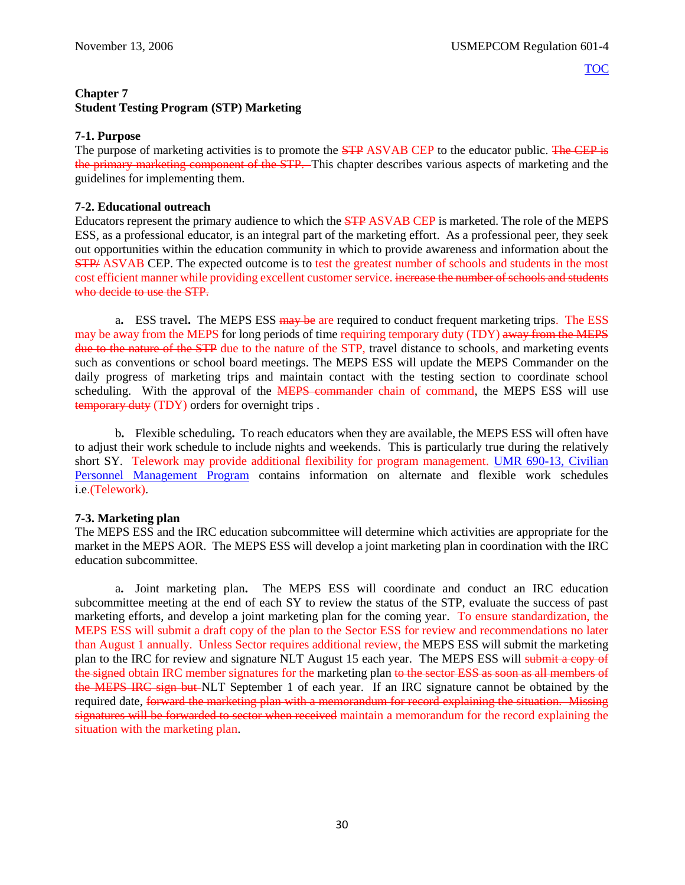## <span id="page-34-0"></span>**Chapter 7 Student Testing Program (STP) Marketing**

## **7-1. Purpose**

The purpose of marketing activities is to promote the **STP** ASVAB CEP to the educator public. The CEP is the primary marketing component of the STP. This chapter describes various aspects of marketing and the guidelines for implementing them.

## **7-2. Educational outreach**

Educators represent the primary audience to which the STP ASVAB CEP is marketed. The role of the MEPS ESS, as a professional educator, is an integral part of the marketing effort. As a professional peer, they seek out opportunities within the education community in which to provide awareness and information about the **STP/ ASVAB CEP.** The expected outcome is to test the greatest number of schools and students in the most cost efficient manner while providing excellent customer service. increase the number of schools and students who decide to use the STP.

a**.** ESS travel**.** The MEPS ESS may be are required to conduct frequent marketing trips. The ESS may be away from the MEPS for long periods of time requiring temporary duty (TDY) away from the MEPS due to the nature of the STP due to the nature of the STP, travel distance to schools, and marketing events such as conventions or school board meetings. The MEPS ESS will update the MEPS Commander on the daily progress of marketing trips and maintain contact with the testing section to coordinate school scheduling. With the approval of the **MEPS** commander chain of command, the MEPS ESS will use temporary duty (TDY) orders for overnight trips .

<span id="page-34-1"></span>b**.** Flexible scheduling**.** To reach educators when they are available, the MEPS ESS will often have to adjust their work schedule to include nights and weekends. This is particularly true during the relatively short SY. Telework may provide additional flexibility for program management. [UMR 690-13,](https://spear/Headquarters/J-1%20MEHR/MissionSup/USMEPCOM%20Regulations%20and%20Forms%20Library/UMR%20690-13,%20Civilian%20Personnel%20Management%20Program/UMR%20690-13,%20Civilian%20Personnel%20Management%20Program.pdf) Civilian [Personnel Management Program](https://spear/Headquarters/J-1%20MEHR/MissionSup/USMEPCOM%20Regulations%20and%20Forms%20Library/UMR%20690-13,%20Civilian%20Personnel%20Management%20Program/UMR%20690-13,%20Civilian%20Personnel%20Management%20Program.pdf) contains information on alternate and flexible work schedules i.e.(Telework).

## **7-3. Marketing plan**

The MEPS ESS and the IRC education subcommittee will determine which activities are appropriate for the market in the MEPS AOR. The MEPS ESS will develop a joint marketing plan in coordination with the IRC education subcommittee.

a**.** Joint marketing plan**.** The MEPS ESS will coordinate and conduct an IRC education subcommittee meeting at the end of each SY to review the status of the STP, evaluate the success of past marketing efforts, and develop a joint marketing plan for the coming year. To ensure standardization, the MEPS ESS will submit a draft copy of the plan to the Sector ESS for review and recommendations no later than August 1 annually. Unless Sector requires additional review, the MEPS ESS will submit the marketing plan to the IRC for review and signature NLT August 15 each year. The MEPS ESS will submit a copy of the signed obtain IRC member signatures for the marketing plan to the sector ESS as soon as all members of the MEPS IRC sign but NLT September 1 of each year. If an IRC signature cannot be obtained by the required date, forward the marketing plan with a memorandum for record explaining the situation. Missing signatures will be forwarded to sector when received maintain a memorandum for the record explaining the situation with the marketing plan.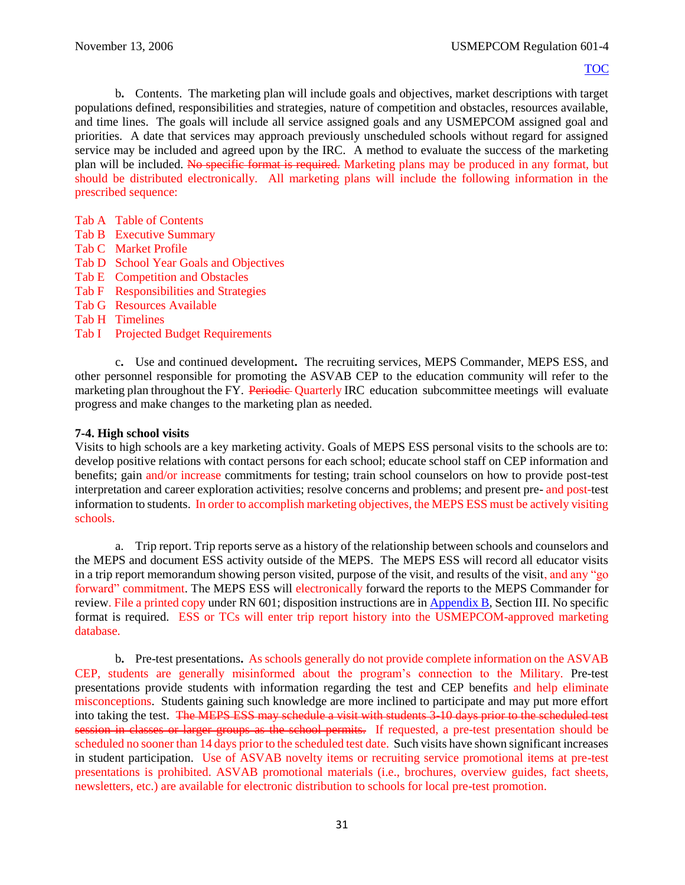b**.** Contents. The marketing plan will include goals and objectives, market descriptions with target populations defined, responsibilities and strategies, nature of competition and obstacles, resources available, and time lines. The goals will include all service assigned goals and any USMEPCOM assigned goal and priorities. A date that services may approach previously unscheduled schools without regard for assigned service may be included and agreed upon by the IRC. A method to evaluate the success of the marketing plan will be included. No specific format is required. Marketing plans may be produced in any format, but should be distributed electronically. All marketing plans will include the following information in the prescribed sequence:

- Tab A Table of Contents
- Tab B Executive Summary
- Tab C Market Profile
- Tab D School Year Goals and Objectives
- Tab E Competition and Obstacles
- Tab F Responsibilities and Strategies
- Tab G Resources Available
- Tab H Timelines
- Tab I Projected Budget Requirements

c**.** Use and continued development**.** The recruiting services, MEPS Commander, MEPS ESS, and other personnel responsible for promoting the ASVAB CEP to the education community will refer to the marketing plan throughout the FY. Periodic Quarterly IRC education subcommittee meetings will evaluate progress and make changes to the marketing plan as needed.

## **7-4. High school visits**

Visits to high schools are a key marketing activity. Goals of MEPS ESS personal visits to the schools are to: develop positive relations with contact persons for each school; educate school staff on CEP information and benefits; gain and/or increase commitments for testing; train school counselors on how to provide post-test interpretation and career exploration activities; resolve concerns and problems; and present pre- and post-test information to students. In order to accomplish marketing objectives, the MEPS ESS must be actively visiting schools.

a. Trip report. Trip reports serve as a history of the relationship between schools and counselors and the MEPS and document ESS activity outside of the MEPS. The MEPS ESS will record all educator visits in a trip report memorandum showing person visited, purpose of the visit, and results of the visit, and any "go forward" commitment. The MEPS ESS will electronically forward the reports to the MEPS Commander for review. File a printed copy under RN 601; disposition instructions are in [Appendix B](#page-47-0), Section III. No specific format is required. ESS or TCs will enter trip report history into the USMEPCOM-approved marketing database.

b**.** Pre-test presentations**.** As schools generally do not provide complete information on the ASVAB CEP, students are generally misinformed about the program's connection to the Military. Pre-test presentations provide students with information regarding the test and CEP benefits and help eliminate misconceptions. Students gaining such knowledge are more inclined to participate and may put more effort into taking the test. The MEPS ESS may schedule a visit with students 3-10 days prior to the scheduled test session in classes or larger groups as the school permits. If requested, a pre-test presentation should be scheduled no sooner than 14 days prior to the scheduled test date. Such visits have shown significant increases in student participation. Use of ASVAB novelty items or recruiting service promotional items at pre-test presentations is prohibited. ASVAB promotional materials (i.e., brochures, overview guides, fact sheets, newsletters, etc.) are available for electronic distribution to schools for local pre-test promotion.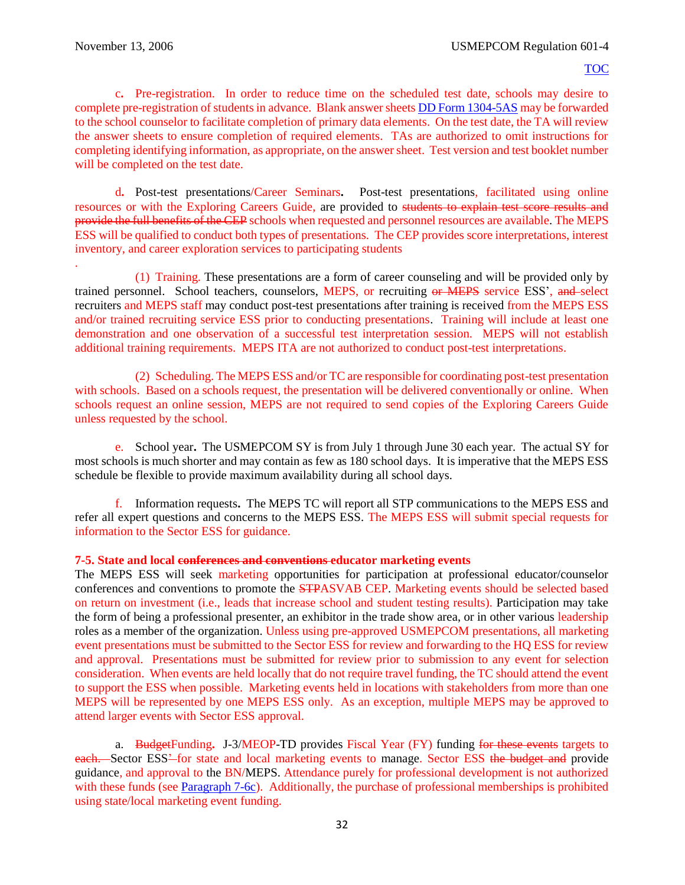.

#### [TOC](#page-2-0)

c**.** Pre-registration. In order to reduce time on the scheduled test date, schools may desire to complete pre-registration of students in advance. Blank answer sheet[s DD Form 1304-5AS](http://www.dtic.mil/whs/directives/forms/forminfo/forminfopage3224.html) may be forwarded to the school counselor to facilitate completion of primary data elements. On the test date, the TA will review the answer sheets to ensure completion of required elements. TAs are authorized to omit instructions for completing identifying information, as appropriate, on the answer sheet. Test version and test booklet number will be completed on the test date.

d**.** Post-test presentations/Career Seminars**.** Post-test presentations, facilitated using online resources or with the Exploring Careers Guide, are provided to students to explain test score results and provide the full benefits of the CEP schools when requested and personnel resources are available. The MEPS ESS will be qualified to conduct both types of presentations. The CEP provides score interpretations, interest inventory, and career exploration services to participating students

(1) Training. These presentations are a form of career counseling and will be provided only by trained personnel. School teachers, counselors, MEPS, or recruiting or MEPS service ESS', and select recruiters and MEPS staff may conduct post-test presentations after training is received from the MEPS ESS and/or trained recruiting service ESS prior to conducting presentations. Training will include at least one demonstration and one observation of a successful test interpretation session. MEPS will not establish additional training requirements. MEPS ITA are not authorized to conduct post-test interpretations.

(2) Scheduling. The MEPS ESS and/or TC are responsible for coordinating post-test presentation with schools. Based on a schools request, the presentation will be delivered conventionally or online. When schools request an online session, MEPS are not required to send copies of the Exploring Careers Guide unless requested by the school.

e. School year**.** The USMEPCOM SY is from July 1 through June 30 each year. The actual SY for most schools is much shorter and may contain as few as 180 school days. It is imperative that the MEPS ESS schedule be flexible to provide maximum availability during all school days.

f. Information requests**.** The MEPS TC will report all STP communications to the MEPS ESS and refer all expert questions and concerns to the MEPS ESS. The MEPS ESS will submit special requests for information to the Sector ESS for guidance.

#### **7-5. State and local conferences and conventions educator marketing events**

The MEPS ESS will seek marketing opportunities for participation at professional educator/counselor conferences and conventions to promote the STPASVAB CEP. Marketing events should be selected based on return on investment (i.e., leads that increase school and student testing results). Participation may take the form of being a professional presenter, an exhibitor in the trade show area, or in other various leadership roles as a member of the organization. Unless using pre-approved USMEPCOM presentations, all marketing event presentations must be submitted to the Sector ESS for review and forwarding to the HQ ESS for review and approval. Presentations must be submitted for review prior to submission to any event for selection consideration. When events are held locally that do not require travel funding, the TC should attend the event to support the ESS when possible. Marketing events held in locations with stakeholders from more than one MEPS will be represented by one MEPS ESS only. As an exception, multiple MEPS may be approved to attend larger events with Sector ESS approval.

a. BudgetFunding**.** J-3/MEOP-TD provides Fiscal Year (FY) funding for these events targets to each. Sector ESS<sup>2</sup> for state and local marketing events to manage. Sector ESS the budget and provide guidance, and approval to the BN/MEPS. Attendance purely for professional development is not authorized with these funds (see [Paragraph 7-6c\)](#page-38-0). Additionally, the purchase of professional memberships is prohibited using state/local marketing event funding.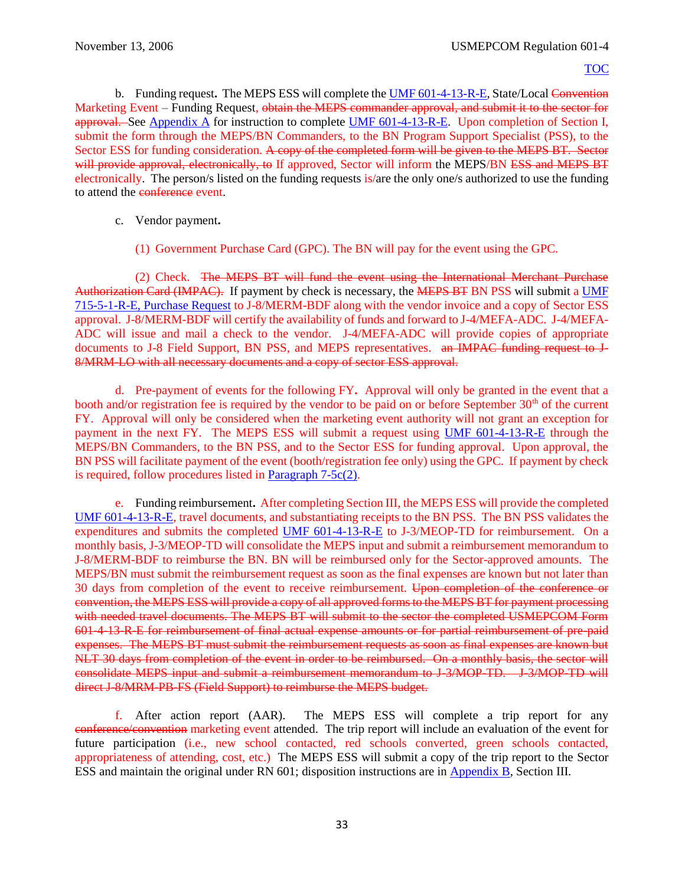b. Funding request, The MEPS ESS will complete th[e UMF 601-4-13-R-E,](https://spear/Headquarters/J-1%20MEHR/MissionSup/USMEPCOM%20Regulations%20and%20Forms%20Library/UMR%20601-4,%20Student%20Testing%20Program/UMF%20601-4-13-R-E,%20State-Local%20Marketing%20Event%20-%20Funding%20Request.pdf) State/Local Convention Marketing Event – Funding Request, obtain the MEPS commander approval, and submit it to the sector for approval. See [Appendix A](#page-61-0) for instruction to complete [UMF 601-4-13-R-E.](https://spear/Headquarters/J-1%20MEHR/MissionSup/USMEPCOM%20Regulations%20and%20Forms%20Library/UMR%20601-4,%20Student%20Testing%20Program/UMF%20601-4-13-R-E,%20State-Local%20Marketing%20Event%20-%20Funding%20Request.pdf) Upon completion of Section I, submit the form through the MEPS/BN Commanders, to the BN Program Support Specialist (PSS), to the Sector ESS for funding consideration. A copy of the completed form will be given to the MEPS BT. Sector will provide approval, electronically, to If approved, Sector will inform the MEPS/BN ESS and MEPS BT electronically. The person/s listed on the funding requests is/are the only one/s authorized to use the funding to attend the conference event.

- <span id="page-37-1"></span>c. Vendor payment**.** 
	- (1) Government Purchase Card (GPC). The BN will pay for the event using the GPC.

<span id="page-37-0"></span>(2) Check. The MEPS BT will fund the event using the International Merchant Purchase Authorization Card (IMPAC). If payment by check is necessary, the MEPS BT BN PSS will submit a [UMF](file://///mepcom-a7-00/directorates/MHR/MHR-MS/MEHR-MSS/Publications%20in%20Editing/Publications/715-5,%20DoD%20GPC%20and%20Procurement%20Procedures/Associated%20Forms/UMF%20715-5-1-E,%20Purchase%20Request%20(June%202015).pdf) 715-5-1-R-E, [Purchase Request](file://///mepcom-a7-00/directorates/MHR/MHR-MS/MEHR-MSS/Publications%20in%20Editing/Publications/715-5,%20DoD%20GPC%20and%20Procurement%20Procedures/Associated%20Forms/UMF%20715-5-1-E,%20Purchase%20Request%20(June%202015).pdf) to J-8/MERM-BDF along with the vendor invoice and a copy of Sector ESS approval. J-8/MERM-BDF will certify the availability of funds and forward to J-4/MEFA-ADC. J-4/MEFA-ADC will issue and mail a check to the vendor. J-4/MEFA-ADC will provide copies of appropriate documents to J-8 Field Support, BN PSS, and MEPS representatives. <del>an IMPAC funding request to J-</del> 8/MRM-LO with all necessary documents and a copy of sector ESS approval.

d. Pre-payment of events for the following FY**.** Approval will only be granted in the event that a booth and/or registration fee is required by the vendor to be paid on or before September 30<sup>th</sup> of the current FY. Approval will only be considered when the marketing event authority will not grant an exception for payment in the next FY. The MEPS ESS will submit a request using [UMF 601-4-13-R-E](https://spear/Headquarters/J-1%20MEHR/MissionSup/USMEPCOM%20Regulations%20and%20Forms%20Library/UMR%20601-4,%20Student%20Testing%20Program/UMF%20601-4-13-R-E,%20State-Local%20Marketing%20Event%20-%20Funding%20Request.pdf) through the MEPS/BN Commanders, to the BN PSS, and to the Sector ESS for funding approval. Upon approval, the BN PSS will facilitate payment of the event (booth/registration fee only) using the GPC. If payment by check is required, follow procedures listed in [Paragraph 7-5c\(2\).](#page-37-0)

e. Funding reimbursement**.** After completing Section III, the MEPS ESS will provide the completed [UMF 601-4-13-R-E,](https://spear/Headquarters/J-1%20MEHR/MissionSup/USMEPCOM%20Regulations%20and%20Forms%20Library/UMR%20601-4,%20Student%20Testing%20Program/UMF%20601-4-13-R-E,%20State-Local%20Marketing%20Event%20-%20Funding%20Request.pdf) travel documents, and substantiating receipts to the BN PSS. The BN PSS validates the expenditures and submits the completed [UMF 601-4-13-R-E](https://spear/Headquarters/J-1%20MEHR/MissionSup/USMEPCOM%20Regulations%20and%20Forms%20Library/UMR%20601-4,%20Student%20Testing%20Program/UMF%20601-4-13-R-E,%20State-Local%20Marketing%20Event%20-%20Funding%20Request.pdf) to J-3/MEOP-TD for reimbursement. On a monthly basis, J-3/MEOP-TD will consolidate the MEPS input and submit a reimbursement memorandum to J-8/MERM-BDF to reimburse the BN. BN will be reimbursed only for the Sector-approved amounts. The MEPS/BN must submit the reimbursement request as soon as the final expenses are known but not later than 30 days from completion of the event to receive reimbursement. Upon completion of the conference or convention, the MEPS ESS will provide a copy of all approved forms to the MEPS BT for payment processing with needed travel documents. The MEPS BT will submit to the sector the completed USMEPCOM Form 601-4-13-R-E for reimbursement of final actual expense amounts or for partial reimbursement of pre-paid expenses. The MEPS BT must submit the reimbursement requests as soon as final expenses are known but NLT 30 days from completion of the event in order to be reimbursed. On a monthly basis, the sector will consolidate MEPS input and submit a reimbursement memorandum to J-3/MOP-TD. J-3/MOP-TD will direct J-8/MRM-PB-FS (Field Support) to reimburse the MEPS budget.

f. After action report (AAR).The MEPS ESS will complete a trip report for any conference/convention marketing event attended. The trip report will include an evaluation of the event for future participation (i.e., new school contacted, red schools converted, green schools contacted, appropriateness of attending, cost, etc.) The MEPS ESS will submit a copy of the trip report to the Sector ESS and maintain the original under RN 601; disposition instructions are in [Appendix B](#page-47-0), Section III.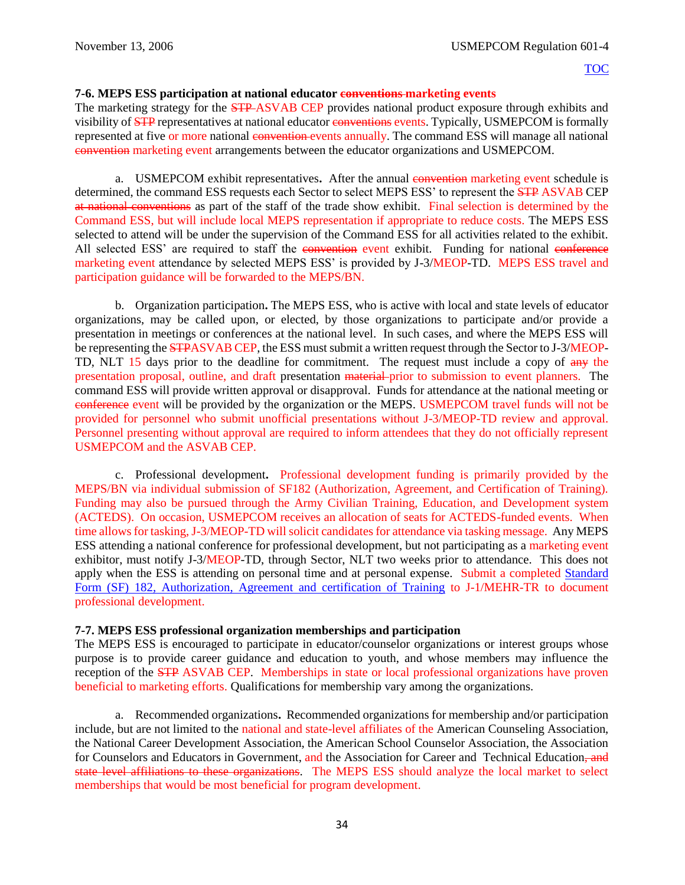## **7-6. MEPS ESS participation at national educator conventions marketing events**

The marketing strategy for the **STP-ASVAB CEP** provides national product exposure through exhibits and visibility of **STP** representatives at national educator conventions events. Typically, USMEPCOM is formally represented at five or more national convention events annually. The command ESS will manage all national convention marketing event arrangements between the educator organizations and USMEPCOM.

a. USMEPCOM exhibit representatives. After the annual convention marketing event schedule is determined, the command ESS requests each Sector to select MEPS ESS' to represent the **STP ASVAB CEP** at national conventions as part of the staff of the trade show exhibit. Final selection is determined by the Command ESS, but will include local MEPS representation if appropriate to reduce costs. The MEPS ESS selected to attend will be under the supervision of the Command ESS for all activities related to the exhibit. All selected ESS' are required to staff the convention event exhibit. Funding for national conference marketing event attendance by selected MEPS ESS' is provided by J-3/MEOP-TD. MEPS ESS travel and participation guidance will be forwarded to the MEPS/BN.

b. Organization participation**.** The MEPS ESS, who is active with local and state levels of educator organizations, may be called upon, or elected, by those organizations to participate and/or provide a presentation in meetings or conferences at the national level. In such cases, and where the MEPS ESS will be representing the **STPASVAB CEP**, the ESS must submit a written request through the Sector to J-3/MEOP-TD, NLT 15 days prior to the deadline for commitment. The request must include a copy of  $\frac{day}{y}$  the presentation proposal, outline, and draft presentation material prior to submission to event planners. The command ESS will provide written approval or disapproval. Funds for attendance at the national meeting or conference event will be provided by the organization or the MEPS. USMEPCOM travel funds will not be provided for personnel who submit unofficial presentations without J-3/MEOP-TD review and approval. Personnel presenting without approval are required to inform attendees that they do not officially represent USMEPCOM and the ASVAB CEP.

<span id="page-38-0"></span>c. Professional development**.** Professional development funding is primarily provided by the MEPS/BN via individual submission of SF182 (Authorization, Agreement, and Certification of Training). Funding may also be pursued through the Army Civilian Training, Education, and Development system (ACTEDS). On occasion, USMEPCOM receives an allocation of seats for ACTEDS-funded events. When time allows for tasking, J-3/MEOP-TD will solicit candidates for attendance via tasking message. Any MEPS ESS attending a national conference for professional development, but not participating as a marketing event exhibitor, must notify J-3/MEOP-TD, through Sector, NLT two weeks prior to attendance. This does not apply when the ESS is attending on personal time and at personal expense. Submit a completed [Standard](http://www.gsa.gov/portal/forms/download/117002)  Form (SF) 182, [Authorization, Agreement and certification of Training](http://www.gsa.gov/portal/forms/download/117002) to J-1/MEHR-TR to document professional development.

## **7-7. MEPS ESS professional organization memberships and participation**

The MEPS ESS is encouraged to participate in educator/counselor organizations or interest groups whose purpose is to provide career guidance and education to youth, and whose members may influence the reception of the STP ASVAB CEP. Memberships in state or local professional organizations have proven beneficial to marketing efforts. Qualifications for membership vary among the organizations.

a. Recommended organizations**.** Recommended organizations for membership and/or participation include, but are not limited to the national and state-level affiliates of the American Counseling Association, the National Career Development Association, the American School Counselor Association, the Association for Counselors and Educators in Government, and the Association for Career and Technical Education, and state level affiliations to these organizations. The MEPS ESS should analyze the local market to select memberships that would be most beneficial for program development.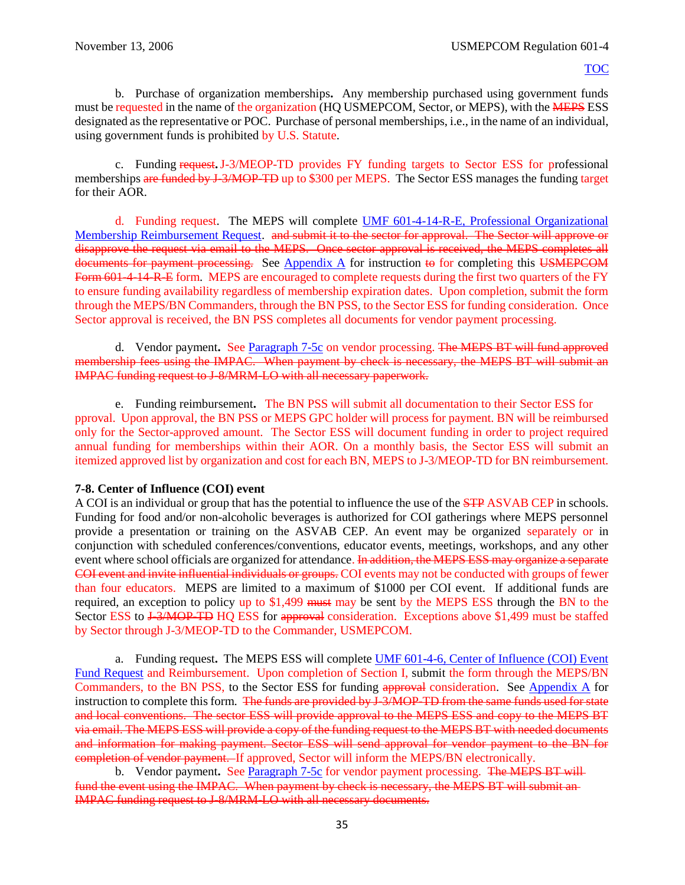b. Purchase of organization memberships**.** Any membership purchased using government funds must be requested in the name of the organization (HQ USMEPCOM, Sector, or MEPS), with the **MEPS** ESS designated as the representative or POC. Purchase of personal memberships, i.e., in the name of an individual, using government funds is prohibited by U.S. Statute.

c. Funding request**.**J-3/MEOP-TD provides FY funding targets to Sector ESS for professional memberships are funded by J-3/MOP-TD up to \$300 per MEPS. The Sector ESS manages the funding target for their AOR.

d. Funding request. The MEPS will complete [UMF 601-4-14-R-E, Professional Organizational](https://spear/Headquarters/J-1%20MEHR/MissionSup/USMEPCOM%20Regulations%20and%20Forms%20Library/UMR%20601-4,%20Student%20Testing%20Program/UMF%20601-4-14-R-E,%20Professional%20Organizational%20Membership%20Reimbursement%20Request.pdf)  [Membership Reimbursement Request.](https://spear/Headquarters/J-1%20MEHR/MissionSup/USMEPCOM%20Regulations%20and%20Forms%20Library/UMR%20601-4,%20Student%20Testing%20Program/UMF%20601-4-14-R-E,%20Professional%20Organizational%20Membership%20Reimbursement%20Request.pdf) and submit it to the sector for approval. The Sector will approve or disapprove the request via email to the MEPS. Once sector approval is received, the MEPS completes all documents for payment processing. See Appendix  $\overline{A}$  for instruction to for completing this USMEPCOM Form 601-4-14-R-E form. MEPS are encouraged to complete requests during the first two quarters of the FY to ensure funding availability regardless of membership expiration dates. Upon completion, submit the form through the MEPS/BN Commanders, through the BN PSS, to the Sector ESS for funding consideration. Once Sector approval is received, the BN PSS completes all documents for vendor payment processing.

d. Vendor payment**.** See [Paragraph 7-5c](#page-37-1) on vendor processing. The MEPS BT will fund approved membership fees using the IMPAC. When payment by check is necessary, the MEPS BT will submit an IMPAC funding request to J-8/MRM-LO with all necessary paperwork.

e. Funding reimbursement**.** The BN PSS will submit all documentation to their Sector ESS for pproval. Upon approval, the BN PSS or MEPS GPC holder will process for payment. BN will be reimbursed only for the Sector-approved amount. The Sector ESS will document funding in order to project required annual funding for memberships within their AOR. On a monthly basis, the Sector ESS will submit an itemized approved list by organization and cost for each BN, MEPS to J-3/MEOP-TD for BN reimbursement.

## **7-8. Center of Influence (COI) event**

A COI is an individual or group that has the potential to influence the use of the **STP** ASVAB CEP in schools. Funding for food and/or non-alcoholic beverages is authorized for COI gatherings where MEPS personnel provide a presentation or training on the ASVAB CEP. An event may be organized separately or in conjunction with scheduled conferences/conventions, educator events, meetings, workshops, and any other event where school officials are organized for attendance. In addition, the MEPS ESS may organize a separate COI event and invite influential individuals or groups. COI events may not be conducted with groups of fewer than four educators. MEPS are limited to a maximum of \$1000 per COI event. If additional funds are required, an exception to policy up to \$1,499 must may be sent by the MEPS ESS through the BN to the Sector ESS to <del>J-3/MOP-TD</del> HQ ESS for approval consideration. Exceptions above \$1,499 must be staffed by Sector through J-3/MEOP-TD to the Commander, USMEPCOM.

a. Funding request**.** The MEPS ESS will complete [UMF 601-4-6, Center of Influence \(COI\) Event](https://spear/Headquarters/J-1%20MEHR/MissionSup/USMEPCOM%20Regulations%20and%20Forms%20Library/UMR%20601-4,%20Student%20Testing%20Program/UMF%20601-4-6,%20Centers%20of%20Influence%20(COI)%20Event%20Fund%20Request.pdf)  [Fund Request](https://spear/Headquarters/J-1%20MEHR/MissionSup/USMEPCOM%20Regulations%20and%20Forms%20Library/UMR%20601-4,%20Student%20Testing%20Program/UMF%20601-4-6,%20Centers%20of%20Influence%20(COI)%20Event%20Fund%20Request.pdf) and Reimbursement. Upon completion of Section I, submit the form through the MEPS/BN Commanders, to the BN PSS, to the Sector ESS for funding approval consideration. See [Appendix A](#page-61-0) for instruction to complete this form. The funds are provided by J-3/MOP-TD from the same funds used for state and local conventions. The sector ESS will provide approval to the MEPS ESS and copy to the MEPS BT via email. The MEPS ESS will provide a copy of the funding request to the MEPS BT with needed documents and information for making payment. Sector ESS will send approval for vendor payment to the BN for completion of vendor payment. If approved, Sector will inform the MEPS/BN electronically.

b. Vendor payment**.** See [Paragraph 7-5c](#page-37-1) for vendor payment processing. The MEPS BT will fund the event using the IMPAC. When payment by check is necessary, the MEPS BT will submit an IMPAC funding request to J-8/MRM-LO with all necessary documents.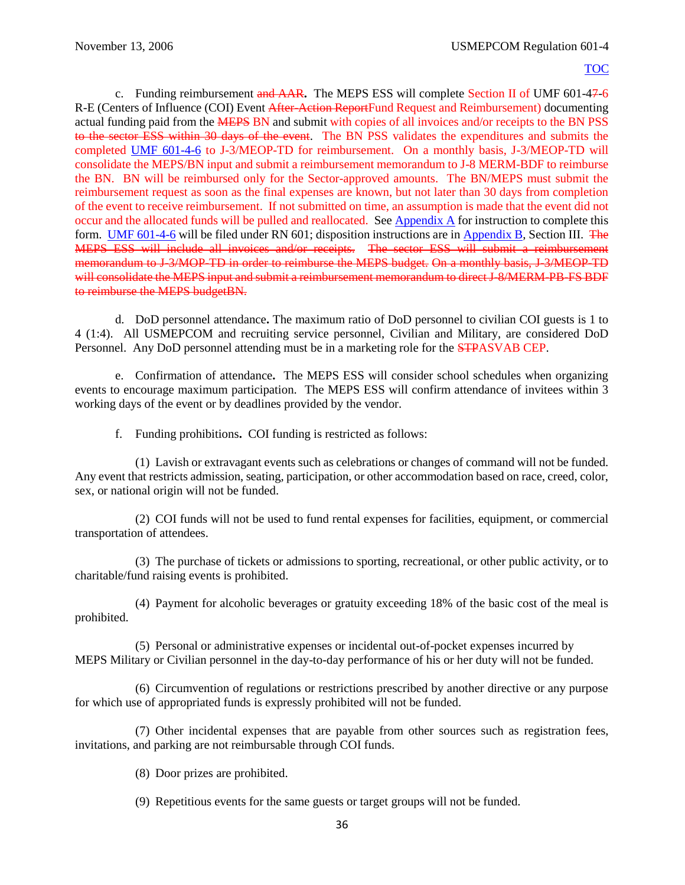c. Funding reimbursement and AAR**.** The MEPS ESS will complete Section II of UMF 601-47-6 R-E (Centers of Influence (COI) Event After-Action ReportFund Request and Reimbursement) documenting actual funding paid from the MEPS BN and submit with copies of all invoices and/or receipts to the BN PSS to the sector ESS within 30 days of the event. The BN PSS validates the expenditures and submits the completed [UMF 601-4-6](https://spear/Headquarters/J-1%20MEHR/MissionSup/USMEPCOM%20Regulations%20and%20Forms%20Library/UMR%20601-4,%20Student%20Testing%20Program/UMF%20601-4-6,%20Centers%20of%20Influence%20(COI)%20Event%20Fund%20Request.pdf) to J-3/MEOP-TD for reimbursement. On a monthly basis, J-3/MEOP-TD will consolidate the MEPS/BN input and submit a reimbursement memorandum to J-8 MERM-BDF to reimburse the BN. BN will be reimbursed only for the Sector-approved amounts. The BN/MEPS must submit the reimbursement request as soon as the final expenses are known, but not later than 30 days from completion of the event to receive reimbursement. If not submitted on time, an assumption is made that the event did not occur and the allocated funds will be pulled and reallocated. See [Appendix A](#page-61-0) for instruction to complete this form. [UMF 601-4-6](https://spear/Headquarters/J-1%20MEHR/MissionSup/USMEPCOM%20Regulations%20and%20Forms%20Library/UMR%20601-4,%20Student%20Testing%20Program/UMF%20601-4-6,%20Centers%20of%20Influence%20(COI)%20Event%20Fund%20Request.pdf) will be filed under RN 601; disposition instructions are in [Appendix B](#page-47-0), Section III. The MEPS ESS will include all invoices and/or receipts. The sector ESS will submit a reimbursement memorandum to J-3/MOP-TD in order to reimburse the MEPS budget. On a monthly basis, J-3/MEOP-TD will consolidate the MEPS input and submit a reimbursement memorandum to direct J-8/MERM-PB-FS BDF to reimburse the MEPS budgetBN.

<span id="page-40-0"></span>d. DoD personnel attendance**.** The maximum ratio of DoD personnel to civilian COI guests is 1 to 4 (1:4). All USMEPCOM and recruiting service personnel, Civilian and Military, are considered DoD Personnel. Any DoD personnel attending must be in a marketing role for the STPASVAB CEP.

e. Confirmation of attendance**.** The MEPS ESS will consider school schedules when organizing events to encourage maximum participation. The MEPS ESS will confirm attendance of invitees within 3 working days of the event or by deadlines provided by the vendor.

f. Funding prohibitions**.** COI funding is restricted as follows:

(1) Lavish or extravagant events such as celebrations or changes of command will not be funded. Any event that restricts admission, seating, participation, or other accommodation based on race, creed, color, sex, or national origin will not be funded.

(2) COI funds will not be used to fund rental expenses for facilities, equipment, or commercial transportation of attendees.

(3) The purchase of tickets or admissions to sporting, recreational, or other public activity, or to charitable/fund raising events is prohibited.

(4) Payment for alcoholic beverages or gratuity exceeding 18% of the basic cost of the meal is prohibited.

(5) Personal or administrative expenses or incidental out-of-pocket expenses incurred by MEPS Military or Civilian personnel in the day-to-day performance of his or her duty will not be funded.

(6) Circumvention of regulations or restrictions prescribed by another directive or any purpose for which use of appropriated funds is expressly prohibited will not be funded.

(7) Other incidental expenses that are payable from other sources such as registration fees, invitations, and parking are not reimbursable through COI funds.

(8) Door prizes are prohibited.

(9) Repetitious events for the same guests or target groups will not be funded.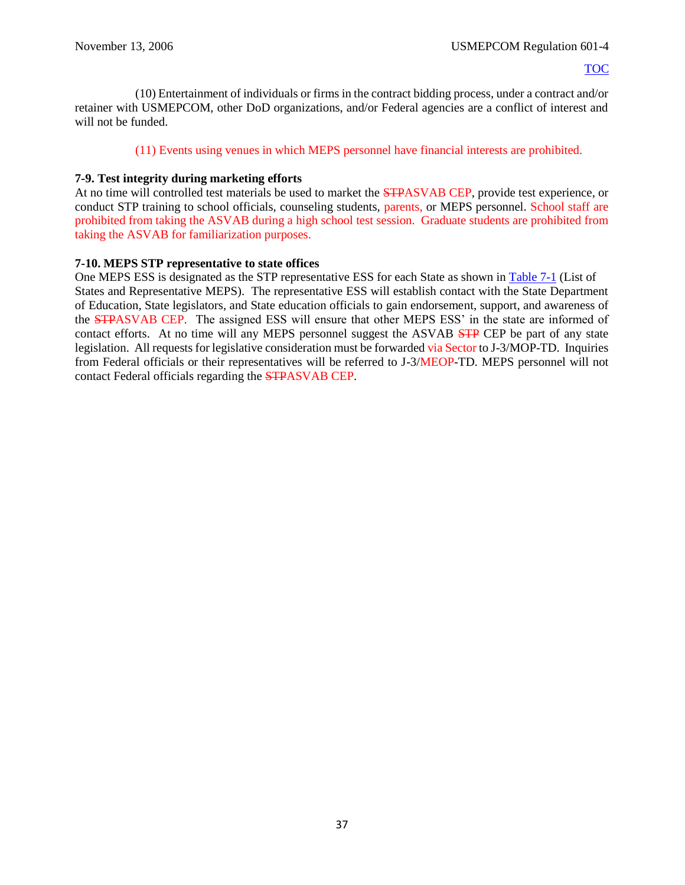(10) Entertainment of individuals or firms in the contract bidding process, under a contract and/or retainer with USMEPCOM, other DoD organizations, and/or Federal agencies are a conflict of interest and will not be funded.

## (11) Events using venues in which MEPS personnel have financial interests are prohibited.

## **7-9. Test integrity during marketing efforts**

At no time will controlled test materials be used to market the STPASVAB CEP, provide test experience, or conduct STP training to school officials, counseling students, parents, or MEPS personnel. School staff are prohibited from taking the ASVAB during a high school test session. Graduate students are prohibited from taking the ASVAB for familiarization purposes.

## **7-10. MEPS STP representative to state offices**

<span id="page-41-0"></span>One MEPS ESS is designated as the STP representative ESS for each State as shown in [Table 7-1](#page-41-0) (List of States and Representative MEPS). The representative ESS will establish contact with the State Department of Education, State legislators, and State education officials to gain endorsement, support, and awareness of the STPASVAB CEP. The assigned ESS will ensure that other MEPS ESS' in the state are informed of contact efforts. At no time will any MEPS personnel suggest the ASVAB STP CEP be part of any state legislation. All requests for legislative consideration must be forwarded via Sector to J-3/MOP-TD. Inquiries from Federal officials or their representatives will be referred to J-3/MEOP-TD. MEPS personnel will not contact Federal officials regarding the STPASVAB CEP.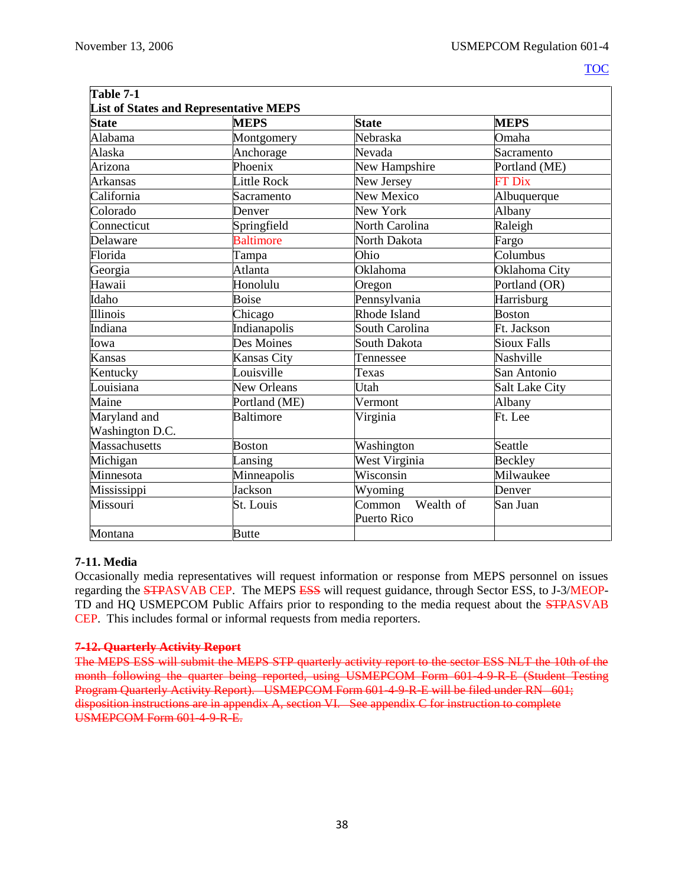| Table 7-1                                     |                    |                                           |                    |  |
|-----------------------------------------------|--------------------|-------------------------------------------|--------------------|--|
| <b>List of States and Representative MEPS</b> |                    |                                           |                    |  |
| <b>State</b>                                  | <b>MEPS</b>        | <b>State</b>                              | <b>MEPS</b>        |  |
| Alabama                                       | Montgomery         | Nebraska                                  | Omaha              |  |
| Alaska                                        | Anchorage          | Nevada                                    | Sacramento         |  |
| Arizona                                       | Phoenix            | New Hampshire                             | Portland (ME)      |  |
| <b>Arkansas</b>                               | Little Rock        | New Jersey                                | <b>FT Dix</b>      |  |
| California                                    | Sacramento         | New Mexico                                | Albuquerque        |  |
| Colorado                                      | Denver             | New York                                  | Albany             |  |
| Connecticut                                   | Springfield        | North Carolina                            | Raleigh            |  |
| Delaware                                      | Baltimore          | North Dakota                              | Fargo              |  |
| Florida                                       | Tampa              | Ohio                                      | Columbus           |  |
| Georgia                                       | Atlanta            | Oklahoma                                  | Oklahoma City      |  |
| Hawaii                                        | Honolulu           | Oregon                                    | Portland (OR)      |  |
| Idaho                                         | <b>Boise</b>       | Pennsylvania                              | Harrisburg         |  |
| Illinois                                      | Chicago            | Rhode Island                              | <b>Boston</b>      |  |
| Indiana                                       | Indianapolis       | South Carolina                            | Ft. Jackson        |  |
| Iowa                                          | Des Moines         | South Dakota                              | <b>Sioux Falls</b> |  |
| <b>Kansas</b>                                 | Kansas City        | Tennessee                                 | Nashville          |  |
| Kentucky                                      | Louisville         | Texas                                     | San Antonio        |  |
| Louisiana                                     | <b>New Orleans</b> | Utah                                      | Salt Lake City     |  |
| Maine                                         | Portland (ME)      | Vermont                                   | Albany             |  |
| Maryland and                                  | <b>Baltimore</b>   | Virginia                                  | Ft. Lee            |  |
| Washington D.C.                               |                    |                                           |                    |  |
| Massachusetts                                 | <b>Boston</b>      | Washington                                | Seattle            |  |
| Michigan                                      | Lansing            | West Virginia                             | Beckley            |  |
| Minnesota                                     | Minneapolis        | Wisconsin                                 | Milwaukee          |  |
| Mississippi                                   | Jackson            | Wyoming                                   | Denver             |  |
| Missouri                                      | St. Louis          | Wealth of<br>Common<br><b>Puerto Rico</b> | San Juan           |  |
| Montana                                       | <b>Butte</b>       |                                           |                    |  |

## **7-11. Media**

Occasionally media representatives will request information or response from MEPS personnel on issues regarding the **STPASVAB CEP**. The MEPS ESS will request guidance, through Sector ESS, to J-3/MEOP-TD and HQ USMEPCOM Public Affairs prior to responding to the media request about the STPASVAB CEP. This includes formal or informal requests from media reporters.

## **7-12. Quarterly Activity Report**

The MEPS ESS will submit the MEPS STP quarterly activity report to the sector ESS NLT the 10th of the month following the quarter being reported, using USMEPCOM Form 601-4-9-R-E (Student Testing Program Quarterly Activity Report). USMEPCOM Form 601-4-9-R-E will be filed under RN 601; disposition instructions are in appendix A, section VI. See appendix C for instruction to complete USMEPCOM Form 601-4-9-R-E.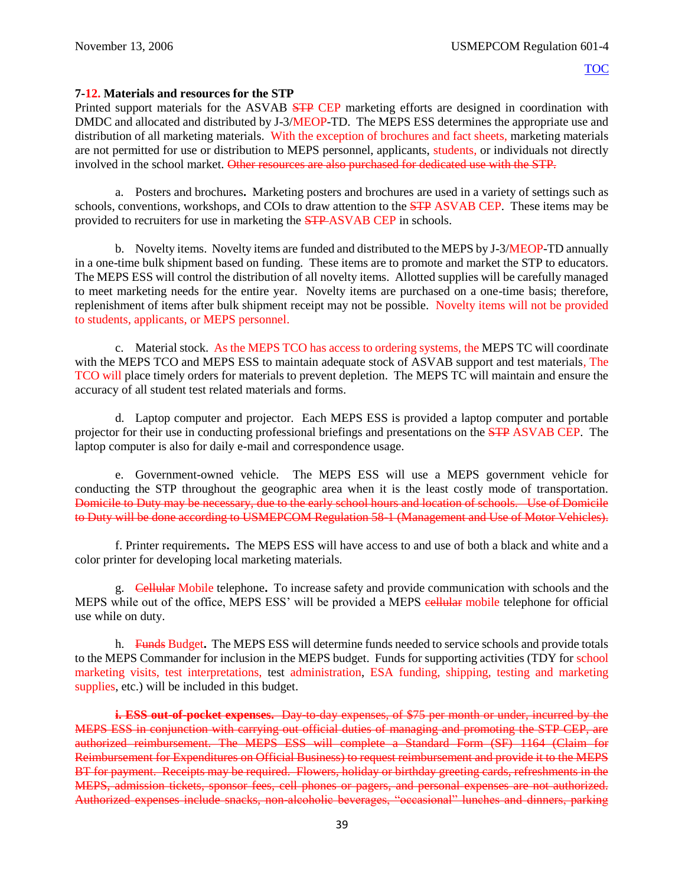#### **7-12. Materials and resources for the STP**

Printed support materials for the ASVAB **STP CEP** marketing efforts are designed in coordination with DMDC and allocated and distributed by J-3/MEOP-TD. The MEPS ESS determines the appropriate use and distribution of all marketing materials. With the exception of brochures and fact sheets, marketing materials are not permitted for use or distribution to MEPS personnel, applicants, students, or individuals not directly involved in the school market. Other resources are also purchased for dedicated use with the STP.

a. Posters and brochures**.** Marketing posters and brochures are used in a variety of settings such as schools, conventions, workshops, and COIs to draw attention to the **STP** ASVAB CEP. These items may be provided to recruiters for use in marketing the STP ASVAB CEP in schools.

b. Novelty items. Novelty items are funded and distributed to the MEPS by J-3/MEOP-TD annually in a one-time bulk shipment based on funding. These items are to promote and market the STP to educators. The MEPS ESS will control the distribution of all novelty items. Allotted supplies will be carefully managed to meet marketing needs for the entire year. Novelty items are purchased on a one-time basis; therefore, replenishment of items after bulk shipment receipt may not be possible. Novelty items will not be provided to students, applicants, or MEPS personnel.

c. Material stock. As the MEPS TCO has access to ordering systems, the MEPS TC will coordinate with the MEPS TCO and MEPS ESS to maintain adequate stock of ASVAB support and test materials, The TCO will place timely orders for materials to prevent depletion. The MEPS TC will maintain and ensure the accuracy of all student test related materials and forms.

d. Laptop computer and projector. Each MEPS ESS is provided a laptop computer and portable projector for their use in conducting professional briefings and presentations on the **STP** ASVAB CEP. The laptop computer is also for daily e-mail and correspondence usage.

e. Government-owned vehicle. The MEPS ESS will use a MEPS government vehicle for conducting the STP throughout the geographic area when it is the least costly mode of transportation. Domicile to Duty may be necessary, due to the early school hours and location of schools. Use of Domicile to Duty will be done according to USMEPCOM Regulation 58-1 (Management and Use of Motor Vehicles).

f. Printer requirements**.** The MEPS ESS will have access to and use of both a black and white and a color printer for developing local marketing materials.

g. Cellular Mobile telephone**.** To increase safety and provide communication with schools and the MEPS while out of the office, MEPS ESS' will be provided a MEPS eellular mobile telephone for official use while on duty.

h. Funds Budget**.** The MEPS ESS will determine funds needed to service schools and provide totals to the MEPS Commander for inclusion in the MEPS budget. Funds for supporting activities (TDY for school marketing visits, test interpretations, test administration, ESA funding, shipping, testing and marketing supplies, etc.) will be included in this budget.

**i. ESS out-of-pocket expenses.** Day to day expenses, of \$75 per month or under, incurred by the MEPS ESS in conjunction with carrying out official duties of managing and promoting the STP CEP, are authorized reimbursement. The MEPS ESS will complete a Standard Form (SF) 1164 (Claim for Reimbursement for Expenditures on Official Business) to request reimbursement and provide it to the MEPS BT for payment. Receipts may be required. Flowers, holiday or birthday greeting cards, refreshments in the MEPS, admission tickets, sponsor fees, cell phones or pagers, and personal expenses are not authorized. Authorized expenses include snacks, non-alcoholic beverages, "occasional" lunches and dinners, parking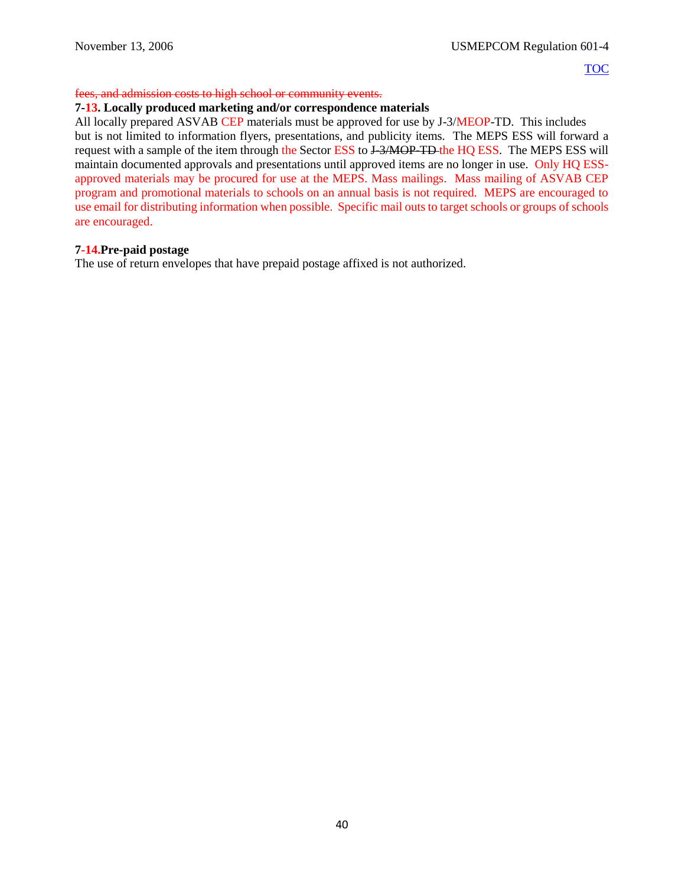## fees, and admission costs to high school or community events.

#### **7-13. Locally produced marketing and/or correspondence materials**

All locally prepared ASVAB CEP materials must be approved for use by J-3/MEOP-TD. This includes but is not limited to information flyers, presentations, and publicity items. The MEPS ESS will forward a request with a sample of the item through the Sector ESS to J-3/MOP-TD-the HQ ESS. The MEPS ESS will maintain documented approvals and presentations until approved items are no longer in use. Only HQ ESSapproved materials may be procured for use at the MEPS. Mass mailings. Mass mailing of ASVAB CEP program and promotional materials to schools on an annual basis is not required. MEPS are encouraged to use email for distributing information when possible. Specific mail outs to target schools or groups of schools are encouraged.

#### **7-14.Pre-paid postage**

The use of return envelopes that have prepaid postage affixed is not authorized.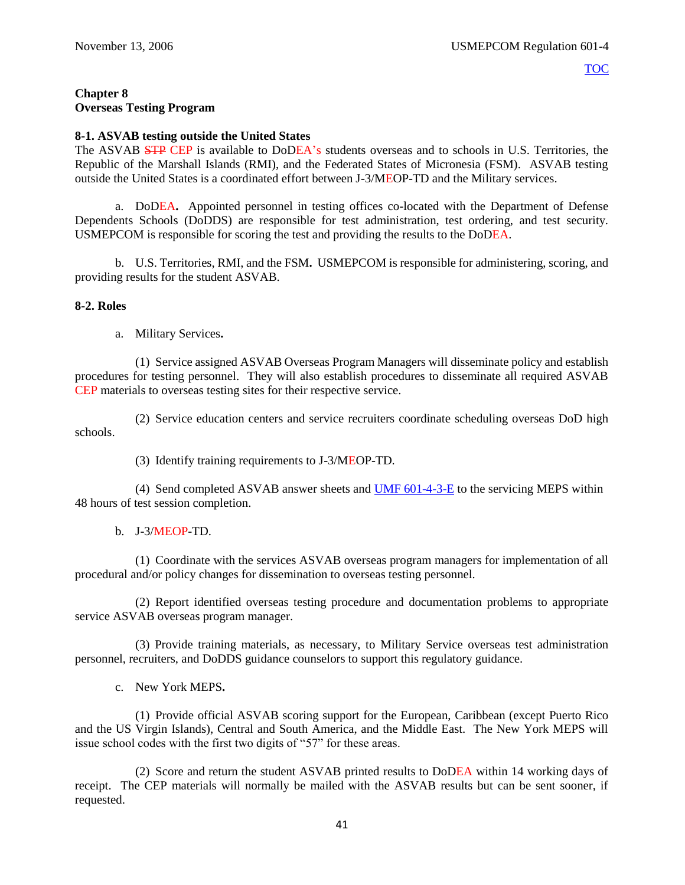## <span id="page-45-0"></span>**Chapter 8 Overseas Testing Program**

## **8-1. ASVAB testing outside the United States**

The ASVAB STP CEP is available to DoDEA's students overseas and to schools in U.S. Territories, the Republic of the Marshall Islands (RMI), and the Federated States of Micronesia (FSM). ASVAB testing outside the United States is a coordinated effort between J-3/MEOP-TD and the Military services.

a. DoDEA**.** Appointed personnel in testing offices co-located with the Department of Defense Dependents Schools (DoDDS) are responsible for test administration, test ordering, and test security. USMEPCOM is responsible for scoring the test and providing the results to the DoDEA.

b. U.S. Territories, RMI, and the FSM**.** USMEPCOM is responsible for administering, scoring, and providing results for the student ASVAB.

#### **8-2. Roles**

a. Military Services**.**

(1) Service assigned ASVAB Overseas Program Managers will disseminate policy and establish procedures for testing personnel. They will also establish procedures to disseminate all required ASVAB CEP materials to overseas testing sites for their respective service.

(2) Service education centers and service recruiters coordinate scheduling overseas DoD high schools.

(3) Identify training requirements to J-3/MEOP-TD.

(4) Send completed ASVAB answer sheets and [UMF 601-4-3-E](https://spear/Headquarters/J-1%20MEHR/MissionSup/USMEPCOM%20Regulations%20and%20Forms%20Library/UMR%20601-4,%20Student%20Testing%20Program/UMF%20601-4-3-E,%20Student%20ASVAB%20Test%20Record.xfdl) to the servicing MEPS within 48 hours of test session completion.

b. J-3/MEOP-TD.

(1) Coordinate with the services ASVAB overseas program managers for implementation of all procedural and/or policy changes for dissemination to overseas testing personnel.

(2) Report identified overseas testing procedure and documentation problems to appropriate service ASVAB overseas program manager.

(3) Provide training materials, as necessary, to Military Service overseas test administration personnel, recruiters, and DoDDS guidance counselors to support this regulatory guidance.

c. New York MEPS**.**

(1) Provide official ASVAB scoring support for the European, Caribbean (except Puerto Rico and the US Virgin Islands), Central and South America, and the Middle East. The New York MEPS will issue school codes with the first two digits of "57" for these areas.

(2) Score and return the student ASVAB printed results to DoDEA within 14 working days of receipt. The CEP materials will normally be mailed with the ASVAB results but can be sent sooner, if requested.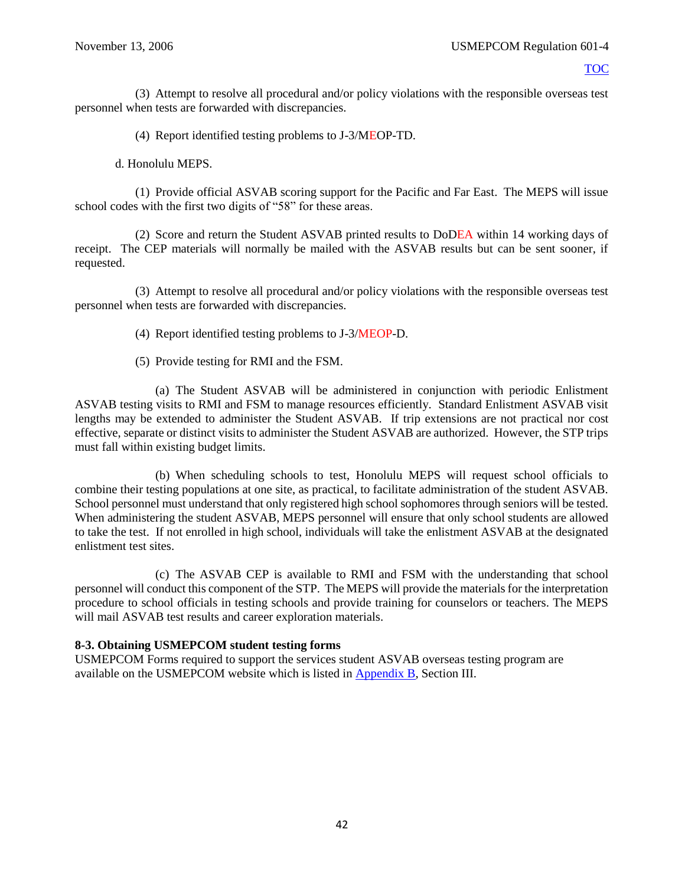(3) Attempt to resolve all procedural and/or policy violations with the responsible overseas test personnel when tests are forwarded with discrepancies.

(4) Report identified testing problems to J-3/MEOP-TD.

d. Honolulu MEPS.

(1) Provide official ASVAB scoring support for the Pacific and Far East. The MEPS will issue school codes with the first two digits of "58" for these areas.

(2) Score and return the Student ASVAB printed results to DoDEA within 14 working days of receipt. The CEP materials will normally be mailed with the ASVAB results but can be sent sooner, if requested.

(3) Attempt to resolve all procedural and/or policy violations with the responsible overseas test personnel when tests are forwarded with discrepancies.

(4) Report identified testing problems to J-3/MEOP-D.

(5) Provide testing for RMI and the FSM.

(a) The Student ASVAB will be administered in conjunction with periodic Enlistment ASVAB testing visits to RMI and FSM to manage resources efficiently. Standard Enlistment ASVAB visit lengths may be extended to administer the Student ASVAB. If trip extensions are not practical nor cost effective, separate or distinct visits to administer the Student ASVAB are authorized. However, the STP trips must fall within existing budget limits.

(b) When scheduling schools to test, Honolulu MEPS will request school officials to combine their testing populations at one site, as practical, to facilitate administration of the student ASVAB. School personnel must understand that only registered high school sophomores through seniors will be tested. When administering the student ASVAB, MEPS personnel will ensure that only school students are allowed to take the test. If not enrolled in high school, individuals will take the enlistment ASVAB at the designated enlistment test sites.

(c) The ASVAB CEP is available to RMI and FSM with the understanding that school personnel will conduct this component of the STP. The MEPS will provide the materials for the interpretation procedure to school officials in testing schools and provide training for counselors or teachers. The MEPS will mail ASVAB test results and career exploration materials.

## **8-3. Obtaining USMEPCOM student testing forms**

USMEPCOM Forms required to support the services student ASVAB overseas testing program are available on the USMEPCOM website which is listed in [Appendix B](#page-47-0), Section III.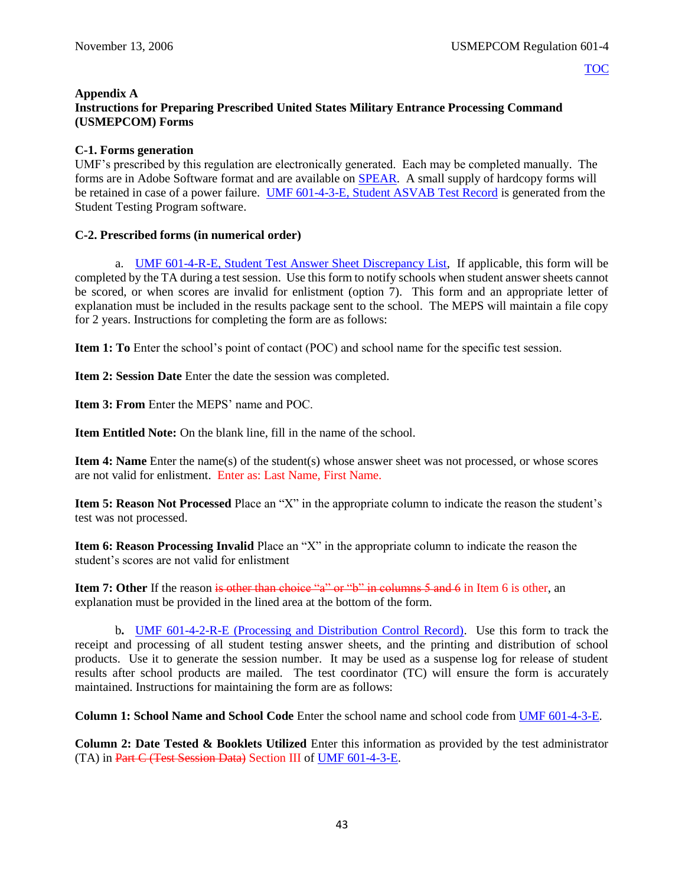#### <span id="page-47-0"></span>**Appendix A Instructions for Preparing Prescribed United States Military Entrance Processing Command (USMEPCOM) Forms**

## **C-1. Forms generation**

UMF's prescribed by this regulation are electronically generated. Each may be completed manually. The forms are in Adobe Software format and are available on [SPEAR.](https://spear/SitePages/Home.aspx) A small supply of hardcopy forms will be retained in case of a power failure. [UMF 601-4-3-E, Student ASVAB Test Record](https://spear/Headquarters/J-1%20MEHR/MissionSup/USMEPCOM%20Regulations%20and%20Forms%20Library/UMR%20601-4,%20Student%20Testing%20Program/UMF%20601-4-3-E,%20Student%20ASVAB%20Test%20Record.xfdl) is generated from the Student Testing Program software.

## **C-2. Prescribed forms (in numerical order)**

a. [UMF 601-4-R-E, Student Test Answer Sheet Discrepancy List,](https://spear/Headquarters/J-1%20MEHR/MissionSup/USMEPCOM%20Regulations%20and%20Forms%20Library/UMR%20601-4,%20Student%20Testing%20Program/UMF%20601-4-R-E,%20Student%20Test%20Answer%20Sheet%20Discrepancy%20List.pdf) If applicable, this form will be completed by the TA during a test session. Use this form to notify schools when student answer sheets cannot be scored, or when scores are invalid for enlistment (option 7). This form and an appropriate letter of explanation must be included in the results package sent to the school. The MEPS will maintain a file copy for 2 years. Instructions for completing the form are as follows:

**Item 1: To** Enter the school's point of contact (POC) and school name for the specific test session.

**Item 2: Session Date** Enter the date the session was completed.

**Item 3: From** Enter the MEPS' name and POC.

**Item Entitled Note:** On the blank line, fill in the name of the school.

**Item 4: Name** Enter the name(s) of the student(s) whose answer sheet was not processed, or whose scores are not valid for enlistment. Enter as: Last Name, First Name.

**Item 5: Reason Not Processed** Place an "X" in the appropriate column to indicate the reason the student's test was not processed.

**Item 6: Reason Processing Invalid** Place an "X" in the appropriate column to indicate the reason the student's scores are not valid for enlistment

**Item 7: Other** If the reason is other than choice "a" or "b" in columns 5 and 6 in Item 6 is other, an explanation must be provided in the lined area at the bottom of the form.

b**.** [UMF 601-4-2-R-E \(Processing and Distribution Control Record\).](https://spear/Headquarters/J-1%20MEHR/MissionSup/USMEPCOM%20Regulations%20and%20Forms%20Library/UMR%20601-4,%20Student%20Testing%20Program/UMF%20601-4-2-R-E,%20Processing%20and%20Distribution%20Control%20Record.xfdl)Use this form to track the receipt and processing of all student testing answer sheets, and the printing and distribution of school products. Use it to generate the session number. It may be used as a suspense log for release of student results after school products are mailed. The test coordinator (TC) will ensure the form is accurately maintained. Instructions for maintaining the form are as follows:

**Column 1: School Name and School Code** Enter the school name and school code from [UMF 601-4-3-E.](https://spear/Headquarters/J-1%20MEHR/MissionSup/USMEPCOM%20Regulations%20and%20Forms%20Library/UMR%20601-4,%20Student%20Testing%20Program/UMF%20601-4-3-E,%20Student%20ASVAB%20Test%20Record.xfdl)

**Column 2: Date Tested & Booklets Utilized** Enter this information as provided by the test administrator (TA) in Part C (Test Session Data) Section III of [UMF 601-4-3-E.](https://spear/Headquarters/J-1%20MEHR/MissionSup/USMEPCOM%20Regulations%20and%20Forms%20Library/UMR%20601-4,%20Student%20Testing%20Program/UMF%20601-4-3-E,%20Student%20ASVAB%20Test%20Record.xfdl)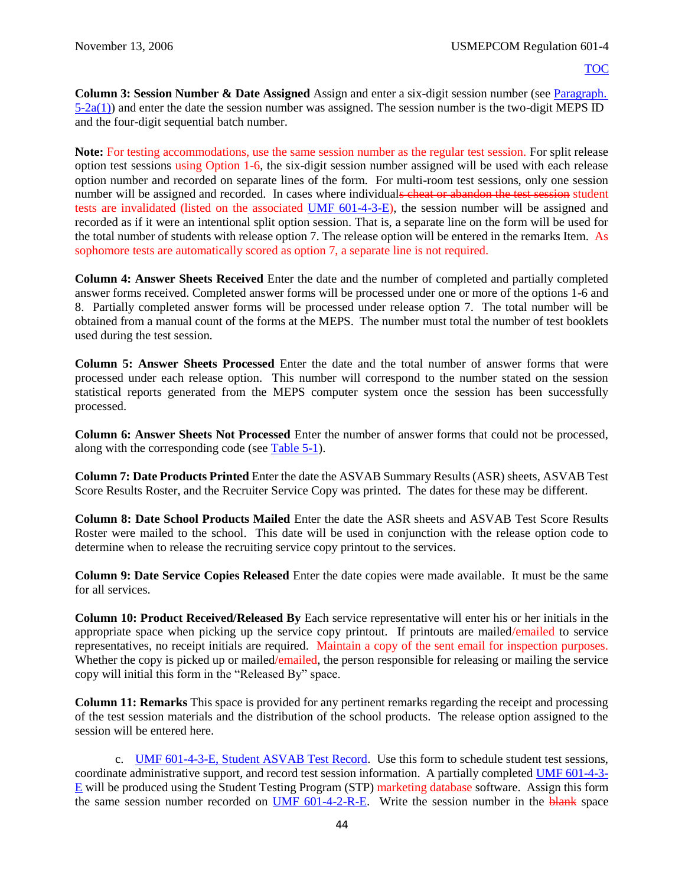**Column 3: Session Number & Date Assigned** Assign and enter a six-digit session number (see [Paragraph.](#page-23-1)   $5-2a(1)$ ) and enter the date the session number was assigned. The session number is the two-digit MEPS ID and the four-digit sequential batch number.

**Note:** For testing accommodations, use the same session number as the regular test session. For split release option test sessions using Option 1-6, the six-digit session number assigned will be used with each release option number and recorded on separate lines of the form. For multi-room test sessions, only one session number will be assigned and recorded. In cases where individuals cheat or abandon the test session student tests are invalidated (listed on the associated [UMF 601-4-3-E\)](https://spear/Headquarters/J-1%20MEHR/MissionSup/USMEPCOM%20Regulations%20and%20Forms%20Library/UMR%20601-4,%20Student%20Testing%20Program/UMF%20601-4-3-E,%20Student%20ASVAB%20Test%20Record.xfdl), the session number will be assigned and recorded as if it were an intentional split option session. That is, a separate line on the form will be used for the total number of students with release option 7. The release option will be entered in the remarks Item. As sophomore tests are automatically scored as option 7, a separate line is not required.

**Column 4: Answer Sheets Received** Enter the date and the number of completed and partially completed answer forms received. Completed answer forms will be processed under one or more of the options 1-6 and 8. Partially completed answer forms will be processed under release option 7. The total number will be obtained from a manual count of the forms at the MEPS. The number must total the number of test booklets used during the test session.

**Column 5: Answer Sheets Processed** Enter the date and the total number of answer forms that were processed under each release option. This number will correspond to the number stated on the session statistical reports generated from the MEPS computer system once the session has been successfully processed.

**Column 6: Answer Sheets Not Processed** Enter the number of answer forms that could not be processed, along with the corresponding code (see [Table 5-1\)](#page-24-0).

**Column 7: Date Products Printed** Enter the date the ASVAB Summary Results (ASR) sheets, ASVAB Test Score Results Roster, and the Recruiter Service Copy was printed. The dates for these may be different.

**Column 8: Date School Products Mailed** Enter the date the ASR sheets and ASVAB Test Score Results Roster were mailed to the school. This date will be used in conjunction with the release option code to determine when to release the recruiting service copy printout to the services.

**Column 9: Date Service Copies Released** Enter the date copies were made available. It must be the same for all services.

**Column 10: Product Received/Released By** Each service representative will enter his or her initials in the appropriate space when picking up the service copy printout. If printouts are mailed/emailed to service representatives, no receipt initials are required. Maintain a copy of the sent email for inspection purposes. Whether the copy is picked up or mailed/emailed, the person responsible for releasing or mailing the service copy will initial this form in the "Released By" space.

**Column 11: Remarks** This space is provided for any pertinent remarks regarding the receipt and processing of the test session materials and the distribution of the school products. The release option assigned to the session will be entered here.

c. [UMF 601-4-3-E, Student ASVAB Test Record.](https://spear/Headquarters/J-1%20MEHR/MissionSup/USMEPCOM%20Regulations%20and%20Forms%20Library/UMR%20601-4,%20Student%20Testing%20Program/UMF%20601-4-3-E,%20Student%20ASVAB%20Test%20Record.xfdl) Use this form to schedule student test sessions, coordinate administrative support, and record test session information. A partially completed [UMF 601-4-3-](https://spear/Headquarters/J-1%20MEHR/MissionSup/USMEPCOM%20Regulations%20and%20Forms%20Library/UMR%20601-4,%20Student%20Testing%20Program/UMF%20601-4-3-E,%20Student%20ASVAB%20Test%20Record.xfdl)  $E$  will be produced using the Student Testing Program (STP) marketing database software. Assign this form the same session number recorded on [UMF 601-4-2-R-E.](https://spear/Headquarters/J-1%20MEHR/MissionSup/USMEPCOM%20Regulations%20and%20Forms%20Library/UMR%20601-4,%20Student%20Testing%20Program/UMF%20601-4-2-R-E,%20Processing%20and%20Distribution%20Control%20Record.xfdl) Write the session number in the blank space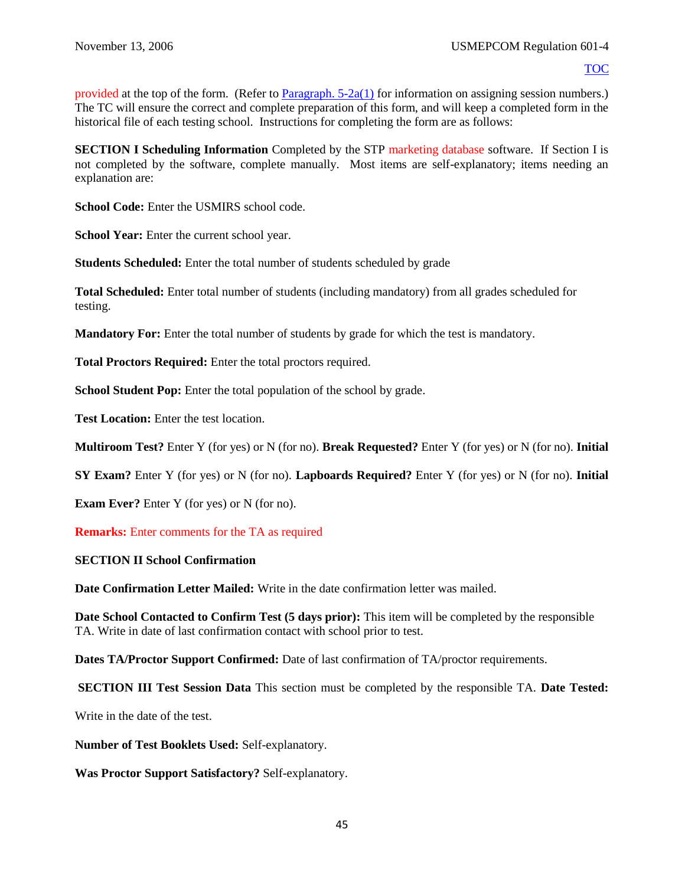provided at the top of the form. (Refer to Paragraph.  $5-2a(1)$  for information on assigning session numbers.) The TC will ensure the correct and complete preparation of this form, and will keep a completed form in the historical file of each testing school. Instructions for completing the form are as follows:

**SECTION I Scheduling Information** Completed by the STP marketing database software. If Section I is not completed by the software, complete manually. Most items are self-explanatory; items needing an explanation are:

**School Code:** Enter the USMIRS school code.

**School Year:** Enter the current school year.

**Students Scheduled:** Enter the total number of students scheduled by grade

**Total Scheduled:** Enter total number of students (including mandatory) from all grades scheduled for testing.

**Mandatory For:** Enter the total number of students by grade for which the test is mandatory.

**Total Proctors Required:** Enter the total proctors required.

**School Student Pop:** Enter the total population of the school by grade.

**Test Location:** Enter the test location.

**Multiroom Test?** Enter Y (for yes) or N (for no). **Break Requested?** Enter Y (for yes) or N (for no). **Initial** 

**SY Exam?** Enter Y (for yes) or N (for no). **Lapboards Required?** Enter Y (for yes) or N (for no). **Initial** 

**Exam Ever?** Enter Y (for yes) or N (for no).

**Remarks:** Enter comments for the TA as required

#### **SECTION II School Confirmation**

**Date Confirmation Letter Mailed:** Write in the date confirmation letter was mailed.

**Date School Contacted to Confirm Test (5 days prior):** This item will be completed by the responsible TA. Write in date of last confirmation contact with school prior to test.

**Dates TA/Proctor Support Confirmed:** Date of last confirmation of TA/proctor requirements.

**SECTION III Test Session Data** This section must be completed by the responsible TA. **Date Tested:** 

Write in the date of the test.

**Number of Test Booklets Used:** Self-explanatory.

**Was Proctor Support Satisfactory?** Self-explanatory.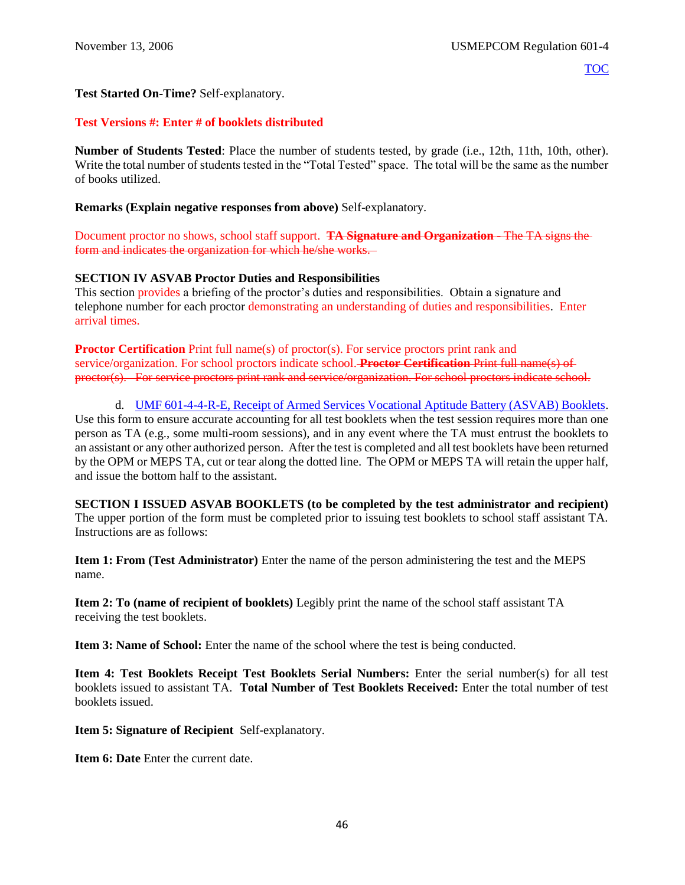## **Test Started On-Time?** Self-explanatory.

## **Test Versions #: Enter # of booklets distributed**

**Number of Students Tested**: Place the number of students tested, by grade (i.e., 12th, 11th, 10th, other). Write the total number of students tested in the "Total Tested" space. The total will be the same as the number of books utilized.

**Remarks (Explain negative responses from above)** Self-explanatory.

Document proctor no shows, school staff support. **TA Signature and Organization** - The TA signs the form and indicates the organization for which he/she works.

## **SECTION IV ASVAB Proctor Duties and Responsibilities**

This section provides a briefing of the proctor's duties and responsibilities. Obtain a signature and telephone number for each proctor demonstrating an understanding of duties and responsibilities. Enter arrival times.

**Proctor Certification** Print full name(s) of proctor(s). For service proctors print rank and service/organization. For school proctors indicate school. **Proctor Certification** Print full name(s) of proctor(s). For service proctors print rank and service/organization. For school proctors indicate school.

d. [UMF 601-4-4-R-E, Receipt of Armed Services Vocational Aptitude Battery \(ASVAB\) Booklets.](https://spear/Headquarters/J-1%20MEHR/MissionSup/USMEPCOM%20Regulations%20and%20Forms%20Library/UMR%20601-4,%20Student%20Testing%20Program/UMF%20601-4-4-R-E,%20Receipt%20of%20Armed%20Services%20Vocational%20Aptitude%20Battery%20(ASVAB)%20Booklets.xfdl) Use this form to ensure accurate accounting for all test booklets when the test session requires more than one person as TA (e.g., some multi-room sessions), and in any event where the TA must entrust the booklets to an assistant or any other authorized person. After the test is completed and all test booklets have been returned by the OPM or MEPS TA, cut or tear along the dotted line. The OPM or MEPS TA will retain the upper half, and issue the bottom half to the assistant.

**SECTION I ISSUED ASVAB BOOKLETS (to be completed by the test administrator and recipient)**  The upper portion of the form must be completed prior to issuing test booklets to school staff assistant TA. Instructions are as follows:

**Item 1: From (Test Administrator)** Enter the name of the person administering the test and the MEPS name.

**Item 2: To (name of recipient of booklets)** Legibly print the name of the school staff assistant TA receiving the test booklets.

**Item 3: Name of School:** Enter the name of the school where the test is being conducted.

**Item 4: Test Booklets Receipt Test Booklets Serial Numbers:** Enter the serial number(s) for all test booklets issued to assistant TA. **Total Number of Test Booklets Received:** Enter the total number of test booklets issued.

**Item 5: Signature of Recipient** Self-explanatory.

**Item 6: Date Enter the current date.**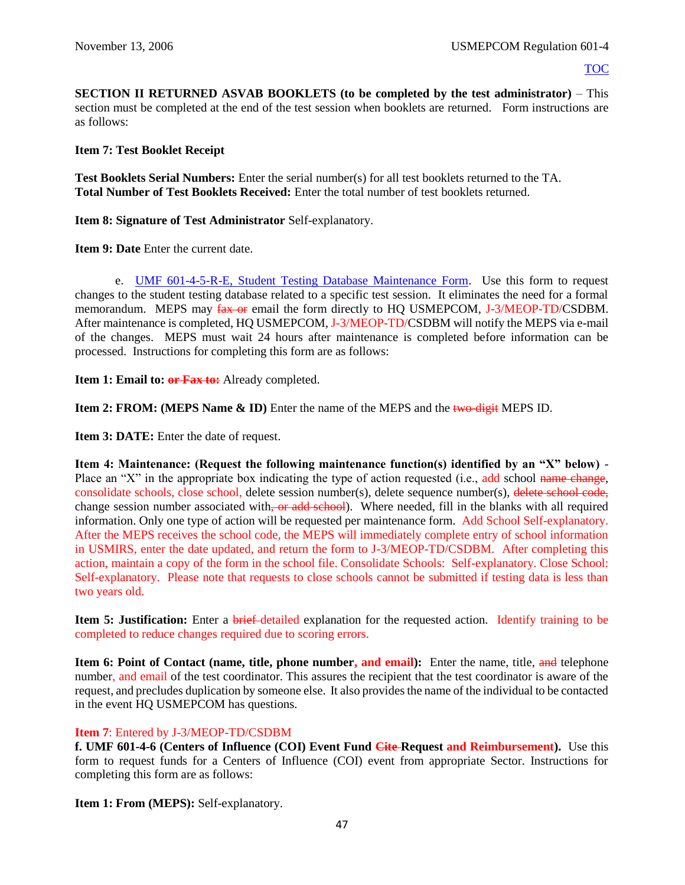**SECTION II RETURNED ASVAB BOOKLETS (to be completed by the test administrator)** – This section must be completed at the end of the test session when booklets are returned. Form instructions are as follows:

**Item 7: Test Booklet Receipt**

**Test Booklets Serial Numbers:** Enter the serial number(s) for all test booklets returned to the TA. **Total Number of Test Booklets Received:** Enter the total number of test booklets returned.

**Item 8: Signature of Test Administrator** Self-explanatory.

**Item 9: Date** Enter the current date.

e. [UMF 601-4-5-R-E, Student Testing Database Maintenance Form.](https://spear/Headquarters/J-1%20MEHR/MissionSup/USMEPCOM%20Regulations%20and%20Forms%20Library/UMR%20601-4,%20Student%20Testing%20Program/UMF%20601-4-5-R-E,%20Student%20Testing%20Database%20Maintenance%20Form.pdf) Use this form to request changes to the student testing database related to a specific test session. It eliminates the need for a formal memorandum. MEPS may  $\frac{fax}{fax}$  email the form directly to HO USMEPCOM, J-3/MEOP-TD/CSDBM. After maintenance is completed, HQ USMEPCOM, J-3/MEOP-TD/CSDBM will notify the MEPS via e-mail of the changes. MEPS must wait 24 hours after maintenance is completed before information can be processed. Instructions for completing this form are as follows:

**Item 1: Email to: or Fax to:** Already completed.

**Item 2: FROM: (MEPS Name & ID)** Enter the name of the MEPS and the two-digit MEPS ID.

**Item 3: DATE:** Enter the date of request.

**Item 4: Maintenance: (Request the following maintenance function(s) identified by an "X" below)** - Place an "X" in the appropriate box indicating the type of action requested (i.e., add school name change, consolidate schools, close school, delete session number(s), delete sequence number(s), delete school code, change session number associated with, or add school). Where needed, fill in the blanks with all required information. Only one type of action will be requested per maintenance form. Add School Self-explanatory. After the MEPS receives the school code, the MEPS will immediately complete entry of school information in USMIRS, enter the date updated, and return the form to J-3/MEOP-TD/CSDBM. After completing this action, maintain a copy of the form in the school file. Consolidate Schools: Self-explanatory. Close School: Self-explanatory. Please note that requests to close schools cannot be submitted if testing data is less than two years old.

**Item 5: Justification:** Enter a brief detailed explanation for the requested action. Identify training to be completed to reduce changes required due to scoring errors.

**Item 6: Point of Contact (name, title, phone number, and email):** Enter the name, title, and telephone number, and email of the test coordinator. This assures the recipient that the test coordinator is aware of the request, and precludes duplication by someone else. It also provides the name of the individual to be contacted in the event HQ USMEPCOM has questions.

## **Item 7**: Entered by J-3/MEOP-TD/CSDBM

**f. UMF 601-4-6 (Centers of Influence (COI) Event Fund Cite-Request and Reimbursement).** Use this form to request funds for a Centers of Influence (COI) event from appropriate Sector. Instructions for completing this form are as follows:

**Item 1: From (MEPS):** Self-explanatory.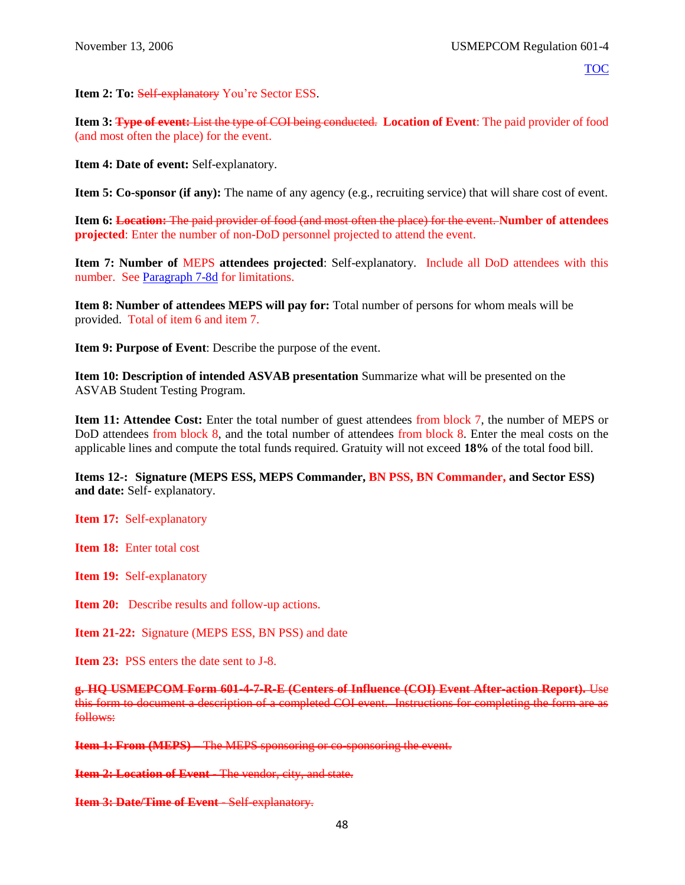**Item 2: To: Self-explanatory You're Sector ESS.** 

**Item 3: Type of event:** List the type of COI being conducted. **Location of Event**: The paid provider of food (and most often the place) for the event.

**Item 4: Date of event:** Self-explanatory.

**Item 5: Co-sponsor (if any):** The name of any agency (e.g., recruiting service) that will share cost of event.

**Item 6: Location:** The paid provider of food (and most often the place) for the event. **Number of attendees projected**: Enter the number of non-DoD personnel projected to attend the event.

**Item 7: Number of** MEPS **attendees projected**: Self-explanatory. Include all DoD attendees with this number. See [Paragraph 7-8d](#page-40-0) for limitations.

**Item 8: Number of attendees MEPS will pay for:** Total number of persons for whom meals will be provided. Total of item 6 and item 7.

**Item 9: Purpose of Event**: Describe the purpose of the event.

**Item 10: Description of intended ASVAB presentation** Summarize what will be presented on the ASVAB Student Testing Program.

**Item 11: Attendee Cost:** Enter the total number of guest attendees from block 7, the number of MEPS or DoD attendees from block 8, and the total number of attendees from block 8. Enter the meal costs on the applicable lines and compute the total funds required. Gratuity will not exceed **18%** of the total food bill.

**Items 12-: Signature (MEPS ESS, MEPS Commander, BN PSS, BN Commander, and Sector ESS) and date:** Self- explanatory.

**Item 17:** Self-explanatory

**Item 18:** Enter total cost

**Item 19:** Self-explanatory

**Item 20:** Describe results and follow-up actions.

**Item 21-22:** Signature (MEPS ESS, BN PSS) and date

**Item 23:** PSS enters the date sent to J-8.

**g. HQ USMEPCOM Form 601-4-7-R-E (Centers of Influence (COI) Event After-action Report).** Use this form to document a description of a completed COI event. Instructions for completing the form are as follows:

**Item 1: From (MEPS) – The MEPS sponsoring or co-sponsoring the event.** 

**Item 2: Location of Event** The vendor, city, and state.

**Item 3: Date/Time of Event - Self-explanatory.**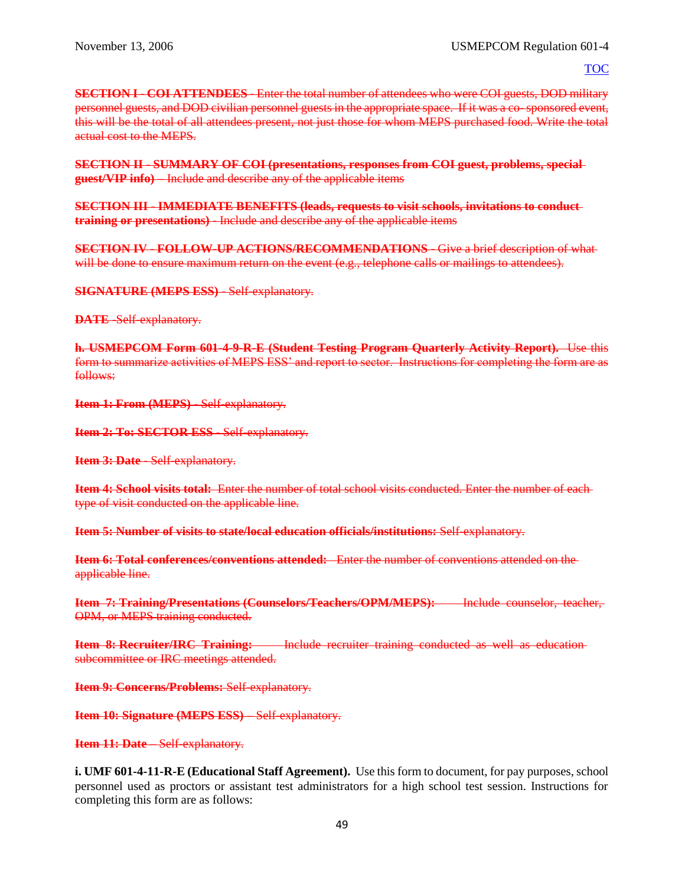**SECTION I** COI ATTENDEES Enter the total number of attendees who were COI guests, DOD military personnel guests, and DOD civilian personnel guests in the appropriate space. If it was a co-sponsored event, this will be the total of all attendees present, not just those for whom MEPS purchased food. Write the total actual cost to the MEPS.

**SECTION II** - **SUMMARY OF COI (presentations, responses from COI guest, problems, special guest/VIP info)** – Include and describe any of the applicable items

**SECTION III** - **IMMEDIATE BENEFITS (leads, requests to visit schools, invitations to conduct training or presentations)** Include and describe any of the applicable items

**SECTION IV** - **FOLLOW-UP ACTIONS/RECOMMENDATIONS** - Give a brief description of what will be done to ensure maximum return on the event (e.g., telephone calls or mailings to attendees).

**SIGNATURE (MEPS ESS)** - Self-explanatory.

**DATE** Self-explanatory.

**h. USMEPCOM Form 601-4-9-R-E (Student Testing Program Quarterly Activity Report).** Use this form to summarize activities of MEPS ESS' and report to sector. Instructions for completing the form are as follows:

**Item 1: From (MEPS)** - Self-explanatory.

**Item 2: To: SECTOR ESS** - Self-explanatory.

**Item 3: Date - Self-explanatory.** 

**Item 4: School visits total:** Enter the number of total school visits conducted. Enter the number of each type of visit conducted on the applicable line.

**Item 5: Number of visits to state/local education officials/institutions:** Self-explanatory.

**Item 6: Total conferences/conventions attended:** Enter the number of conventions attended on the applicable line.

**Item 7: Training/Presentations (Counselors/Teachers/OPM/MEPS):** Include counselor, teacher, OPM, or MEPS training conducted.

**Item 8: Recruiter/IRC Training:** Include recruiter training conducted as well as educationsubcommittee or IRC meetings attended.

**Item 9: Concerns/Problems: Self-explanatory.** 

**Item 10: Signature (MEPS ESS)** – Self-explanatory.

**Item 11: Date** – Self-explanatory.

**i. UMF 601-4-11-R-E (Educational Staff Agreement).** Use this form to document, for pay purposes, school personnel used as proctors or assistant test administrators for a high school test session. Instructions for completing this form are as follows: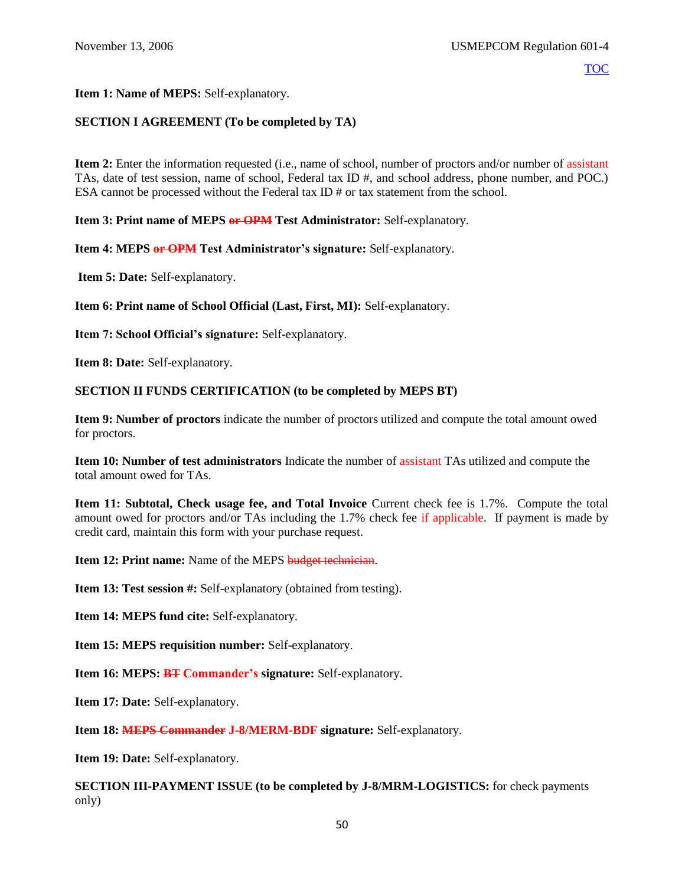#### **Item 1: Name of MEPS:** Self-explanatory.

## **SECTION I AGREEMENT (To be completed by TA)**

**Item 2:** Enter the information requested (i.e., name of school, number of proctors and/or number of assistant TAs, date of test session, name of school, Federal tax ID #, and school address, phone number, and POC.) ESA cannot be processed without the Federal tax ID # or tax statement from the school.

**Item 3: Print name of MEPS or OPM Test Administrator:** Self-explanatory.

**Item 4: MEPS or OPM Test Administrator's signature:** Self-explanatory.

**Item 5: Date:** Self-explanatory.

**Item 6: Print name of School Official (Last, First, MI):** Self-explanatory.

**Item 7: School Official's signature:** Self-explanatory.

**Item 8: Date:** Self-explanatory.

#### **SECTION II FUNDS CERTIFICATION (to be completed by MEPS BT)**

**Item 9: Number of proctors** indicate the number of proctors utilized and compute the total amount owed for proctors.

**Item 10: Number of test administrators** Indicate the number of assistant TAs utilized and compute the total amount owed for TAs.

**Item 11: Subtotal, Check usage fee, and Total Invoice** Current check fee is 1.7%. Compute the total amount owed for proctors and/or TAs including the 1.7% check fee if applicable. If payment is made by credit card, maintain this form with your purchase request.

**Item 12: Print name:** Name of the MEPS budget technician.

**Item 13: Test session #:** Self-explanatory (obtained from testing).

**Item 14: MEPS fund cite:** Self-explanatory.

**Item 15: MEPS requisition number:** Self-explanatory.

**Item 16: MEPS: BT Commander's signature:** Self-explanatory.

**Item 17: Date:** Self-explanatory.

**Item 18: MEPS Commander J-8/MERM-BDF signature:** Self-explanatory.

**Item 19: Date:** Self-explanatory.

**SECTION III-PAYMENT ISSUE (to be completed by J-8/MRM-LOGISTICS:** for check payments only)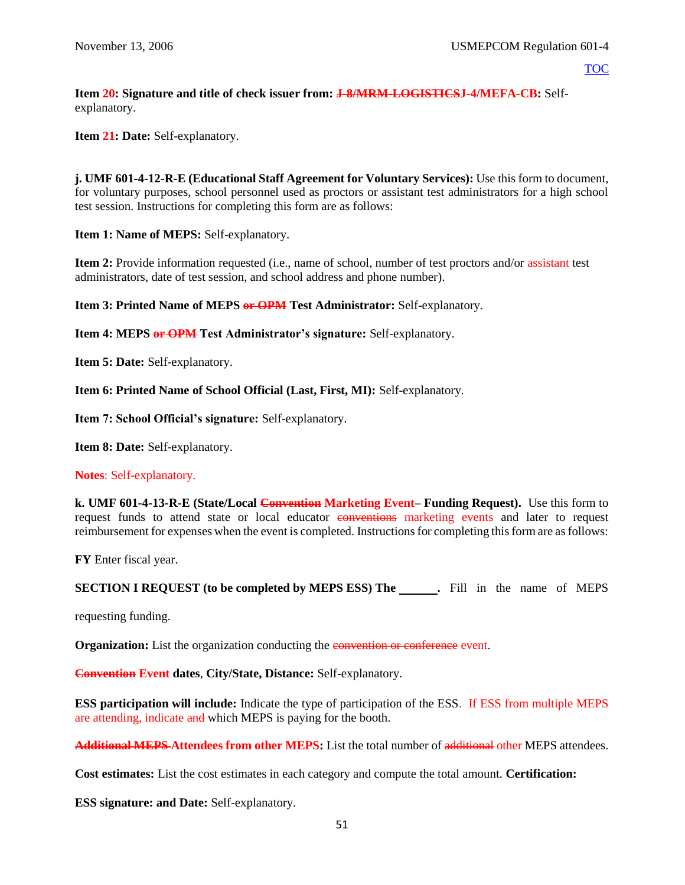**Item 20: Signature and title of check issuer from: J-8/MRM-LOGISTICSJ-4/MEFA-CB:** Selfexplanatory.

**Item 21: Date:** Self-explanatory.

**j. UMF 601-4-12-R-E (Educational Staff Agreement for Voluntary Services):** Use this form to document, for voluntary purposes, school personnel used as proctors or assistant test administrators for a high school test session. Instructions for completing this form are as follows:

**Item 1: Name of MEPS:** Self-explanatory.

**Item 2:** Provide information requested (i.e., name of school, number of test proctors and/or assistant test administrators, date of test session, and school address and phone number).

**Item 3: Printed Name of MEPS or OPM Test Administrator:** Self-explanatory.

**Item 4: MEPS or OPM Test Administrator's signature:** Self-explanatory.

**Item 5: Date:** Self-explanatory.

**Item 6: Printed Name of School Official (Last, First, MI):** Self-explanatory.

**Item 7: School Official's signature:** Self-explanatory.

**Item 8: Date:** Self-explanatory.

**Notes**: Self-explanatory.

**k. UMF 601-4-13-R-E (State/Local Convention Marketing Event– Funding Request).** Use this form to request funds to attend state or local educator conventions marketing events and later to request reimbursement for expenses when the event is completed. Instructions for completing this form are as follows:

**FY** Enter fiscal year.

**SECTION I REQUEST** (to be completed by MEPS ESS) The . Fill in the name of MEPS

requesting funding.

**Organization:** List the organization conducting the **convention** or conference event.

**Convention Event dates**, **City/State, Distance:** Self-explanatory.

**ESS participation will include:** Indicate the type of participation of the ESS. If ESS from multiple MEPS are attending, indicate and which MEPS is paying for the booth.

**Additional MEPS Attendees from other MEPS:** List the total number of additional other MEPS attendees.

**Cost estimates:** List the cost estimates in each category and compute the total amount. **Certification:**

**ESS signature: and Date:** Self-explanatory.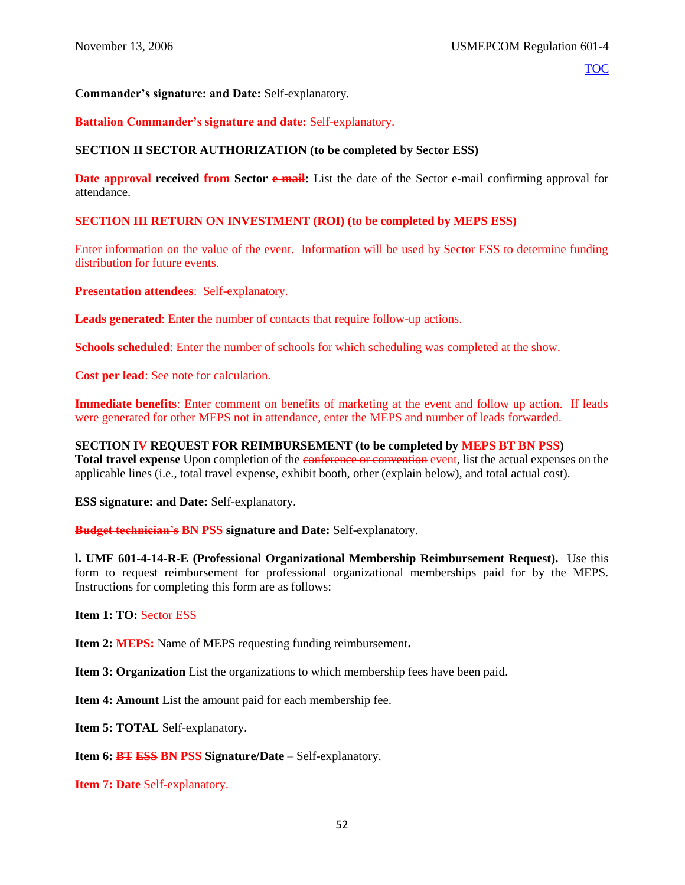## **Commander's signature: and Date:** Self-explanatory.

## **Battalion Commander's signature and date:** Self-explanatory.

#### **SECTION II SECTOR AUTHORIZATION (to be completed by Sector ESS)**

**Date approval received from Sector e-mail:** List the date of the Sector e-mail confirming approval for attendance.

#### **SECTION III RETURN ON INVESTMENT (ROI) (to be completed by MEPS ESS)**

Enter information on the value of the event. Information will be used by Sector ESS to determine funding distribution for future events.

**Presentation attendees**: Self-explanatory.

**Leads generated**: Enter the number of contacts that require follow-up actions.

**Schools scheduled**: Enter the number of schools for which scheduling was completed at the show.

**Cost per lead**: See note for calculation.

**Immediate benefits**: Enter comment on benefits of marketing at the event and follow up action. If leads were generated for other MEPS not in attendance, enter the MEPS and number of leads forwarded.

**SECTION IV REQUEST FOR REIMBURSEMENT (to be completed by MEPS BT BN PSS) Total travel expense** Upon completion of the conference or convention event, list the actual expenses on the applicable lines (i.e., total travel expense, exhibit booth, other (explain below), and total actual cost).

**ESS signature: and Date:** Self-explanatory.

**Budget technician's BN PSS signature and Date:** Self-explanatory.

**l. UMF 601-4-14-R-E (Professional Organizational Membership Reimbursement Request).** Use this form to request reimbursement for professional organizational memberships paid for by the MEPS. Instructions for completing this form are as follows:

**Item 1: TO:** Sector ESS

**Item 2: MEPS:** Name of MEPS requesting funding reimbursement**.**

**Item 3: Organization** List the organizations to which membership fees have been paid.

**Item 4: Amount** List the amount paid for each membership fee.

**Item 5: TOTAL** Self-explanatory.

**Item 6: BT ESS BN PSS Signature/Date** – Self-explanatory.

**Item 7: Date** Self-explanatory.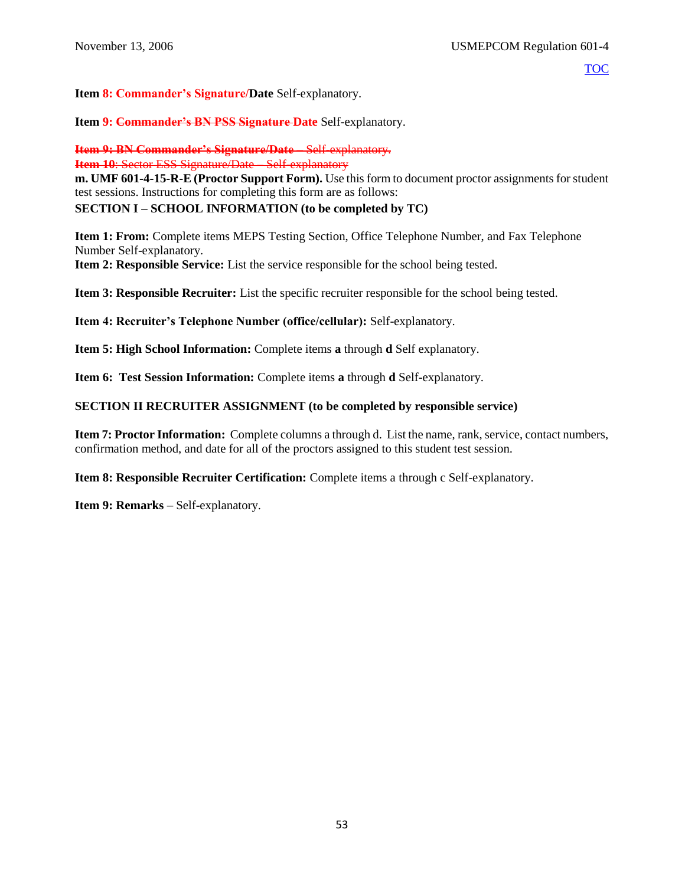**Item 8: Commander's Signature/Date** Self-explanatory.

**Item 9: Commander's BN PSS Signature Date** Self-explanatory.

**Item 9: BN Commander's Signature/Date** – Self-explanatory.

**Item 10: Sector ESS Signature/Date – Self-explanatory** 

**m. UMF 601-4-15-R-E (Proctor Support Form).** Use this form to document proctor assignments for student test sessions. Instructions for completing this form are as follows:

# **SECTION I – SCHOOL INFORMATION (to be completed by TC)**

**Item 1: From:** Complete items MEPS Testing Section, Office Telephone Number, and Fax Telephone Number Self-explanatory.

**Item 2: Responsible Service:** List the service responsible for the school being tested.

**Item 3: Responsible Recruiter:** List the specific recruiter responsible for the school being tested.

**Item 4: Recruiter's Telephone Number (office/cellular):** Self-explanatory.

**Item 5: High School Information:** Complete items **a** through **d** Self explanatory.

**Item 6: Test Session Information:** Complete items **a** through **d** Self-explanatory.

## **SECTION II RECRUITER ASSIGNMENT (to be completed by responsible service)**

**Item 7: Proctor Information:** Complete columns a through d. List the name, rank, service, contact numbers, confirmation method, and date for all of the proctors assigned to this student test session.

**Item 8: Responsible Recruiter Certification:** Complete items a through c Self-explanatory.

**Item 9: Remarks** – Self-explanatory.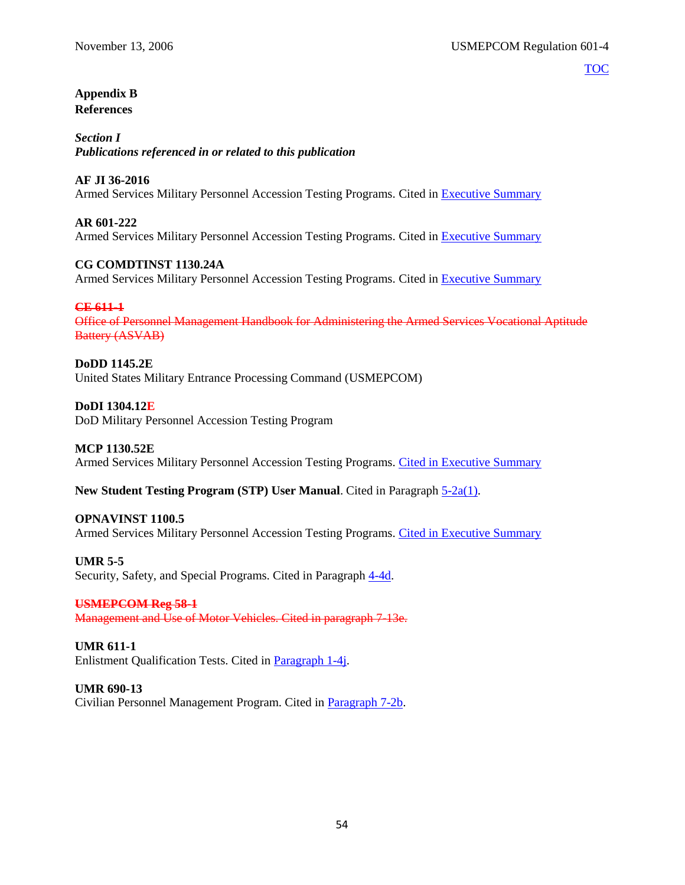## <span id="page-58-0"></span>**Appendix B References**

*Section I Publications referenced in or related to this publication*

## **AF JI 36-2016**

Armed Services Military Personnel Accession Testing Programs. Cited in [Executive Summary](#page-1-0)

## **AR 601-222**

Armed Services Military Personnel Accession Testing Programs. Cited in [Executive Summary](#page-1-0)

## **CG COMDTINST 1130.24A**

Armed Services Military Personnel Accession Testing Programs. Cited in [Executive Summary](#page-1-0)

## **CE 611-1**

Office of Personnel Management Handbook for Administering the Armed Services Vocational Aptitude Battery (ASVAB)

#### **DoDD 1145.2E** United States Military Entrance Processing Command (USMEPCOM)

**DoDI 1304.12E** DoD Military Personnel Accession Testing Program

## **MCP 1130.52E**

Armed Services Military Personnel Accession Testing Programs. [Cited in Executive Summary](#page-1-0)

## **New Student Testing Program (STP) User Manual**. Cited in Paragraph [5-2a\(1\).](#page-23-1)

## **OPNAVINST 1100.5**

Armed Services Military Personnel Accession Testing Programs. [Cited in Executive Summary](#page-1-0)

## **UMR 5-5**

Security, Safety, and Special Programs. Cited in Paragraph  $4-4d$ .

## **USMEPCOM Reg 58-1**

Management and Use of Motor Vehicles. Cited in paragraph 7-13e.

## **UMR 611-1**

Enlistment Qualification Tests. Cited in [Paragraph 1-4j.](#page-6-1)

## **UMR 690-13**

Civilian Personnel Management Program. Cited in [Paragraph 7-2b.](#page-34-1)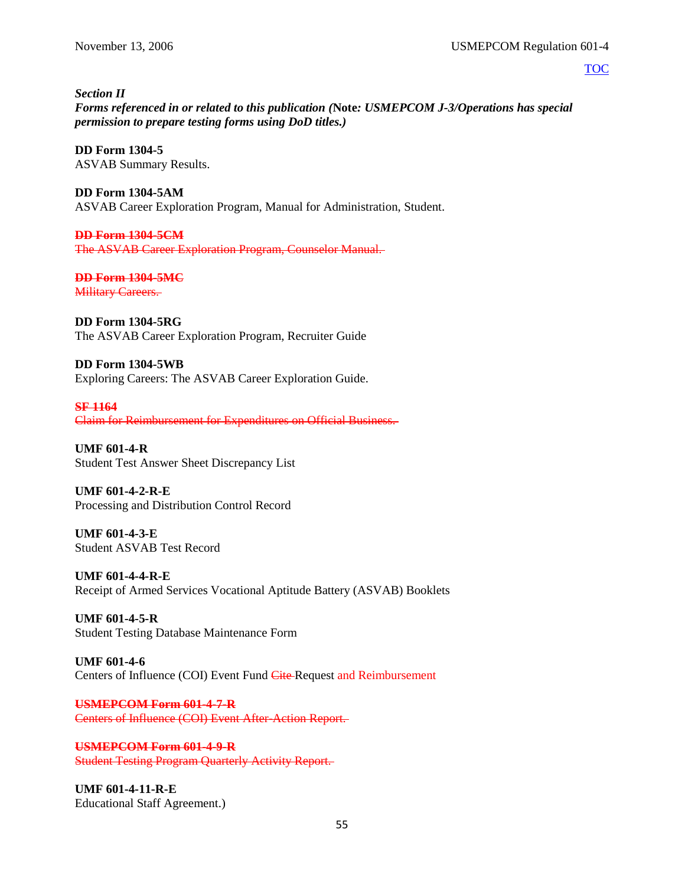*Section II Forms referenced in or related to this publication (***Note***: USMEPCOM J-3/Operations has special permission to prepare testing forms using DoD titles.)*

**DD Form 1304-5** ASVAB Summary Results.

**DD Form 1304-5AM** ASVAB Career Exploration Program, Manual for Administration, Student.

**DD Form 1304-5CM** The ASVAB Career Exploration Program, Counselor Manual.

**DD Form 1304-5MC Military Careers.** 

**DD Form 1304-5RG**

The ASVAB Career Exploration Program, Recruiter Guide

**DD Form 1304-5WB** Exploring Careers: The ASVAB Career Exploration Guide.

**SF 1164** Claim for Reimbursement for Expenditures on Official Business.

**UMF 601-4-R** Student Test Answer Sheet Discrepancy List

**UMF 601-4-2-R-E** Processing and Distribution Control Record

**UMF 601-4-3-E** Student ASVAB Test Record

**UMF 601-4-4-R-E** Receipt of Armed Services Vocational Aptitude Battery (ASVAB) Booklets

**UMF 601-4-5-R** Student Testing Database Maintenance Form

**UMF 601-4-6** Centers of Influence (COI) Event Fund Cite Request and Reimbursement

**USMEPCOM Form 601-4-7-R** Centers of Influence (COI) Event After-Action Report.

**USMEPCOM Form 601-4-9-R** Student Testing Program Quarterly Activity Report.

**UMF 601-4-11-R-E** Educational Staff Agreement.)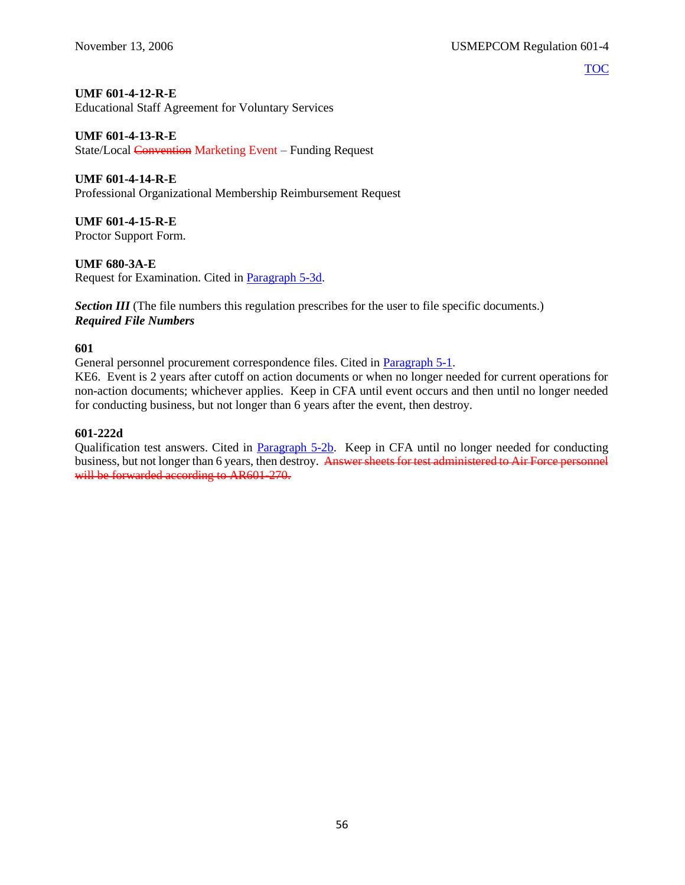#### **UMF 601-4-12-R-E**

Educational Staff Agreement for Voluntary Services

#### **UMF 601-4-13-R-E**

State/Local Convention Marketing Event – Funding Request

## **UMF 601-4-14-R-E**

Professional Organizational Membership Reimbursement Request

**UMF 601-4-15-R-E**

Proctor Support Form.

## **UMF 680-3A-E**

Request for Examination. Cited in [Paragraph 5-3d.](#page-25-0)

**Section III** (The file numbers this regulation prescribes for the user to file specific documents.) *Required File Numbers*

## **601**

General personnel procurement correspondence files. Cited in [Paragraph 5-1.](#page-23-0)

KE6. Event is 2 years after cutoff on action documents or when no longer needed for current operations for non-action documents; whichever applies. Keep in CFA until event occurs and then until no longer needed for conducting business, but not longer than 6 years after the event, then destroy.

## **601-222d**

Qualification test answers. Cited in **Paragraph 5-2b.** Keep in CFA until no longer needed for conducting business, but not longer than 6 years, then destroy. Answer sheets for test administered to Air Force personnel will be forwarded according to AR601-270.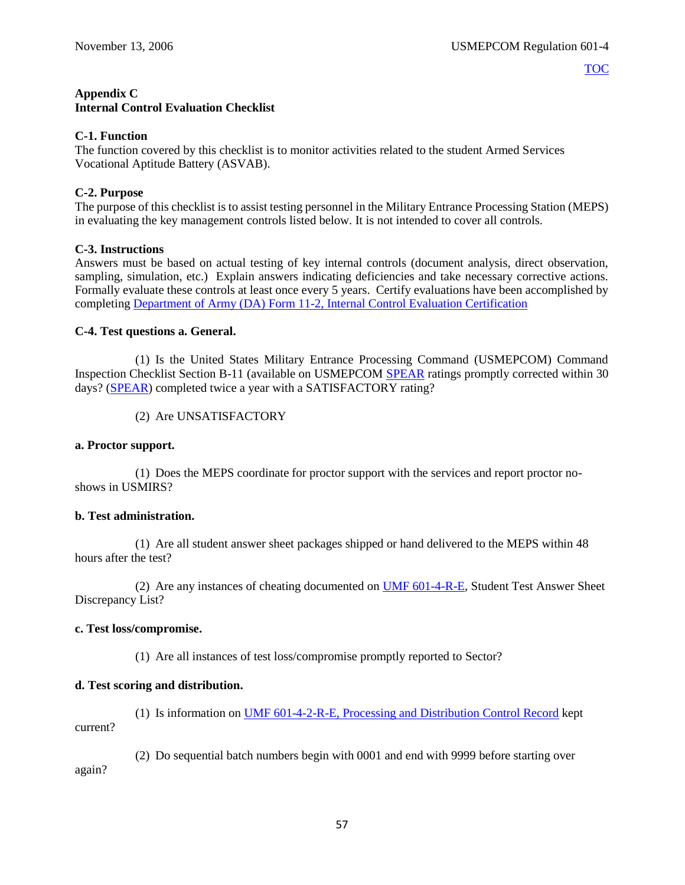# <span id="page-61-0"></span>**Appendix C**

## **Internal Control Evaluation Checklist**

## **C-1. Function**

The function covered by this checklist is to monitor activities related to the student Armed Services Vocational Aptitude Battery (ASVAB).

## **C-2. Purpose**

The purpose of this checklist is to assist testing personnel in the Military Entrance Processing Station (MEPS) in evaluating the key management controls listed below. It is not intended to cover all controls.

## **C-3. Instructions**

Answers must be based on actual testing of key internal controls (document analysis, direct observation, sampling, simulation, etc.) Explain answers indicating deficiencies and take necessary corrective actions. Formally evaluate these controls at least once every 5 years. Certify evaluations have been accomplished by completing Department of Army (DA) [Form 11-2, Internal Control Evaluation Certification](http://www.apd.army.mil/pub/eforms/pdf/a11_2.pdf)

## **C-4. Test questions a. General.**

(1) Is the United States Military Entrance Processing Command (USMEPCOM) Command Inspection Checklist Section B-11 (available on USMEPCOM [SPEAR](https://spear/SitePages/Home.aspx) ratings promptly corrected within 30 days? [\(SPEAR\)](https://spear/SitePages/Home.aspx) completed twice a year with a SATISFACTORY rating?

(2) Are UNSATISFACTORY

## **a. Proctor support.**

(1) Does the MEPS coordinate for proctor support with the services and report proctor noshows in USMIRS?

## **b. Test administration.**

(1) Are all student answer sheet packages shipped or hand delivered to the MEPS within 48 hours after the test?

(2) Are any instances of cheating documented on [UMF 601-4-R-E,](https://spear/Headquarters/J-1%20MEHR/MissionSup/USMEPCOM%20Regulations%20and%20Forms%20Library/UMR%20601-4,%20Student%20Testing%20Program/UMF%20601-4-R-E,%20Student%20Test%20Answer%20Sheet%20Discrepancy%20List.pdf) Student Test Answer Sheet Discrepancy List?

## **c. Test loss/compromise.**

(1) Are all instances of test loss/compromise promptly reported to Sector?

# **d. Test scoring and distribution.**

(1) Is information on [UMF 601-4-2-R-E, Processing and Distribution Control Record](https://spear/Headquarters/J-1%20MEHR/MissionSup/USMEPCOM%20Regulations%20and%20Forms%20Library/UMR%20601-4,%20Student%20Testing%20Program/UMF%20601-4-2-R-E,%20Processing%20and%20Distribution%20Control%20Record.xfdl) kept current?

(2) Do sequential batch numbers begin with 0001 and end with 9999 before starting over again?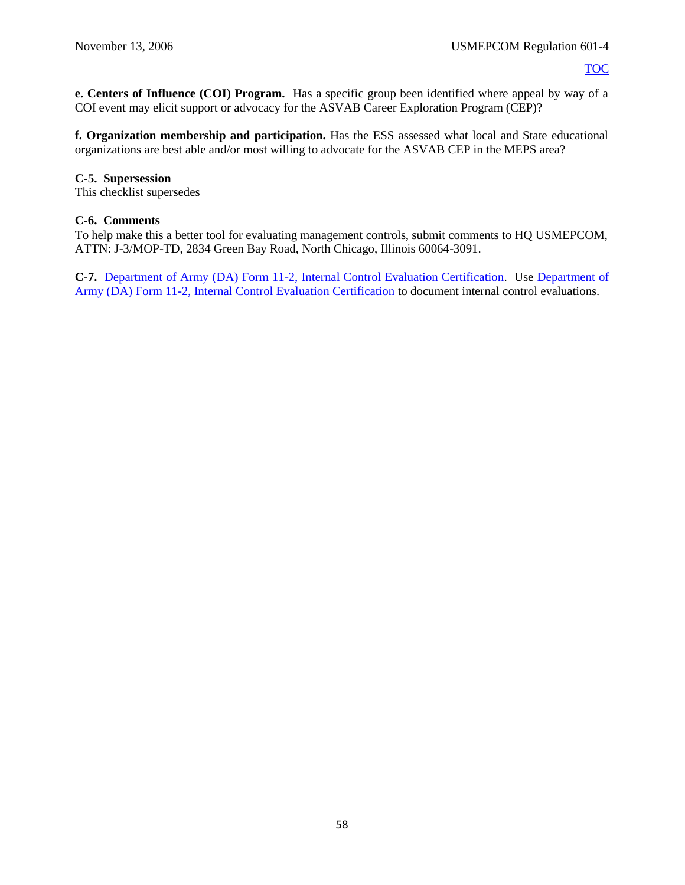**e. Centers of Influence (COI) Program.** Has a specific group been identified where appeal by way of a COI event may elicit support or advocacy for the ASVAB Career Exploration Program (CEP)?

**f. Organization membership and participation.** Has the ESS assessed what local and State educational organizations are best able and/or most willing to advocate for the ASVAB CEP in the MEPS area?

## **C-5. Supersession**

This checklist supersedes

#### **C-6. Comments**

To help make this a better tool for evaluating management controls, submit comments to HQ USMEPCOM, ATTN: J-3/MOP-TD, 2834 Green Bay Road, North Chicago, Illinois 60064-3091.

**C-7.** Department of Army (DA) [Form 11-2, Internal Control Evaluation Certification.](http://www.apd.army.mil/pub/eforms/pdf/a11_2.pdf) Use [Department of](http://www.apd.army.mil/pub/eforms/pdf/a11_2.pdf)  [Army \(DA\)](http://www.apd.army.mil/pub/eforms/pdf/a11_2.pdf) Form 11-2, Internal Control Evaluation Certification to document internal control evaluations.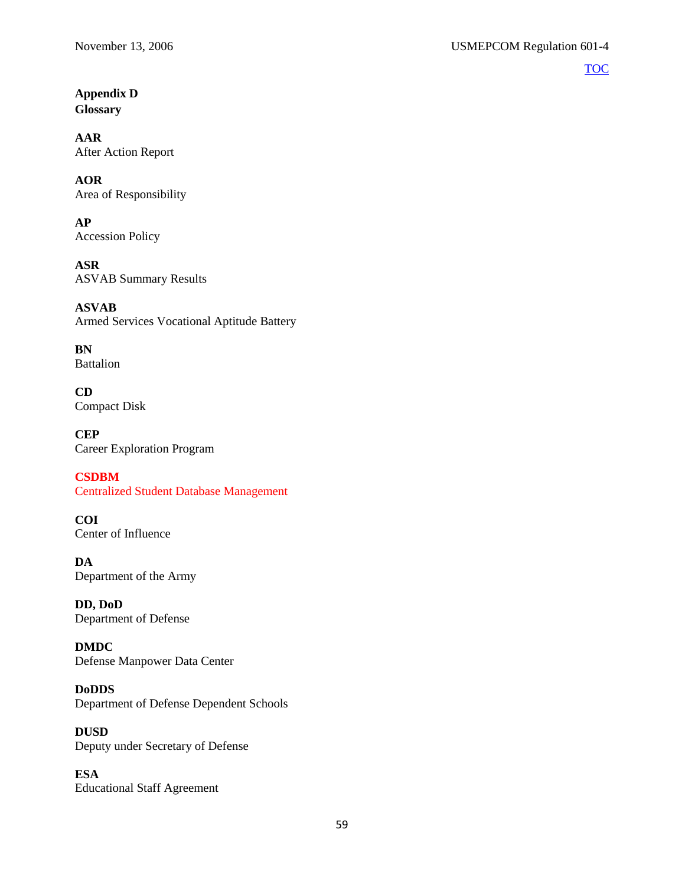# <span id="page-63-0"></span>**Appendix D Glossary**

**AAR** After Action Report

## **AOR** Area of Responsibility

**AP** Accession Policy

**ASR** ASVAB Summary Results

**ASVAB** Armed Services Vocational Aptitude Battery

**BN** Battalion

**CD** Compact Disk

**CEP** Career Exploration Program

**CSDBM** Centralized Student Database Management

**COI** Center of Influence

**DA** Department of the Army

**DD, DoD** Department of Defense

**DMDC** Defense Manpower Data Center

**DoDDS** Department of Defense Dependent Schools

**DUSD** Deputy under Secretary of Defense

**ESA** Educational Staff Agreement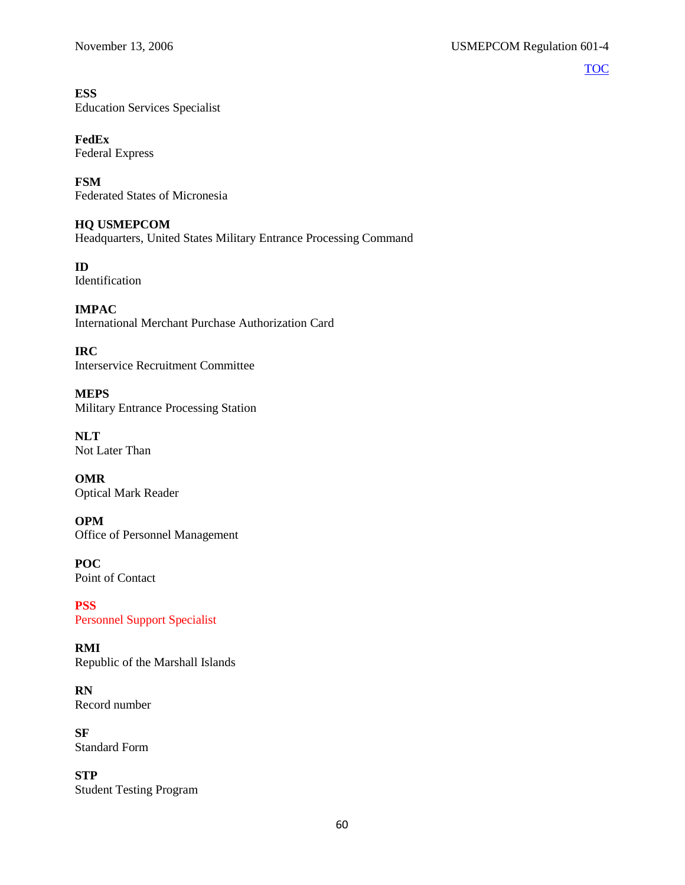# **ESS**

Education Services Specialist

# **FedEx**

Federal Express

**FSM** Federated States of Micronesia

## **HQ USMEPCOM**

Headquarters, United States Military Entrance Processing Command

**ID** Identification

**IMPAC** International Merchant Purchase Authorization Card

**IRC** Interservice Recruitment Committee

**MEPS** Military Entrance Processing Station

**NLT** Not Later Than

**OMR** Optical Mark Reader

**OPM** Office of Personnel Management

**POC** Point of Contact

**PSS** Personnel Support Specialist

**RMI** Republic of the Marshall Islands

**RN** Record number

**SF** Standard Form

**STP** Student Testing Program